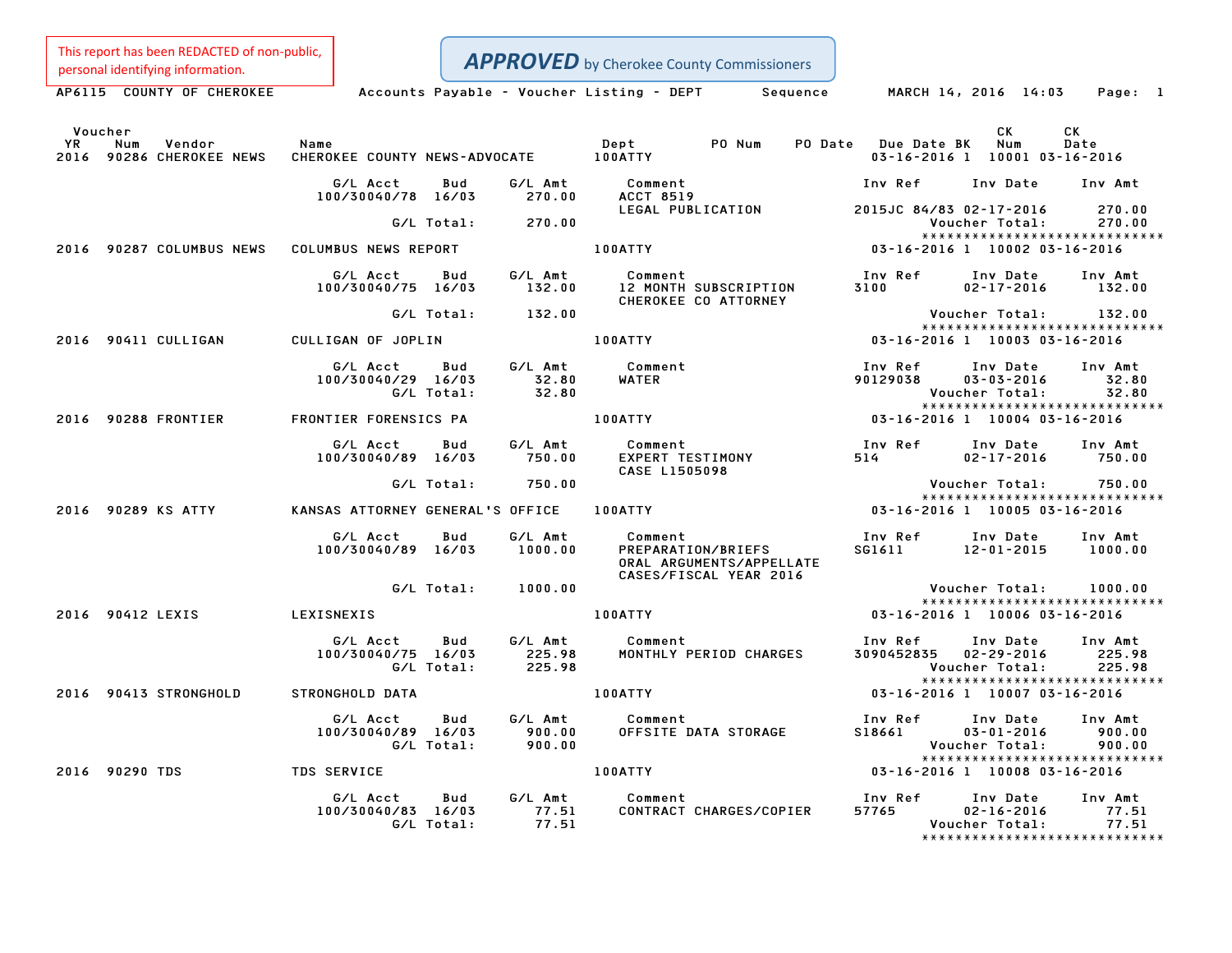This report has been REDACTED of non-public,

APPROVED by Cherokee County Commissioners

Personal identifying information.<br>
AP6115 COUNTY OF CHEROKEE Accounts Payable - Voucher Listing - DEPT Sequence MARCH 14, 2016 14:03 Page: 1

|           | Voucher                                   |                                                     |                             |                                                                                     |        |      |                         | CK                                                  | CK                                                           |
|-----------|-------------------------------------------|-----------------------------------------------------|-----------------------------|-------------------------------------------------------------------------------------|--------|------|-------------------------|-----------------------------------------------------|--------------------------------------------------------------|
| <b>YR</b> | Vendor<br>Num<br>2016 90286 CHEROKEE NEWS | Name                                                |                             | Dept                                                                                | PO Num |      | PO Date Due Date BK Num | 03-16-2016 1 10001 03-16-2016                       | Date                                                         |
|           |                                           | G/L Acct<br>Bud                                     | G/L Amt                     | Comment                                                                             |        |      | Inv Ref                 | Inv Date                                            | Inv Amt                                                      |
|           |                                           | 100/30040/78 16/03<br>G/L Total:                    | 270.00<br>270.00            | ACCT 8519<br>LEGAL PUBLICATION                                                      |        |      |                         | 2015JC 84/83 02-17-2016<br>Voucher Total:           | 270.00<br>270.00<br>*****************************            |
|           | 2016 90287 COLUMBUS NEWS                  | COLUMBUS NEWS REPORT                                |                             | 100ATTY                                                                             |        |      |                         | 03-16-2016 1 10002 03-16-2016                       |                                                              |
|           |                                           | Bud<br>G/L Acct<br>100/30040/75 16/03               | G/L Amt<br>132.00           | Comment<br>12 MONTH SUBSCRIPTION<br>CHEROKEE CO ATTORNEY                            |        | 3100 | Inv Ref                 | Inv Date<br>$02 - 17 - 2016$                        | Inv Amt<br>132.00                                            |
|           |                                           | G/L Total:                                          | 132.00                      |                                                                                     |        |      |                         | Voucher Total:                                      | 132.00<br>*****************************                      |
|           | 2016 90411 CULLIGAN                       | CULLIGAN OF JOPLIN                                  |                             | <b>100ATTY</b>                                                                      |        |      |                         | 03-16-2016 1 10003 03-16-2016                       |                                                              |
|           |                                           | G/L Acct Bud<br>100/30040/29 16/03<br>G/L Total:    | G/L Amt<br>32.80<br>32.80   | Comment<br><b>WATER</b>                                                             |        |      | Inv Ref<br>90129038     | Inv Date<br>03-03-2016<br>Voucher Total:            | Inv Amt<br>32.80<br>32.80                                    |
|           | 2016 90288 FRONTIER                       | FRONTIER FORENSICS PA                               |                             | <b>100ATTY</b>                                                                      |        |      |                         | 03-16-2016 1 10004 03-16-2016                       | *****************************                                |
|           |                                           | G/L Acct<br>Bud<br>100/30040/89 16/03               | G/L Amt<br>750.00           | Comment<br>EXPERT TESTIMONY<br>CASE L1505098                                        |        | 514  | Inv Ref                 | Inv Date<br>$02 - 17 - 2016$                        | Inv Amt<br>750.00                                            |
|           |                                           | G/L Total:                                          | 750.00                      |                                                                                     |        |      |                         | Voucher Total: 750.00                               | ******************************                               |
|           | 2016 90289 KS ATTY                        | KANSAS ATTORNEY GENERAL'S OFFICE                    |                             | <b>100ATTY</b>                                                                      |        |      |                         | 03-16-2016 1 10005 03-16-2016                       |                                                              |
|           |                                           | G/L Acct<br>Bud<br>100/30040/89 16/03               | G/L Amt<br>1000.00          | Comment<br>PREPARATION/BRIEFS<br>ORAL ARGUMENTS/APPELLATE<br>CASES/FISCAL YEAR 2016 |        |      | Inv Ref<br>SG1611       | Inv Date<br>12-01-2015                              | Inv Amt<br>1000.00                                           |
|           |                                           | G/L Total:                                          | 1000.00                     |                                                                                     |        |      |                         | Voucher Total:                                      | 1000.00<br>*****************************                     |
|           | 2016 90412 LEXIS                          | LEXISNEXIS                                          |                             | 100ATTY                                                                             |        |      |                         | 03-16-2016 1 10006 03-16-2016                       |                                                              |
|           |                                           | G/L Acct<br>Bud<br>100/30040/75 16/03<br>G/L Total: | G/L Amt<br>225.98<br>225.98 | Comment<br>MONTHLY PERIOD CHARGES                                                   |        |      | Inv Ref                 | Inv Date<br>3090452835 02-29-2016<br>Voucher Total: | Inv Amt<br>225.98<br>225.98<br>***************************** |
|           | 2016 90413 STRONGHOLD                     | STRONGHOLD DATA                                     |                             | 100ATTY                                                                             |        |      |                         | 03-16-2016 1 10007 03-16-2016                       |                                                              |
|           |                                           | G/L Acct<br>Bud<br>100/30040/89 16/03<br>G/L Total: | G/L Amt<br>900.00<br>900.00 | Comment<br>OFFSITE DATA STORAGE                                                     |        |      | Inv Ref<br>S18661       | Inv Date<br>$03 - 01 - 2016$<br>Voucher Total:      | Inv Amt<br>900.00<br>900.00                                  |
|           | 2016 90290 TDS                            | TDS SERVICE                                         |                             | <b>100ATTY</b>                                                                      |        |      |                         | 03-16-2016 1 10008 03-16-2016                       | *****************************                                |
|           |                                           | G/L Acct<br>Bud<br>100/30040/83 16/03<br>G/L Total: | G/L Amt<br>77.51<br>77.51   | Comment<br>CONTRACT CHARGES/COPIER                                                  |        |      | Inv Ref<br>57765        | Inv Date<br>$02 - 16 - 2016$<br>Voucher Total:      | Inv Amt<br>77.51<br>77.51<br>*****************************   |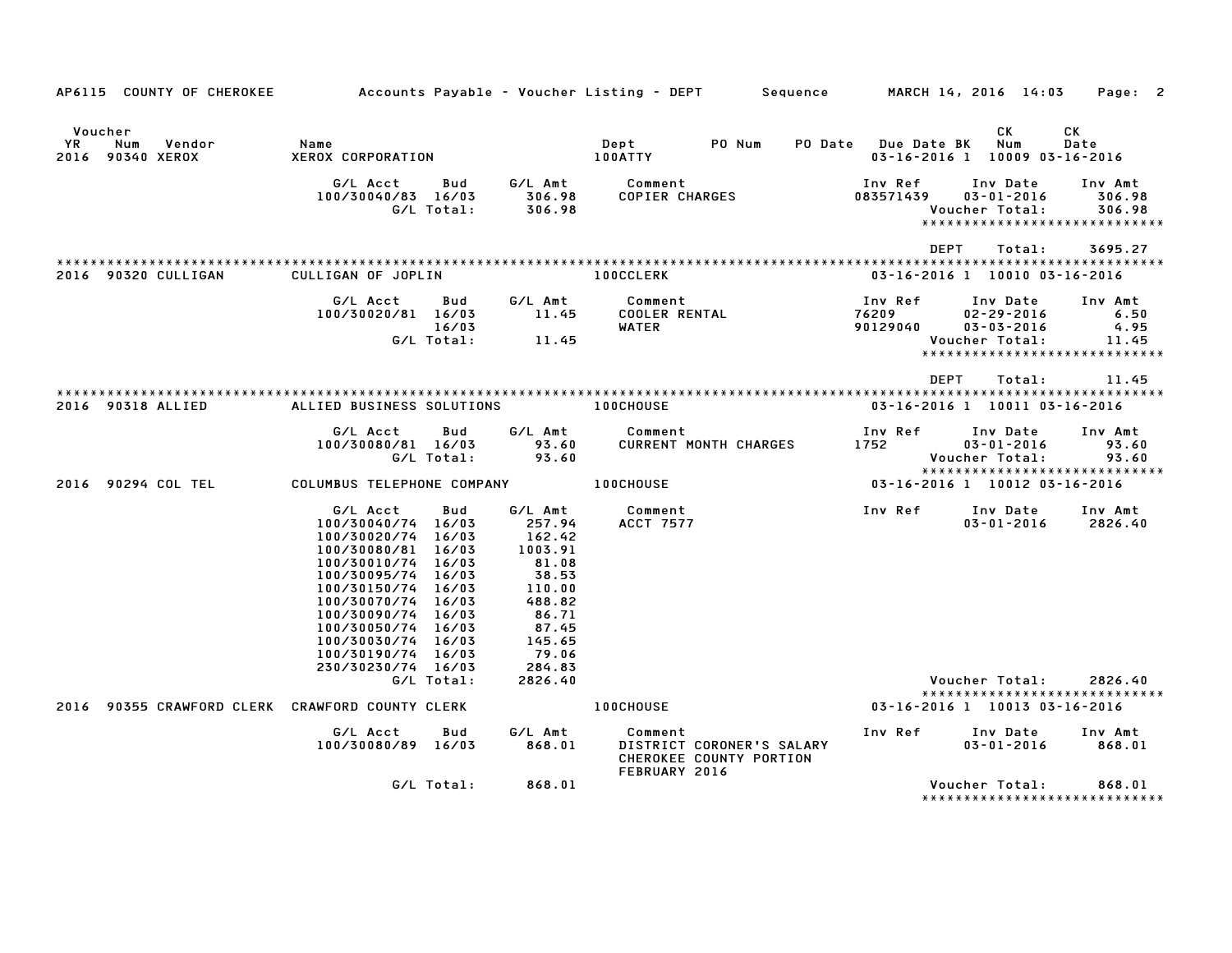| AP6115 COUNTY OF CHEROKEE                          |                                                                                                                                                                                                                                                                                  |                            |                                                                                                                             | Accounts Payable – Voucher Listing – DEPT         Sequence                       |                               | MARCH 14, 2016 14:03                                               | Page: 2                                                           |
|----------------------------------------------------|----------------------------------------------------------------------------------------------------------------------------------------------------------------------------------------------------------------------------------------------------------------------------------|----------------------------|-----------------------------------------------------------------------------------------------------------------------------|----------------------------------------------------------------------------------|-------------------------------|--------------------------------------------------------------------|-------------------------------------------------------------------|
| Voucher<br>YR<br>Num<br>Vendor<br>2016 90340 XEROX | Name<br>XEROX CORPORATION                                                                                                                                                                                                                                                        |                            |                                                                                                                             | PO Num<br>Dept<br><b>100ATTY</b>                                                 | PO Date Due Date BK           | CK<br>Num<br>03-16-2016 1 10009 03-16-2016                         | СK<br>Date                                                        |
|                                                    | G/L Acct<br>100/30040/83 16/03                                                                                                                                                                                                                                                   | Bud<br>G/L Total:          | G/L Amt<br>306.98<br>306.98                                                                                                 | Comment<br>COPIER CHARGES                                                        | Inv Ref<br>083571439          | Inv Date<br>$03 - 01 - 2016$<br>Voucher Total:                     | Inv Amt<br>306.98<br>306.98<br>*****************************      |
| 2016 90320 CULLIGAN                                | CULLIGAN OF JOPLIN                                                                                                                                                                                                                                                               |                            |                                                                                                                             | <b>100CCLERK</b>                                                                 | <b>DEPT</b>                   | Total:<br>03-16-2016 1 10010 03-16-2016                            | 3695.27                                                           |
|                                                    | G/L Acct<br>100/30020/81 16/03                                                                                                                                                                                                                                                   | Bud<br>16/03<br>G/L Total: | G/L Amt<br>11.45<br>11.45                                                                                                   | Comment<br><b>COOLER RENTAL</b><br>WATER                                         | Inv Ref<br>76209<br>90129040  | Inv Date<br>$02 - 29 - 2016$<br>$03 - 03 - 2016$<br>Voucher Total: | Inv Amt<br>6.50<br>4.95<br>11.45<br>***************************** |
|                                                    |                                                                                                                                                                                                                                                                                  |                            |                                                                                                                             |                                                                                  | <b>DEPT</b>                   | Total:                                                             | 11.45                                                             |
| 2016 90318 ALLIED                                  | ALLIED BUSINESS SOLUTIONS                                                                                                                                                                                                                                                        |                            |                                                                                                                             | <b>100CHOUSE</b>                                                                 |                               | 03-16-2016 1 10011 03-16-2016                                      |                                                                   |
|                                                    | G/L Acct<br>100/30080/81 16/03                                                                                                                                                                                                                                                   | Bud<br>G/L Total:          | G/L Amt<br>93.60<br>93.60                                                                                                   | Comment<br><b>CURRENT MONTH CHARGES</b>                                          | Inv Ref<br>1752               | Inv Date<br>$03 - 01 - 2016$<br>Voucher Total:                     | Inv Amt<br>93.60<br>93.60<br>*****************************        |
| 2016 90294 COL TEL                                 | COLUMBUS TELEPHONE COMPANY                                                                                                                                                                                                                                                       |                            |                                                                                                                             | <b>100CHOUSE</b>                                                                 | 03-16-2016 1 10012 03-16-2016 |                                                                    |                                                                   |
|                                                    | G/L Acct<br>100/30040/74 16/03<br>100/30020/74 16/03<br>100/30080/81 16/03<br>100/30010/74 16/03<br>100/30095/74 16/03<br>100/30150/74 16/03<br>100/30070/74 16/03<br>100/30090/74 16/03<br>100/30050/74 16/03<br>100/30030/74 16/03<br>100/30190/74 16/03<br>230/30230/74 16/03 | Bud                        | G/L Amt<br>257.94<br>162.42<br>1003.91<br>81.08<br>38.53<br>110.00<br>488.82<br>86.71<br>87.45<br>145.65<br>79.06<br>284.83 | Comment<br>ACCT 7577                                                             | Inv Ref                       | Inv Date<br>$03 - 01 - 2016$                                       | Inv Amt<br>2826.40                                                |
|                                                    |                                                                                                                                                                                                                                                                                  | G/L Total:                 | 2826.40                                                                                                                     |                                                                                  |                               | Voucher Total:                                                     | 2826.40<br>*****************************                          |
| 2016 90355 CRAWFORD CLERK CRAWFORD COUNTY CLERK    |                                                                                                                                                                                                                                                                                  |                            |                                                                                                                             | <b>100CHOUSE</b>                                                                 |                               | 03-16-2016 1 10013 03-16-2016                                      |                                                                   |
|                                                    | G/L Acct<br>100/30080/89 16/03                                                                                                                                                                                                                                                   | Bud                        | G/L Amt<br>868.01                                                                                                           | Comment<br>DISTRICT CORONER'S SALARY<br>CHEROKEE COUNTY PORTION<br>FEBRUARY 2016 | Inv Ref                       | Inv Date<br>$03 - 01 - 2016$                                       | Inv Amt<br>868.01                                                 |
|                                                    |                                                                                                                                                                                                                                                                                  | G/L Total:                 | 868.01                                                                                                                      |                                                                                  |                               | Voucher Total:                                                     | 868.01<br>******************************                          |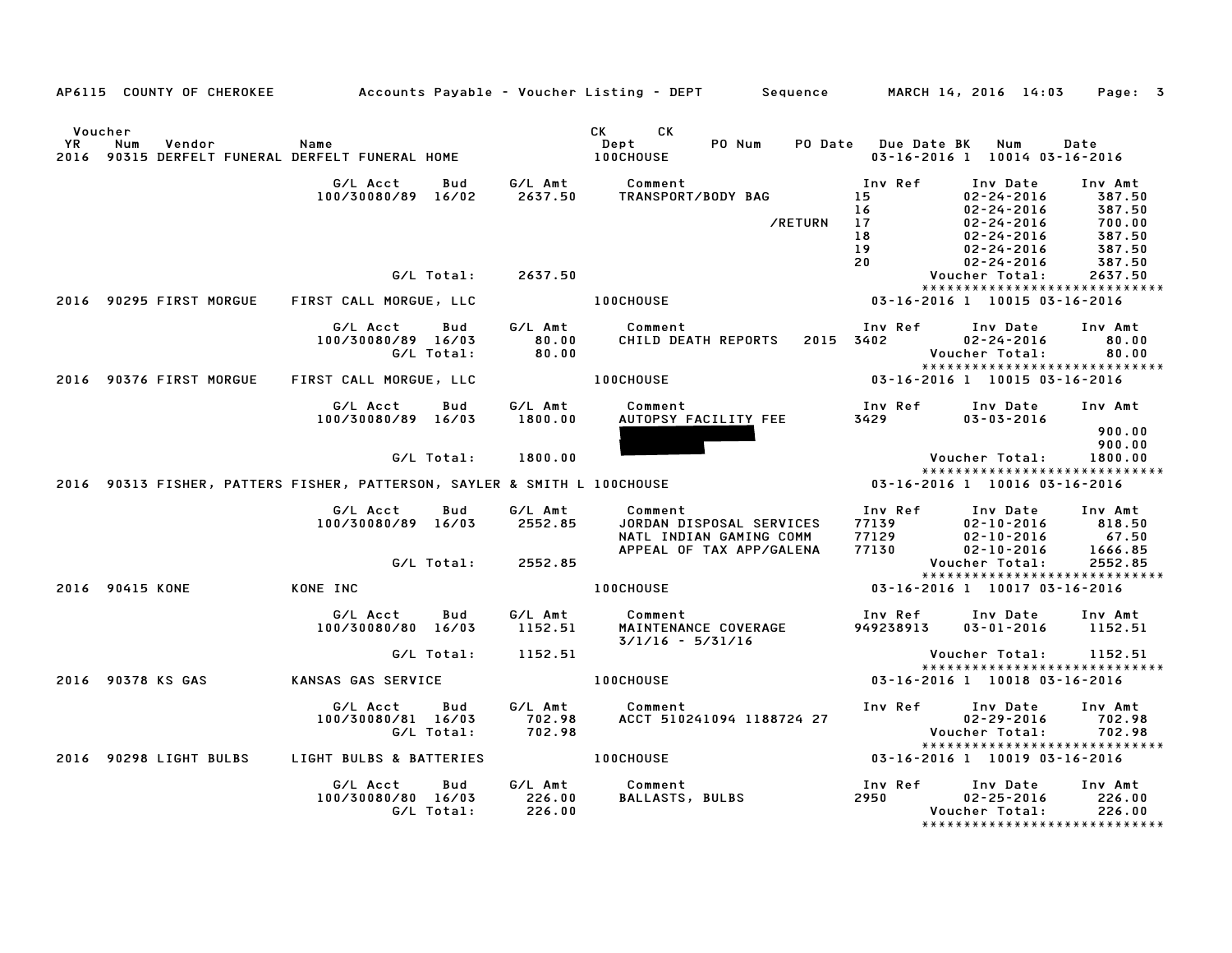|                              | AP6115 COUNTY OF CHEROKEE                                   |                                                                          |                             | Accounts Payable – Voucher Listing – DEPT         Sequence         MARCH 14, 2016  14:03   |                                                    |                                                                                                              | Page: 3                                                   |
|------------------------------|-------------------------------------------------------------|--------------------------------------------------------------------------|-----------------------------|--------------------------------------------------------------------------------------------|----------------------------------------------------|--------------------------------------------------------------------------------------------------------------|-----------------------------------------------------------|
| Voucher<br><b>YR</b><br>2016 | Num<br>Vendor<br>90315 DERFELT FUNERAL DERFELT FUNERAL HOME | Name                                                                     |                             | <b>CK</b><br>CK<br>PO Num<br>PO Date<br>Dept<br><b>100CHOUSE</b>                           | Due Date BK                                        | Num<br>03-16-2016 1 10014 03-16-2016                                                                         | Date                                                      |
|                              |                                                             | G/L Acct<br>Bud<br>100/30080/89 16/02                                    | G/L Amt<br>2637.50          | Comment<br>TRANSPORT/BODY BAG<br>/RETURN                                                   | Inv Ref<br>15<br>16 <sup>°</sup><br>17<br>18<br>19 | Inv Date<br>$02 - 24 - 2016$<br>$02 - 24 - 2016$<br>$02 - 24 - 2016$<br>$02 - 24 - 2016$<br>$02 - 24 - 2016$ | Inv Amt<br>387.50<br>387.50<br>700.00<br>387.50<br>387.50 |
|                              |                                                             | G/L Total:                                                               | 2637.50                     |                                                                                            | 20                                                 | $02 - 24 - 2016$<br>Voucher Total:<br>*****************************                                          | 387.50<br>2637.50                                         |
|                              | 2016 90295 FIRST MORGUE                                     | FIRST CALL MORGUE, LLC                                                   |                             | 100CHOUSE                                                                                  |                                                    | 03-16-2016 1 10015 03-16-2016                                                                                |                                                           |
|                              |                                                             | G/L Acct<br>Bud<br>100/30080/89 16/03<br>G/L Total:                      | G/L Amt<br>80.00<br>80.00   | Comment<br>CHILD DEATH REPORTS                                                             | Inv Ref<br>2015 3402                               | Inv Date<br>$02 - 24 - 2016$<br>Voucher Total:                                                               | Inv Amt<br>80.00<br>80.00                                 |
|                              | 2016 90376 FIRST MORGUE                                     | FIRST CALL MORGUE, LLC                                                   |                             | <b>100CHOUSE</b>                                                                           |                                                    | *****************************<br>03-16-2016 1 10015 03-16-2016                                               |                                                           |
|                              |                                                             | G/L Acct<br>Bud<br>100/30080/89 16/03                                    | G/L Amt<br>1800.00          | Comment<br>AUTOPSY FACILITY FEE                                                            | Inv Ref<br>3429                                    | Inv Date<br>$03 - 03 - 2016$                                                                                 | Inv Amt<br>900.00                                         |
|                              |                                                             | G/L Total:                                                               | 1800.00                     |                                                                                            |                                                    | Voucher Total:<br>*****************************                                                              | 900.00<br>1800.00                                         |
|                              |                                                             | 2016 90313 FISHER, PATTERS FISHER, PATTERSON, SAYLER & SMITH L 100CHOUSE |                             |                                                                                            |                                                    | 03-16-2016 1 10016 03-16-2016                                                                                |                                                           |
|                              |                                                             | G/L Acct<br>Bud<br>100/30080/89 16/03                                    | G/L Amt<br>2552.85          | Comment<br>JORDAN DISPOSAL SERVICES<br>NATL INDIAN GAMING COMM<br>APPEAL OF TAX APP/GALENA | Inv Ref<br>77139<br>77129<br>77130                 | Inv Date<br>$02 - 10 - 2016$<br>$02 - 10 - 2016$<br>$02 - 10 - 2016$                                         | Inv Amt<br>818.50<br>67.50<br>1666.85                     |
|                              |                                                             | G/L Total:                                                               | 2552.85                     |                                                                                            |                                                    | Voucher Total:<br>*****************************                                                              | 2552.85                                                   |
|                              | 2016 90415 KONE                                             | KONE INC                                                                 |                             | <b>100CHOUSE</b>                                                                           |                                                    | 03-16-2016 1 10017 03-16-2016                                                                                |                                                           |
|                              |                                                             | G/L Acct<br>Bud<br>100/30080/80 16/03                                    | G/L Amt<br>1152.51          | Comment<br>MAINTENANCE COVERAGE<br>$3/1/16 - 5/31/16$                                      | Inv Ref<br>949238913                               | Inv Date<br>$03 - 01 - 2016$                                                                                 | Inv Amt<br>1152.51                                        |
|                              |                                                             | G/L Total:                                                               | 1152.51                     |                                                                                            |                                                    | Voucher Total:                                                                                               | 1152.51                                                   |
|                              | 2016 90378 KS GAS                                           | KANSAS GAS SERVICE                                                       |                             | 100CHOUSE                                                                                  |                                                    | ******************************<br>03-16-2016 1 10018 03-16-2016                                              |                                                           |
|                              |                                                             | G/L Acct<br>Bud<br>100/30080/81 16/03<br>G/L Total:                      | G/L Amt<br>702.98<br>702.98 | Comment<br>ACCT 510241094 1188724 27                                                       | Inv Ref                                            | Inv Date<br>$02 - 29 - 2016$<br>Voucher Total:                                                               | Inv Amt<br>702.98<br>702.98                               |
|                              | 2016 90298 LIGHT BULBS                                      | LIGHT BULBS & BATTERIES                                                  |                             | <b>100CHOUSE</b>                                                                           |                                                    | *****************************<br>03-16-2016 1 10019 03-16-2016                                               |                                                           |
|                              |                                                             | G/L Acct<br>Bud<br>100/30080/80 16/03<br>G/L Total:                      | G/L Amt<br>226.00<br>226.00 | Comment<br><b>BALLASTS, BULBS</b>                                                          | Inv Ref<br>2950                                    | Inv Date<br>$02 - 25 - 2016$<br>Voucher Total:                                                               | Inv Amt<br>226.00<br>226.00                               |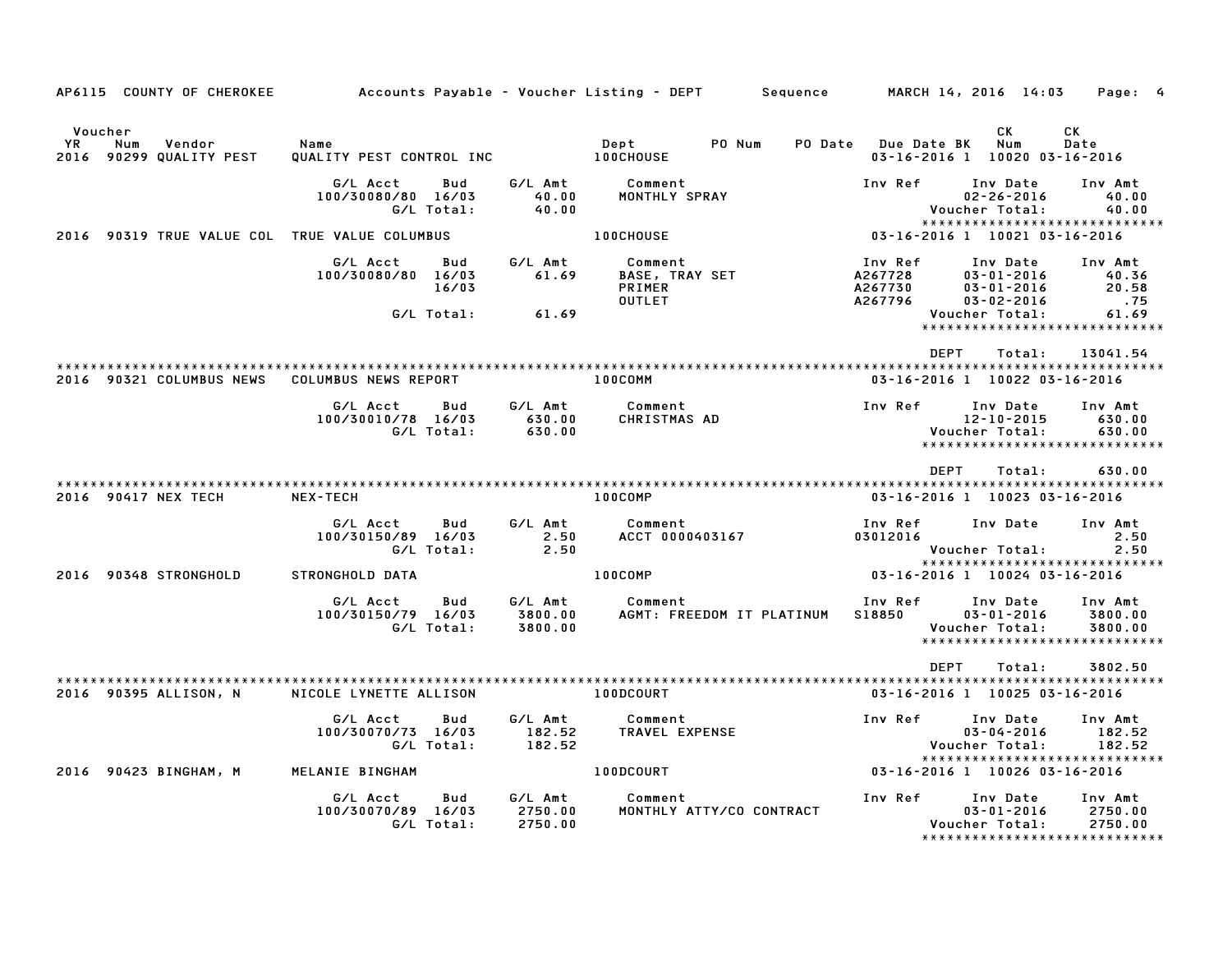| AP6115 COUNTY OF CHEROKEE                                 | Accounts Payable – Voucher Listing – DEPT           |                               | Sequence                                                    |                                          | MARCH 14, 2016 14:03                                                             | Page: 4                          |
|-----------------------------------------------------------|-----------------------------------------------------|-------------------------------|-------------------------------------------------------------|------------------------------------------|----------------------------------------------------------------------------------|----------------------------------|
| Voucher<br>YR<br>Num<br>Vendor<br>2016 90299 QUALITY PEST | Name<br>QUALITY PEST CONTROL INC                    |                               | PO Num<br>Dept<br><b>100CHOUSE</b>                          | PO Date Due Date BK                      | СK<br>Num<br>03-16-2016 1 10020 03-16-2016                                       | СK<br>Date                       |
|                                                           | G/L Acct<br>Bud<br>100/30080/80 16/03<br>G/L Total: | G/L Amt<br>40.00<br>40.00     | Comment<br>MONTHLY SPRAY                                    | Inv Ref                                  | Inv Date<br>$02 - 26 - 2016$<br>Voucher Total:                                   | Inv Amt<br>40.00<br>40.00        |
| 2016 90319 TRUE VALUE COL TRUE VALUE COLUMBUS             |                                                     |                               | <b>100CHOUSE</b>                                            | 03-16-2016 1 10021 03-16-2016            | *****************************                                                    |                                  |
|                                                           | G/L Acct<br>Bud<br>100/30080/80 16/03<br>16/03      | G/L Amt<br>61.69              | Comment<br><b>BASE, TRAY SET</b><br>PRIMER<br><b>OUTLET</b> | Inv Ref<br>A267728<br>A267730<br>A267796 | Inv Date<br>$03 - 01 - 2016$<br>$03 - 01 - 2016$<br>$03 - 02 - 2016$             | Inv Amt<br>40.36<br>20.58<br>.75 |
|                                                           | G/L Total:                                          | 61.69                         |                                                             |                                          | Voucher Total:<br>*****************************                                  | 61.69                            |
|                                                           |                                                     |                               |                                                             | <b>DEPT</b>                              | Total:                                                                           | 13041.54                         |
| 2016 90321 COLUMBUS NEWS                                  | COLUMBUS NEWS REPORT                                |                               | 100COMM                                                     |                                          | 03-16-2016 1 10022 03-16-2016                                                    |                                  |
|                                                           | G/L Acct<br>Bud<br>100/30010/78 16/03<br>G/L Total: | G/L Amt<br>630.00<br>630.00   | Comment<br>CHRISTMAS AD                                     | Inv Ref                                  | Inv Date<br>$12 - 10 - 2015$<br>Voucher Total:<br>****************************** | Inv Amt<br>630.00<br>630.00      |
| 2016 90417 NEX TECH                                       | NEX-TECH                                            |                               | 100COMP                                                     | <b>DEPT</b>                              | Total:<br>03-16-2016 1 10023 03-16-2016                                          | 630.00                           |
|                                                           | G/L Acct<br>Bud<br>100/30150/89 16/03<br>G/L Total: | G/L Amt<br>2.50<br>2.50       | Comment<br>ACCT 0000403167                                  | Inv Ref<br>03012016                      | Inv Date<br>Voucher Total:                                                       | Inv Amt<br>2.50<br>2.50          |
| 2016 90348 STRONGHOLD                                     | STRONGHOLD DATA                                     |                               | 100COMP                                                     |                                          | *****************************<br>03-16-2016 1 10024 03-16-2016                   |                                  |
|                                                           | G/L Acct<br>Bud<br>100/30150/79 16/03<br>G/L Total: | G/L Amt<br>3800.00<br>3800.00 | Comment<br>AGMT: FREEDOM IT PLATINUM                        | Inv Ref<br>S18850                        | Inv Date<br>$03 - 01 - 2016$<br>Voucher Total:<br>*****************************  | Inv Amt<br>3800.00<br>3800.00    |
|                                                           |                                                     |                               |                                                             | <b>DEPT</b>                              | Total:                                                                           | 3802.50                          |
| 2016 90395 ALLISON, N                                     | NICOLE LYNETTE ALLISON                              |                               | 100DCOURT                                                   |                                          | 03-16-2016 1 10025 03-16-2016                                                    |                                  |
|                                                           | G/L Acct<br>Bud<br>100/30070/73 16/03<br>G/L Total: | G/L Amt<br>182.52<br>182.52   | Comment<br>TRAVEL EXPENSE                                   | Inv Ref                                  | Inv Date<br>$03 - 04 - 2016$<br>Voucher Total:                                   | Inv Amt<br>182.52<br>182.52      |
| 2016 90423 BINGHAM, M                                     | MELANIE BINGHAM                                     |                               | 100DCOURT                                                   | 03-16-2016 1 10026 03-16-2016            | *****************************                                                    |                                  |
|                                                           | G/L Acct<br>Bud<br>100/30070/89 16/03<br>G/L Total: | G/L Amt<br>2750.00<br>2750.00 | Comment<br>MONTHLY ATTY/CO CONTRACT                         | Inv Ref                                  | Inv Date<br>$03 - 01 - 2016$<br>Voucher Total:<br>*****************************  | Inv Amt<br>2750.00<br>2750.00    |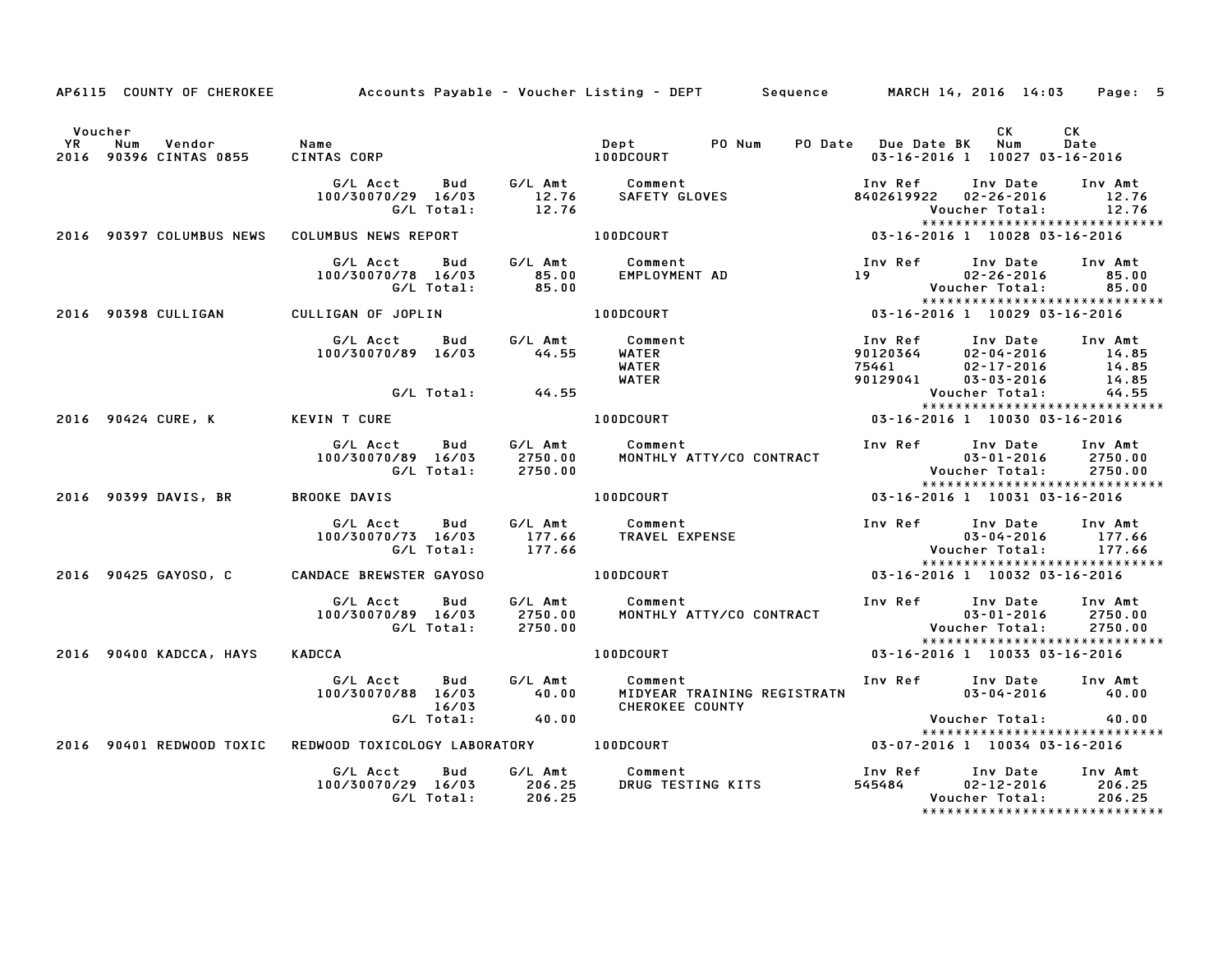|                                        |                                                                   | AP6115 COUNTY OF CHEROKEE Accounts Payable - Voucher Listing - DEPT Sequence MARCH 14, 2016 14:03 Page: 5                                                                                                                               |                                                                                                                                           |                |
|----------------------------------------|-------------------------------------------------------------------|-----------------------------------------------------------------------------------------------------------------------------------------------------------------------------------------------------------------------------------------|-------------------------------------------------------------------------------------------------------------------------------------------|----------------|
| Voucher                                |                                                                   |                                                                                                                                                                                                                                         | CK .<br>03-16-2016 1 10027 03-16-2016                                                                                                     | CK<br>Date     |
|                                        |                                                                   | G/L Acct  Bud  G/L Amt  Comment<br>100/30070/29 16/03  12.76  SAFETY GLOVES<br>G/L Total:  12.76                                                                                                                                        | Inv Ref Inv Date Inv Amt<br>8402619922 02-26-2016<br>Voucher Total:                                                                       | 12.76<br>12.76 |
|                                        | 2016 90397 COLUMBUS NEWS COLUMBUS NEWS REPORT THE RESOLUTE REPORT | .12<br>*****************************<br>10028 03-16-2016 1 0828 03-16-2016                                                                                                                                                              | *****************************                                                                                                             |                |
|                                        | 100/30070/78 16/03                                                |                                                                                                                                                                                                                                         |                                                                                                                                           |                |
| 2016 90398 CULLIGAN CULLIGAN OF JOPLIN |                                                                   | <b>100DCOURT</b>                                                                                                                                                                                                                        |                                                                                                                                           |                |
|                                        |                                                                   | LIGAN OF JOPLIN<br>G/L Acct Bud G/L Amt Comment<br>100/30070/89 16/03     44.55 WATER<br>WATER WATER                                                                                                                                    | Inv Ref      Inv Date     Inv Amt<br>1110 Rev 112<br>90129041 02-04-2016 14.85<br>90129041 03-03-2016 14.85<br>Voucher Total: 44.55       |                |
|                                        | G/L Total: 44.55                                                  |                                                                                                                                                                                                                                         | *****************************                                                                                                             |                |
|                                        | 2016 90424 CURE, K KEVIN T CURE NEWS TO LOODCOURT                 |                                                                                                                                                                                                                                         | 03-16-2016 1 10030 03-16-2016                                                                                                             |                |
|                                        |                                                                   |                                                                                                                                                                                                                                         | Inv Ref      Inv Date     Inv Amt<br>03-01-2016 111Y AML<br>03-01-2016 2750.00<br>09.0379 Voucher Total:<br>***************************** |                |
|                                        |                                                                   |                                                                                                                                                                                                                                         | 03-16-2016 1 10031 03-16-2016                                                                                                             |                |
|                                        |                                                                   |                                                                                                                                                                                                                                         |                                                                                                                                           |                |
|                                        | 2016 90425 GAYOSO, C CANDACE BREWSTER GAYOSO A LOODCOURT          |                                                                                                                                                                                                                                         | 03-16-2016 1 10032 03-16-2016                                                                                                             |                |
|                                        |                                                                   | G/L Acct Bud G/L Amt Comment Inv Ref Inv Date Inv Amt<br>100/30070/89 16/03 2750.00 MONTHLY ATTY/CO CONTRACT 03-01-2016 2750.00<br>G/L Total: 2750.00 MONTHLY ATTY/CO CONTRACT 000-01-2016 2750.00<br>********************************* |                                                                                                                                           |                |
| 2016 90400 KADCCA, HAYS                | KADCCA                                                            | 100DCOURT 03-16-2016 1 10033 03-16-2016                                                                                                                                                                                                 |                                                                                                                                           |                |
|                                        | G/L Acct Bud G/L Amt Comment                                      | 100/30070/88 16/03 16/03<br>100/30070/88 16/03 40.00 MIDYEAR TRAINING REGISTRATN<br>G/L Total: 40.00 CHEROKEE COUNTY<br>G/L Total: 40.00                                                                                                | Inv Ref Inv Date Inv Amt<br>$03 - 04 - 2016$ 40.00                                                                                        |                |
|                                        |                                                                   | 16/03 CHEROKEE COUNTY<br>.40 CHEROKEE COUNTY (CHEROKEE COUNTY POWER TOTAL: 40<br>2016 90401 REDWOOD TOXIC REDWOOD TOXICOLOGY LABORATORY 100DCOURT 03-07-2016 1 10034 03-16-2016                                                         | Voucher Total: 40.00<br>******************************                                                                                    |                |
|                                        |                                                                   |                                                                                                                                                                                                                                         |                                                                                                                                           |                |
|                                        |                                                                   | G/L Acct     Bud     G/L Amt        Comment                          Inv Ref    Inv Date    Inv Amt<br>100/30070/29 16/03      206.25     DRUG TESTING KITS                    545484      02–12–2016      206.25<br>6/L Total:         | *****************************                                                                                                             |                |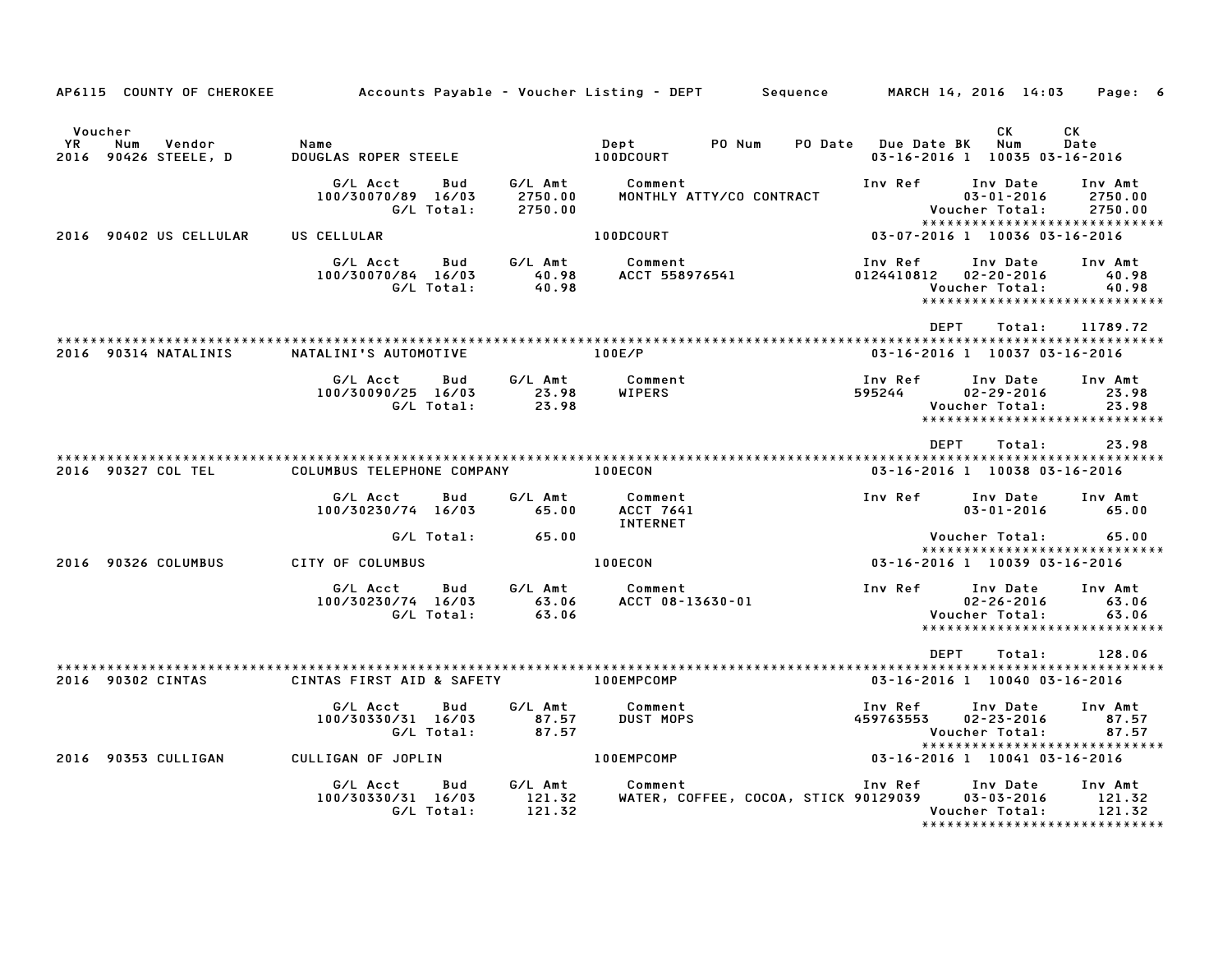| AP6115 COUNTY OF CHEROKEE                              |                                                     |                               | Accounts Payable – Voucher Listing – DEPT         Sequence |                               | MARCH 14, 2016 14:03                              | Page: 6                                                       |
|--------------------------------------------------------|-----------------------------------------------------|-------------------------------|------------------------------------------------------------|-------------------------------|---------------------------------------------------|---------------------------------------------------------------|
| Voucher<br>YR<br>Num<br>Vendor<br>2016 90426 STEELE, D | Name<br><b>DOUGLAS ROPER STEELE</b>                 |                               | Dept<br>PO Num<br>100DCOURT                                | PO Date Due Date BK           | <b>CK</b><br>Num<br>03-16-2016 1 10035 03-16-2016 | CK<br>Date                                                    |
|                                                        | G/L Acct<br>Bud<br>100/30070/89 16/03<br>G/L Total: | G/L Amt<br>2750.00<br>2750.00 | Comment<br>MONTHLY ATTY/CO CONTRACT                        | Inv Ref                       | Inv Date<br>$03 - 01 - 2016$<br>Voucher Total:    | Inv Amt<br>2750.00<br>2750.00                                 |
| 2016 90402 US CELLULAR                                 | US CELLULAR                                         |                               | 100DCOURT                                                  |                               | 03-07-2016 1 10036 03-16-2016                     | ******************************                                |
|                                                        | G/L Acct<br>Bud<br>100/30070/84 16/03<br>G/L Total: | G/L Amt<br>40.98<br>40.98     | Comment<br>ACCT 558976541                                  | Inv Ref<br>0124410812         | Inv Date<br>$02 - 20 - 2016$<br>Voucher Total:    | Inv Amt<br>40.98<br>40.98<br>*****************************    |
|                                                        |                                                     |                               |                                                            | <b>DEPT</b>                   | Total:                                            | 11789.72                                                      |
| 2016 90314 NATALINIS                                   | NATALINI'S AUTOMOTIVE                               |                               | 100E/P                                                     |                               | 03-16-2016 1 10037 03-16-2016                     |                                                               |
|                                                        | G/L Acct<br>Bud<br>100/30090/25 16/03<br>G/L Total: | G/L Amt<br>23.98<br>23.98     | Comment<br>WIPERS                                          | Inv Ref<br>595244             | Inv Date<br>$02 - 29 - 2016$<br>Voucher Total:    | Inv Amt<br>23.98<br>23.98<br>*****************************    |
|                                                        |                                                     |                               |                                                            | <b>DEPT</b>                   | Total:                                            | 23.98                                                         |
| 2016 90327 COL TEL                                     | COLUMBUS TELEPHONE COMPANY                          |                               | 100ECON                                                    |                               | 03-16-2016 1 10038 03-16-2016                     |                                                               |
|                                                        | G/L Acct<br>Bud<br>100/30230/74 16/03               | G/L Amt<br>65.00              | Comment<br>ACCT 7641<br>INTERNET                           | Inv Ref                       | Inv Date<br>$03 - 01 - 2016$                      | Inv Amt<br>65.00                                              |
|                                                        | G/L Total:                                          | 65.00                         |                                                            |                               | Voucher Total:                                    | 65.00<br>*****************************                        |
| 2016 90326 COLUMBUS                                    | CITY OF COLUMBUS                                    |                               | 100ECON                                                    | 03-16-2016 1 10039 03-16-2016 |                                                   |                                                               |
|                                                        | G/L Acct<br>Bud<br>100/30230/74 16/03<br>G/L Total: | G/L Amt<br>63.06<br>63.06     | Comment<br>ACCT 08-13630-01                                | Inv Ref                       | Inv Date<br>$02 - 26 - 2016$<br>Voucher Total:    | Inv Amt<br>63.06<br>63.06<br>*****************************    |
|                                                        |                                                     |                               |                                                            | DEPT                          | Total:                                            | 128.06                                                        |
| 2016 90302 CINTAS                                      | CINTAS FIRST AID & SAFETY                           |                               | 100EMPCOMP                                                 |                               | 03-16-2016 1 10040 03-16-2016                     |                                                               |
|                                                        | G/L Acct<br>Bud<br>100/30330/31 16/03<br>G/L Total: | G/L Amt<br>87.57<br>87.57     | Comment<br><b>DUST MOPS</b>                                | Inv Ref<br>459763553          | Inv Date<br>$02 - 23 - 2016$<br>Voucher Total:    | Inv Amt<br>87.57<br>87.57<br>*****************************    |
| 2016 90353 CULLIGAN                                    | CULLIGAN OF JOPLIN                                  |                               | 100EMPCOMP                                                 | 03-16-2016 1 10041 03-16-2016 |                                                   |                                                               |
|                                                        | G/L Acct<br>Bud<br>100/30330/31 16/03<br>G/L Total: | G/L Amt<br>121.32<br>121.32   | Comment<br>WATER, COFFEE, COCOA, STICK 90129039            | Inv Ref                       | Inv Date<br>03-03-2016<br>Voucher Total:          | Inv Amt<br>121.32<br>121.32<br>****************************** |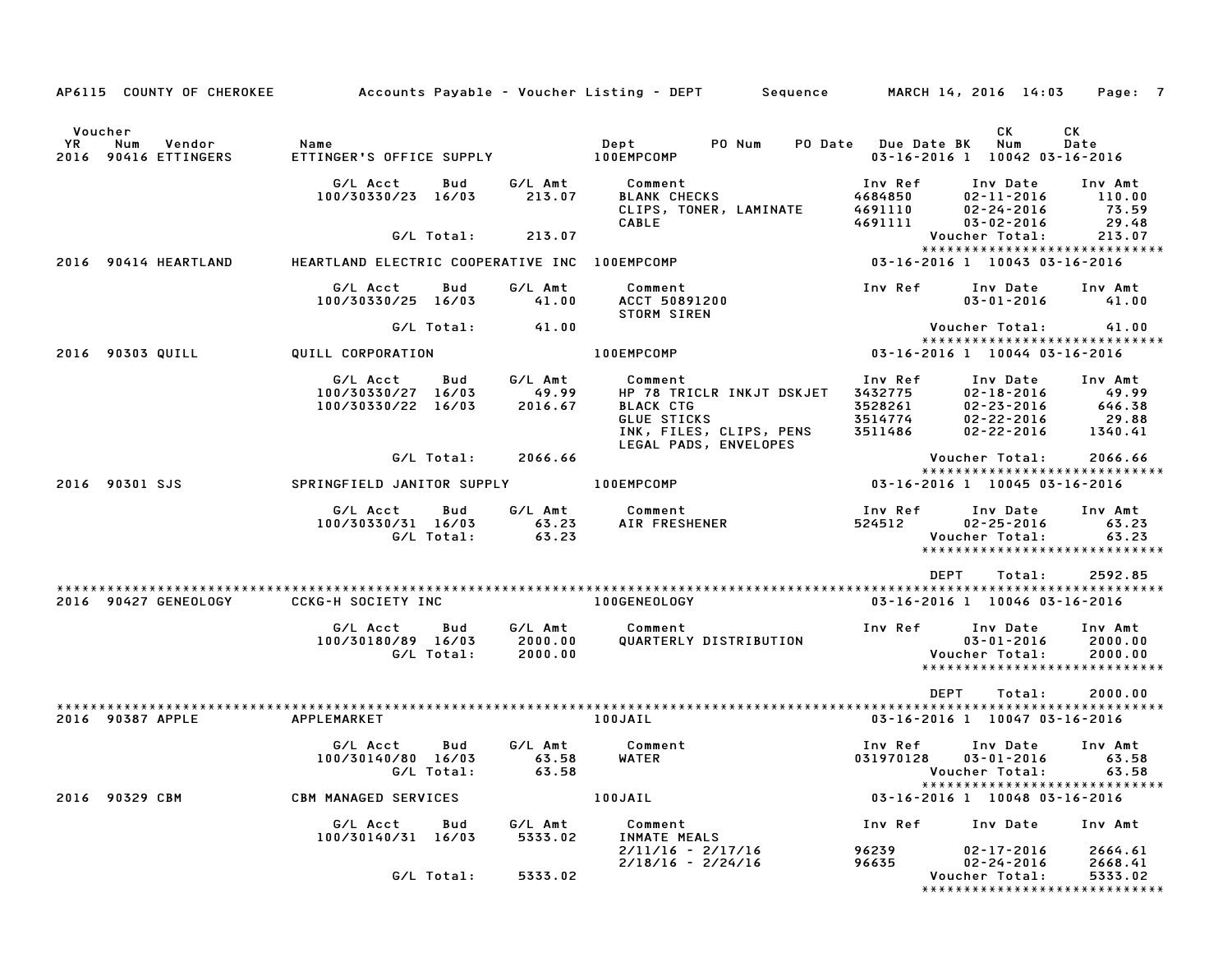| AP6115 COUNTY OF CHEROKEE                              |                                                                 |                               | Accounts Payable – Voucher Listing – DEPT         Sequence                                         |                                                     | MARCH 14, 2016 14:03                                                               | Page: 7                                                         |
|--------------------------------------------------------|-----------------------------------------------------------------|-------------------------------|----------------------------------------------------------------------------------------------------|-----------------------------------------------------|------------------------------------------------------------------------------------|-----------------------------------------------------------------|
|                                                        |                                                                 |                               |                                                                                                    |                                                     |                                                                                    |                                                                 |
| Voucher<br>YR<br>Num<br>Vendor<br>2016 90416 ETTINGERS | Name<br>ETTINGER'S OFFICE SUPPLY                                |                               | Dept<br>PO Num<br><b>100EMPCOMP</b>                                                                | PO Date Due Date BK                                 | CK<br>Num<br>03-16-2016 1 10042 03-16-2016                                         | СK<br>Date                                                      |
|                                                        | G/L Acct<br>Bud<br>100/30330/23 16/03                           | G/L Amt<br>213.07             | Comment<br><b>BLANK CHECKS</b><br>CLIPS, TONER, LAMINATE                                           | Inv Ref<br>4684850<br>4691110<br>4691111            | Inv Date<br>$02 - 11 - 2016$<br>$02 - 24 - 2016$                                   | Inv Amt<br>110.00<br>73.59<br>29.48                             |
|                                                        | G/L Total:                                                      | 213.07                        | <b>CABLE</b>                                                                                       |                                                     | $03 - 02 - 2016$<br>Voucher Total:                                                 | 213.07                                                          |
| 2016 90414 HEARTLAND                                   | HEARTLAND ELECTRIC COOPERATIVE INC 100EMPCOMP                   |                               |                                                                                                    |                                                     | 03-16-2016 1 10043 03-16-2016                                                      | *****************************                                   |
|                                                        | G/L Acct<br>Bud<br>100/30330/25 16/03                           | G/L Amt<br>41.00              | Comment<br>ACCT 50891200<br><b>STORM SIREN</b>                                                     | Inv Ref                                             | Inv Date<br>$03 - 01 - 2016$                                                       | Inv Amt<br>41.00                                                |
|                                                        | G/L Total:                                                      | 41.00                         |                                                                                                    |                                                     | Voucher Total:                                                                     | 41.00                                                           |
| 2016 90303 QUILL                                       | QUILL CORPORATION                                               |                               | 100EMPCOMP                                                                                         |                                                     | 03-16-2016 1 10044 03-16-2016                                                      | *****************************                                   |
|                                                        | G/L Acct<br>Bud<br>100/30330/27 16/03<br>100/30330/22 16/03     | G/L Amt<br>49.99<br>2016.67   | Comment<br>HP 78 TRICLR INKJT DSKJET<br><b>BLACK CTG</b><br>GLUE STICKS<br>INK, FILES, CLIPS, PENS | Inv Ref<br>3432775<br>3528261<br>3514774<br>3511486 | Inv Date<br>$02 - 18 - 2016$<br>$02 - 23 - 2016$<br>02-22-2016<br>$02 - 22 - 2016$ | Inv Amt<br>49.99<br>646.38<br>29.88<br>1340.41                  |
|                                                        | G/L Total:                                                      | 2066.66                       | LEGAL PADS, ENVELOPES                                                                              |                                                     | Voucher Total:                                                                     | 2066.66                                                         |
| 2016 90301 SJS                                         | SPRINGFIELD JANITOR SUPPLY                                      |                               | <b>100EMPCOMP</b>                                                                                  |                                                     | 03-16-2016 1 10045 03-16-2016                                                      | *****************************                                   |
|                                                        | G/L Acct<br>Bud<br>100/30330/31 16/03<br>G/L Total:             | G/L Amt<br>63.23<br>63.23     | Comment<br>AIR FRESHENER                                                                           | Inv Ref<br>524512                                   | Inv Date<br>$02 - 25 - 2016$<br>Voucher Total:                                     | Inv Amt<br>63.23<br>63.23<br>*****************************      |
|                                                        |                                                                 |                               |                                                                                                    | <b>DEPT</b>                                         | Total:                                                                             | 2592.85                                                         |
| 2016 90427 GENEOLOGY                                   | <b>CCKG-H SOCIETY INC</b>                                       |                               | <b>100GENEOLOGY</b>                                                                                |                                                     | 03-16-2016 1 10046 03-16-2016                                                      |                                                                 |
|                                                        | Bud<br>G/L Acct<br>100/30180/89 16/03<br>G/L Total:             | G/L Amt<br>2000.00<br>2000.00 | Comment<br>QUARTERLY DISTRIBUTION                                                                  | Inv Ref                                             | Inv Date<br>$03 - 01 - 2016$<br>Voucher Total:                                     | Inv Amt<br>2000.00<br>2000.00<br>****************************** |
| 2016 90387 APPLE                                       | APPLEMARKET                                                     |                               | 100JAIL                                                                                            | <b>DEPT</b>                                         | Total:<br>03-16-2016 1 10047 03-16-2016                                            | 2000.00                                                         |
|                                                        | G/L Acct<br>Bud<br>100/30140/80 16/03 63.58 WATER<br>G/L Total: | G/L Amt<br>63.58              | Comment                                                                                            | Inv Ref<br>031970128  03-01-2016  63.58             | Inv Date<br>Voucher Total:                                                         | Inv Amt<br>63.58                                                |
| 2016 90329 CBM                                         | <b>CBM MANAGED SERVICES</b>                                     |                               | 100JAIL                                                                                            |                                                     | 03-16-2016 1 10048 03-16-2016                                                      | *****************************                                   |
|                                                        | G/L Acct<br>Bud                                                 | G/L Amt<br>5333.02            | Comment                                                                                            | Inv Ref                                             | Inv Date                                                                           | Inv Amt                                                         |
|                                                        | 100/30140/31 16/03<br>G/L Total:                                | 5333.02                       | INMATE MEALS<br>2/11/16 - 2/17/16<br>$2/18/16 - 2/24/16$                                           | 96239<br>96635                                      | 02-17-2016<br>$02 - 24 - 2016$<br>Voucher Total:                                   | 2664.61<br>2668.41<br>5333.02<br>****************************** |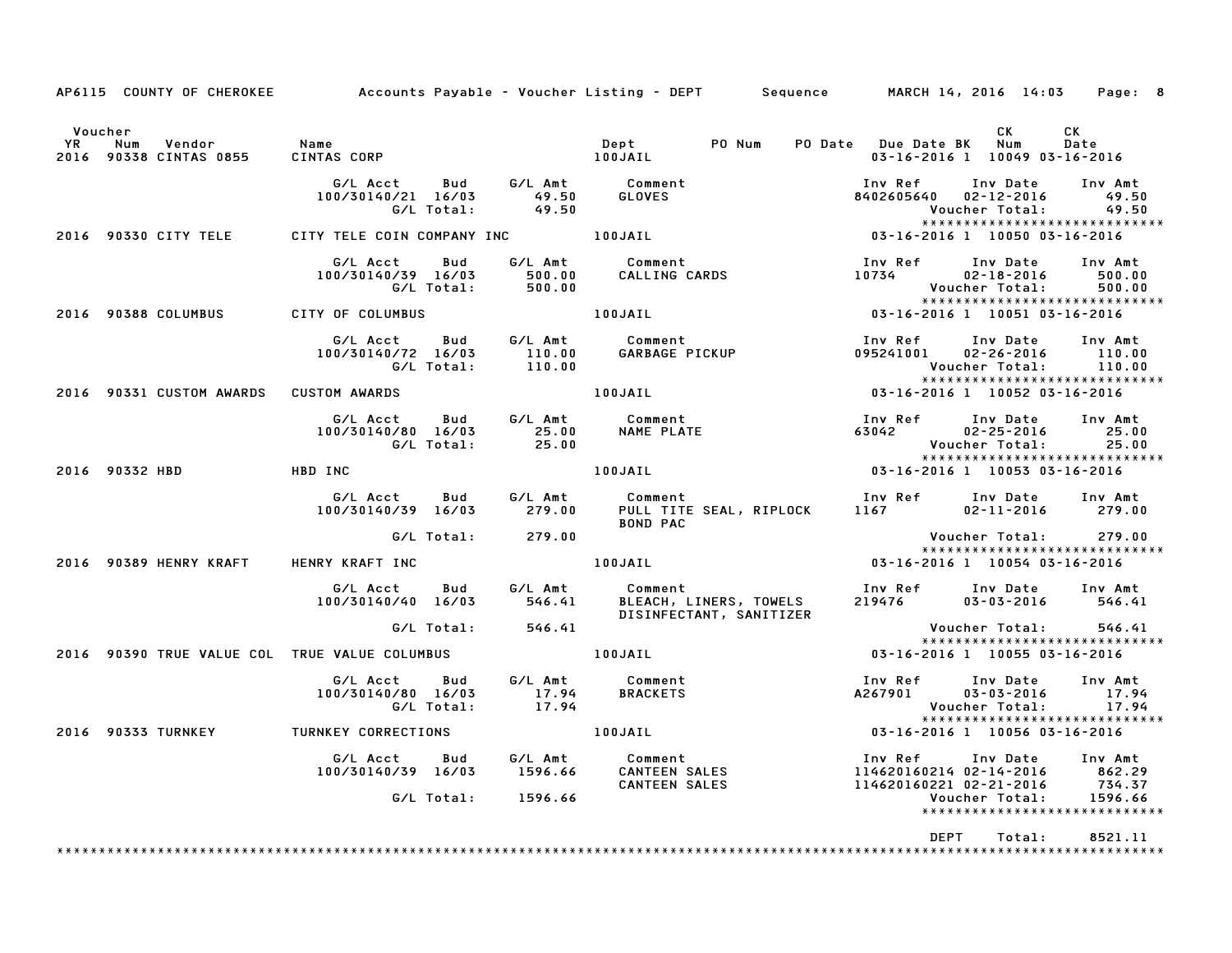|                      | AP6115 COUNTY OF CHEROKEE                    |                                                                                                                                                |                    | Accounts Payable – Voucher Listing – DEPT       Sequence       MARCH 14, 2016 14:03                                                                                                                                                               |                                                                                                             | Page: 8                     |
|----------------------|----------------------------------------------|------------------------------------------------------------------------------------------------------------------------------------------------|--------------------|---------------------------------------------------------------------------------------------------------------------------------------------------------------------------------------------------------------------------------------------------|-------------------------------------------------------------------------------------------------------------|-----------------------------|
| Voucher<br><b>YR</b> | Num<br>Vendor Name<br>2016 90338 CINTAS 0855 | CINTAS CORP 100JAIL                                                                                                                            |                    | Dept<br>PO Num                                                                                                                                                                                                                                    | CK<br>PO Date Due Date BK Num<br>03-16-2016 1 10049 03-16-2016                                              | CK<br>Date                  |
|                      |                                              | G/L Acct        Bud         G/L Amt          Comment<br>100/30140/21   16/03           49.50        GLOVES<br>100/30140/21 16/03<br>G/L Total: | 49.50              |                                                                                                                                                                                                                                                   | Inv Ref Inv Date Inv Amt<br>8402605640 02-12-2016<br>Voucher Total:<br>*****************************        | 49.50<br>49.50              |
|                      | 2016 90330 CITY TELE                         |                                                                                                                                                |                    | יט אינגר וואס איי דודרי של CITY TELE COIN COMPANY INC<br>CITY TELE COIN COMPANY INC LOOJAIL                                                                                                                                                       | 03-16-2016 1 10050 03-16-2016                                                                               |                             |
|                      |                                              | G/L Acct<br>100/30140/39 16/03                                                                                                                 |                    | cct Bud G/LAmt Comment<br>40/39 16/03   500.00   CALLING_CARDS<br>G/L_Total:   500.00                                                                                                                                                             | Inv Ref<br>Inv Date<br>10734<br>$02 - 18 - 2016$<br>Voucher Total:<br>*****************************         | Inv Amt<br>500.00<br>500.00 |
|                      | 2016 90388 COLUMBUS                          | CITY OF COLUMBUS                                                                                                                               |                    | 100JAIL <b>Automatic Structure</b>                                                                                                                                                                                                                | $03 - 16 - 2016$ 1 10051 03-16-2016                                                                         |                             |
|                      |                                              | G/L Acct   Bud<br>100/30140/72 16/03                                                                                                           |                    | Comment در سبت در Comment<br>140/72 16/03 110.00 GARBAGE PICKUP<br>110.00 GARBAGE PICKUP                                                                                                                                                          | Inv Ref Inv Date<br>095241001 02-26-2016<br>Voucher Total:                                                  | Inv Amt<br>110.00<br>110.00 |
|                      | 2016 90331 CUSTOM AWARDS CUSTOM AWARDS       |                                                                                                                                                |                    | 100JAIL                                                                                                                                                                                                                                           | 03-16-2016 1 10052 03-16-2016                                                                               |                             |
|                      |                                              | G/L Acct Bud<br>100/30140/80 16/03<br>G/L Total:                                                                                               | 25.00<br>25.00     | G/L Amt Comment<br>NAME PLATE AND AND THE STATE OF THE STATE OF THE STATE OF THE STATE OF THE STATE OF THE STATE OF THE STATE OF THE STATE OF THE STATE OF THE STATE OF THE STATE OF THE STATE OF THE STATE OF THE STATE OF THE STATE OF THE STAT | Inv Ref Inv Date Inv Amt<br>63042 02-25-2016 25.00<br>Voucher Total: 25.00<br>***************************** |                             |
|                      | HBD INC<br>2016 90332 HBD                    |                                                                                                                                                |                    | 100JAIL                                                                                                                                                                                                                                           |                                                                                                             |                             |
|                      |                                              |                                                                                                                                                |                    | <b>BOND PAC</b>                                                                                                                                                                                                                                   | Inv Ref      Inv Date<br>1167<br>$02 - 11 - 2016$                                                           | Inv Amt<br>279.00           |
|                      |                                              | G/L Total: 279.00                                                                                                                              |                    |                                                                                                                                                                                                                                                   | Voucher Total:<br>*****************************                                                             | 279.00                      |
|                      | 2016 90389 HENRY KRAFT                       | HENRY KRAFT INC                                                                                                                                |                    | 100JAIL                                                                                                                                                                                                                                           | 03-16-2016 1 10054 03-16-2016                                                                               |                             |
|                      |                                              |                                                                                                                                                |                    | G/L Acct bud G/L Amt Comment<br>100/30140/40 16/03 546.41 BLEACH, LINERS, TOWELS<br>DISINFECTANT, SANITIZER                                                                                                                                       | Inv Ref Inv Date Inv Amt<br>219476                                                                          | 03-03-2016 546.41           |
|                      |                                              | G/L Total: 546.41                                                                                                                              |                    |                                                                                                                                                                                                                                                   | Voucher Total:<br>******************************                                                            | 546.41                      |
|                      |                                              | 2016 90390 TRUE VALUE COL TRUE VALUE COLUMBUS                                                                                                  |                    | 100JAIL                                                                                                                                                                                                                                           | 03-16-2016 1 10055 03-16-2016                                                                               |                             |
|                      |                                              | G/L Acct Bud<br>100/30140/80 16/03<br>G/L Total:                                                                                               | $17.94$<br>$17.94$ | G/L Amt Comment<br><b>BRACKETS</b>                                                                                                                                                                                                                | Inv Ref      Inv Date<br>A267901<br>$03 - 03 - 2016$<br>Voucher Total:                                      | Inv Amt<br>17.94<br>17.94   |
|                      | 2016 90333 TURNKEY                           | <b>TURNKEY CORRECTIONS</b>                                                                                                                     |                    | 100JAIL                                                                                                                                                                                                                                           | 03-16-2016 1 10056 03-16-2016                                                                               |                             |
|                      |                                              |                                                                                                                                                |                    | www.charrows.com/ www.charrows.com/ www.charrows.com/ www.charrows.com/ www.charrows.com/ www.charrows.com/ ww<br>100/30140/39 16/03 1596.66 CANTEEN SALES 114620160214 02–14–2016 862.29<br>CANTEEN SALES 114620160221 02–21–2016                |                                                                                                             |                             |
|                      |                                              |                                                                                                                                                |                    |                                                                                                                                                                                                                                                   | *****************************                                                                               |                             |
|                      |                                              |                                                                                                                                                |                    |                                                                                                                                                                                                                                                   | <b>DEPT</b><br>Total:                                                                                       | 8521.11                     |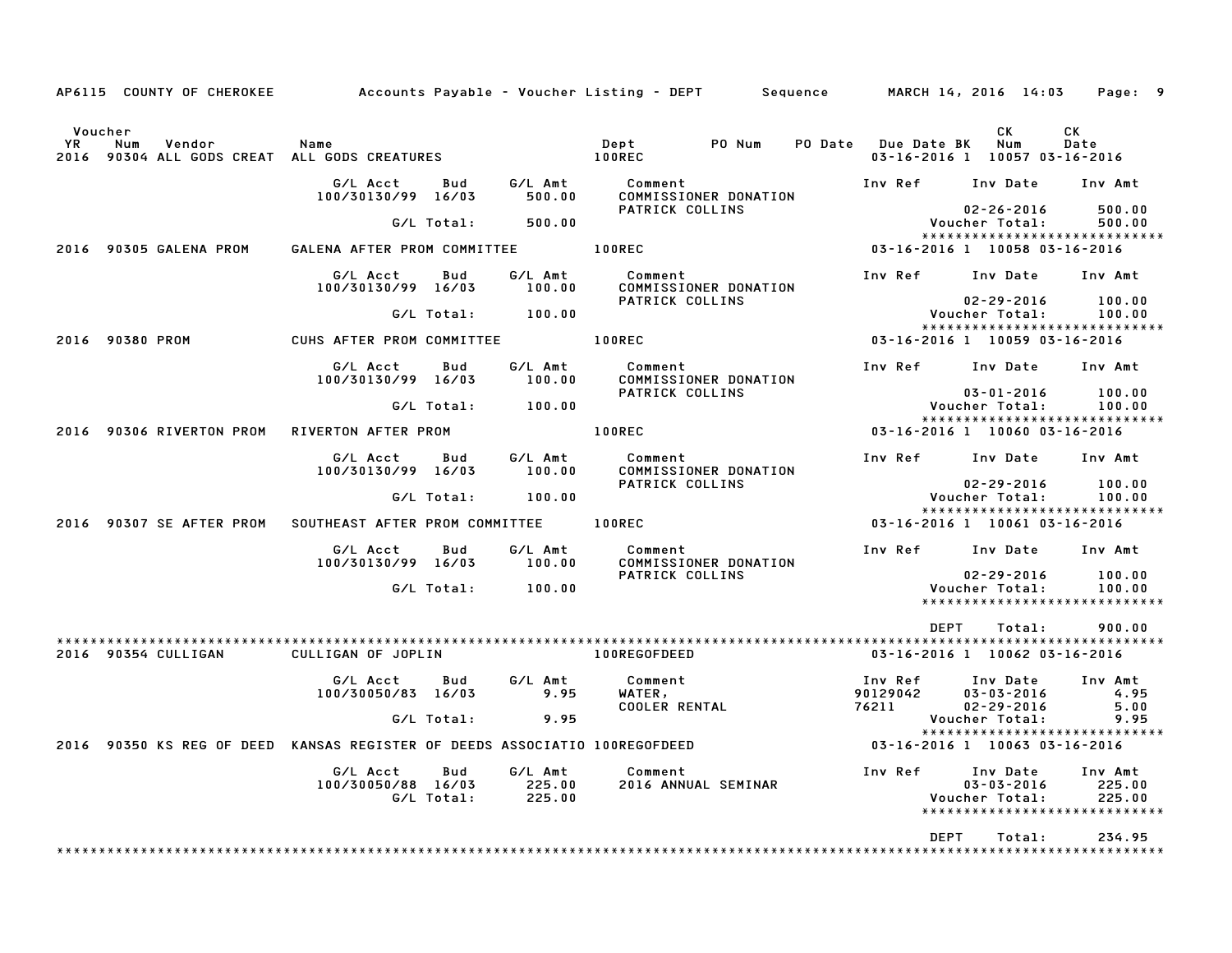| AP6115 COUNTY OF CHEROKEE                                                         |                                              |     |                             | Accounts Payable – Voucher Listing – DEPT         Sequence |         |                               | MARCH 14, 2016 14:03                             | Page: 9                                                      |
|-----------------------------------------------------------------------------------|----------------------------------------------|-----|-----------------------------|------------------------------------------------------------|---------|-------------------------------|--------------------------------------------------|--------------------------------------------------------------|
| Voucher<br>YR<br>Num<br>Vendor<br>90304 ALL GODS CREAT ALL GODS CREATURES<br>2016 | Name                                         |     |                             | Dept<br>PO Num<br>100REC                                   | PO Date | <b>Due Date BK</b>            | CK.<br>Num<br>03-16-2016 1 10057 03-16-2016      | СK<br>Date                                                   |
|                                                                                   | G/L Acct<br>100/30130/99 16/03               | Bud | G/L Amt<br>500.00           | Comment<br>COMMISSIONER DONATION                           |         | Inv Ref                       | Inv Date                                         | Inv Amt                                                      |
|                                                                                   | G/L Total:                                   |     | 500.00                      | PATRICK COLLINS                                            |         |                               | $02 - 26 - 2016$<br>Voucher Total:               | 500.00<br>500.00                                             |
| 2016 90305 GALENA PROM                                                            | GALENA AFTER PROM COMMITTEE                  |     |                             | 100REC                                                     |         |                               | 03-16-2016 1 10058 03-16-2016                    | *****************************                                |
|                                                                                   | G/L Acct<br>100/30130/99 16/03               | Bud | G/L Amt<br>100.00           | Comment<br>COMMISSIONER DONATION                           |         | Inv Ref                       | Inv Date                                         | Inv Amt                                                      |
|                                                                                   | G/L Total:                                   |     | 100.00                      | PATRICK COLLINS                                            |         |                               | $02 - 29 - 2016$<br>Voucher Total:               | 100.00<br>100.00                                             |
| 2016 90380 PROM                                                                   | CUHS AFTER PROM COMMITTEE                    |     |                             | $100$ REC                                                  |         |                               | 03-16-2016 1 10059 03-16-2016                    | *****************************                                |
|                                                                                   | G/L Acct<br>100/30130/99 16/03               | Bud | G/L Amt<br>100.00           | Comment<br>COMMISSIONER DONATION                           |         | Inv Ref                       | Inv Date                                         | Inv Amt                                                      |
|                                                                                   | G/L Total:                                   |     | 100.00                      | PATRICK COLLINS                                            |         |                               | $03 - 01 - 2016$<br>Voucher Total:               | 100.00<br>100.00                                             |
| 2016 90306 RIVERTON PROM                                                          | RIVERTON AFTER PROM                          |     |                             | 100REC                                                     |         |                               | 03-16-2016 1 10060 03-16-2016                    | *****************************                                |
|                                                                                   | G/L Acct<br>100/30130/99 16/03               | Bud | G/L Amt<br>100.00           | Comment<br>COMMISSIONER DONATION                           |         | Inv Ref                       | Inv Date                                         | Inv Amt                                                      |
|                                                                                   | G/L Total:                                   |     | 100.00                      | PATRICK COLLINS                                            |         |                               | $02 - 29 - 2016$<br>Voucher Total:               | 100.00<br>100.00                                             |
| 2016 90307 SE AFTER PROM                                                          | SOUTHEAST AFTER PROM COMMITTEE               |     |                             | <b>100REC</b>                                              |         |                               | 03-16-2016 1 10061 03-16-2016                    | ******************************                               |
|                                                                                   | G/L Acct                                     | Bud | G/L Amt                     | Comment                                                    |         | Inv Ref                       | Inv Date                                         | Inv Amt                                                      |
|                                                                                   | 100/30130/99 16/03                           |     | 100.00                      | COMMISSIONER DONATION<br>PATRICK COLLINS                   |         |                               | $02 - 29 - 2016$                                 | 100.00                                                       |
|                                                                                   | G/L Total:                                   |     | 100.00                      |                                                            |         |                               | Voucher Total:                                   | 100.00<br>*****************************                      |
|                                                                                   |                                              |     |                             |                                                            |         | <b>DEPT</b>                   | Total:                                           | 900.00                                                       |
| 2016 90354 CULLIGAN                                                               | CULLIGAN OF JOPLIN                           |     |                             | 100REGOFDEED                                               |         |                               | 03-16-2016 1 10062 03-16-2016                    |                                                              |
|                                                                                   | G/L Acct<br>100/30050/83 16/03               | Bud | G/L Amt<br>9.95             | Comment<br>WATER,<br><b>COOLER RENTAL</b>                  |         | Inv Ref<br>90129042<br>76211  | Inv Date<br>$03 - 03 - 2016$<br>$02 - 29 - 2016$ | Inv Amt<br>4.95<br>5.00                                      |
|                                                                                   | G/L Total:                                   |     | 9.95                        |                                                            |         |                               | Voucher Total:                                   | 9.95<br>*****************************                        |
| 2016 90350 KS REG OF DEED KANSAS REGISTER OF DEEDS ASSOCIATIO 100REGOFDEED        |                                              |     |                             |                                                            |         | 03-16-2016 1 10063 03-16-2016 |                                                  |                                                              |
|                                                                                   | G/L Acct<br>100/30050/88 16/03<br>G/L Total: | Bud | G/L Amt<br>225.00<br>225.00 | Comment<br>2016 ANNUAL SEMINAR                             |         | Inv Ref                       | Inv Date<br>$03 - 03 - 2016$<br>Voucher Total:   | Inv Amt<br>225.00<br>225.00<br>***************************** |
|                                                                                   |                                              |     |                             |                                                            |         | <b>DEPT</b>                   | Total:                                           | 234.95                                                       |
|                                                                                   |                                              |     |                             |                                                            |         |                               |                                                  | ****************************                                 |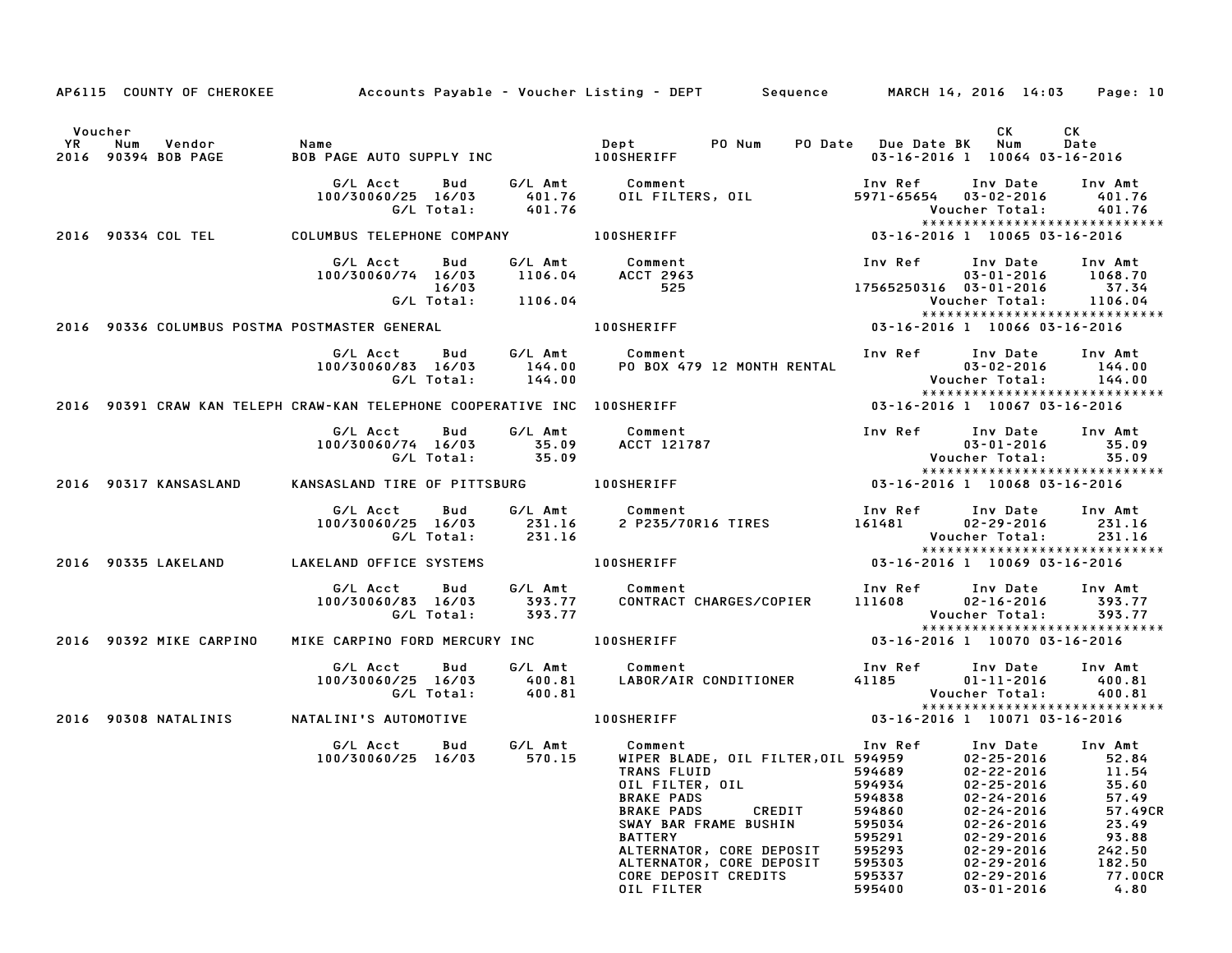|         |                         |                                                                          |              |                    | AP6115 COUNTY OF CHEROKEE Accounts Payable - Voucher Listing - DEPT Sequence MARCH 14, 2016 14:03 Page: 10                                                                                                                                                                                                                                      |                                                                                        |                                                                                                                                                                                                     |                                                                                     |
|---------|-------------------------|--------------------------------------------------------------------------|--------------|--------------------|-------------------------------------------------------------------------------------------------------------------------------------------------------------------------------------------------------------------------------------------------------------------------------------------------------------------------------------------------|----------------------------------------------------------------------------------------|-----------------------------------------------------------------------------------------------------------------------------------------------------------------------------------------------------|-------------------------------------------------------------------------------------|
| Voucher |                         |                                                                          |              |                    |                                                                                                                                                                                                                                                                                                                                                 |                                                                                        | CK                                                                                                                                                                                                  | CK                                                                                  |
|         |                         |                                                                          |              |                    |                                                                                                                                                                                                                                                                                                                                                 | PO Date Due Date BK Num                                                                | 03-16-2016 1 10064 03-16-2016                                                                                                                                                                       | Date                                                                                |
|         |                         |                                                                          |              | G/L Total: 401.76  |                                                                                                                                                                                                                                                                                                                                                 |                                                                                        | Inv Ref      Inv Date     Inv Amt<br>$5971 - 65654$ $03 - 02 - 2016$ 401.76<br>Voucher Total: 401.76                                                                                                |                                                                                     |
|         |                         |                                                                          |              |                    | 2016 90334 COL TEL COLUMBUS TELEPHONE COMPANY 100SHERIFF 6 2016 1005-16-2016 1 10065 03-16-2016                                                                                                                                                                                                                                                 |                                                                                        | *****************************                                                                                                                                                                       |                                                                                     |
|         |                         | G/L Acct<br>100/30060/74 16/03 1106.04 ACCT 2963                         | Bud<br>16/03 | G/L Total: 1106.04 | G/L Amt Comment<br>525                                                                                                                                                                                                                                                                                                                          |                                                                                        | Inv Ref      Inv Date     Inv Amt<br>03-01-2016      1068.70<br>17565250316 03-01-2016 37.34<br>Voucher Total: 1106.04                                                                              |                                                                                     |
|         |                         | 2016 90336 COLUMBUS POSTMA POSTMASTER GENERAL                            |              |                    |                                                                                                                                                                                                                                                                                                                                                 |                                                                                        | *****************************                                                                                                                                                                       |                                                                                     |
|         |                         | G/LAcct Bud<br>100/30060/83 16/03                                        | G/L Total:   |                    |                                                                                                                                                                                                                                                                                                                                                 |                                                                                        | *****************************                                                                                                                                                                       |                                                                                     |
|         |                         | 2016 90391 CRAW KAN TELEPH CRAW-KAN TELEPHONE COOPERATIVE INC 100SHERIFF |              |                    |                                                                                                                                                                                                                                                                                                                                                 |                                                                                        | 03-16-2016 1 10067 03-16-2016                                                                                                                                                                       |                                                                                     |
|         |                         | G/L Acct                                                                 | Bud          |                    | G/L Amt Comment<br>100/30060/74 16/03 35.09 ACCT 121787<br>G/L Total: 35.09                                                                                                                                                                                                                                                                     |                                                                                        | Inv Ref Inv Date Inv Amt<br>$03 - 01 - 2016$ 35.09<br>Voucher Total: 35.09<br>******************************                                                                                        |                                                                                     |
|         | 2016 90317 KANSASLAND   | KANSASLAND TIRE OF PITTSBURG 100SHERIFF                                  |              |                    |                                                                                                                                                                                                                                                                                                                                                 |                                                                                        |                                                                                                                                                                                                     |                                                                                     |
|         |                         | G/L Acct Bud<br>100/30060/25 16/03 231.16                                |              | G/L Total: 231.16  | G/L Amt         Comment<br>231.16      2P235/70R16 TIRES                                                                                                                                                                                                                                                                                        | 161481 02-29-2016                                                                      | Inv Ref Inv Date Inv Amt<br>Voucher Total: 231.16<br>*****************************                                                                                                                  | 231.16                                                                              |
|         | 2016 90335 LAKELAND     | LAKELAND OFFICE SYSTEMS 100SHERIFF                                       |              |                    |                                                                                                                                                                                                                                                                                                                                                 |                                                                                        | 03-16-2016 1 10069 03-16-2016                                                                                                                                                                       |                                                                                     |
|         |                         |                                                                          | G/L Total:   | 393.77             | G/L Acct Bud G/L Amt Comment Inv Ref Inv Date Inv Amt<br>100/30060/83 16/03 393.77 CONTRACT CHARGES/COPIER 111608 02–16–2016 393.77<br>G/L Total: 393.77 CONTRACT CHARGES/COPIER 111608 02–16–2016 393.77                                                                                                                                       |                                                                                        | Voucher Total: 393.77<br>*****************************                                                                                                                                              |                                                                                     |
|         | 2016 90392 MIKE CARPINO | MIKE CARPINO FORD MERCURY INC DOSHERIFF                                  |              |                    |                                                                                                                                                                                                                                                                                                                                                 |                                                                                        | 03-16-2016 1 10070 03-16-2016                                                                                                                                                                       |                                                                                     |
|         |                         | G/L Acct Bud                                                             |              |                    | G/L Amt Comment<br>100/30060/25 16/03 400.81 LABOR/AIR CONDITIONER<br>G/L Total: 400.81                                                                                                                                                                                                                                                         |                                                                                        | Inv Ref      Inv Date     Inv Amt<br>41185 01-11-2016 400.81<br>Voucher Total: 400.81<br>*****************************                                                                              |                                                                                     |
|         | 2016 90308 NATALINIS    |                                                                          |              |                    | NATALINI'S AUTOMOTIVE                       100SHERIFF                             03-16-2016 1 10071 03-16-2016                                                                                                                                                                                                                                |                                                                                        |                                                                                                                                                                                                     |                                                                                     |
|         |                         | G/L Acct                                                                 | Bud          |                    | G/L Amt Comment<br>570 15 WIPER BLA<br>100/30060/25 16/03    570.15   WIPER BLADE,OIL FILTER,OIL 594959    02-25-2016    52.84<br>TRANS FLUID<br>OIL FILTER, OIL<br><b>BRAKE PADS</b><br><b>BRAKE PADS</b><br>CREDIT<br>SWAY BAR FRAME BUSHIN<br><b>BATTERY</b><br>ALTERNATOR, CORE DEPOSIT<br>ALTERNATOR, CORE DEPOSIT<br>CORE DEPOSIT CREDITS | 594689<br>594934<br>594838<br>594860<br>595034<br>595291<br>595293<br>595303<br>595337 | Inv Ref      Inv Date     Inv Amt<br>02-22-2016<br>$02 - 25 - 2016$<br>$02 - 24 - 2016$<br>02-24-2016<br>02-26-2016<br>$02 - 29 - 2016$<br>$02 - 29 - 2016$<br>$02 - 29 - 2016$<br>$02 - 29 - 2016$ | 11.54<br>35.60<br>57.49<br>57.49CR<br>23.49<br>93.88<br>242.50<br>182.50<br>77.00CR |
|         |                         |                                                                          |              |                    | OIL FILTER                                                                                                                                                                                                                                                                                                                                      | 595400                                                                                 | $03 - 01 - 2016$                                                                                                                                                                                    | 4.80                                                                                |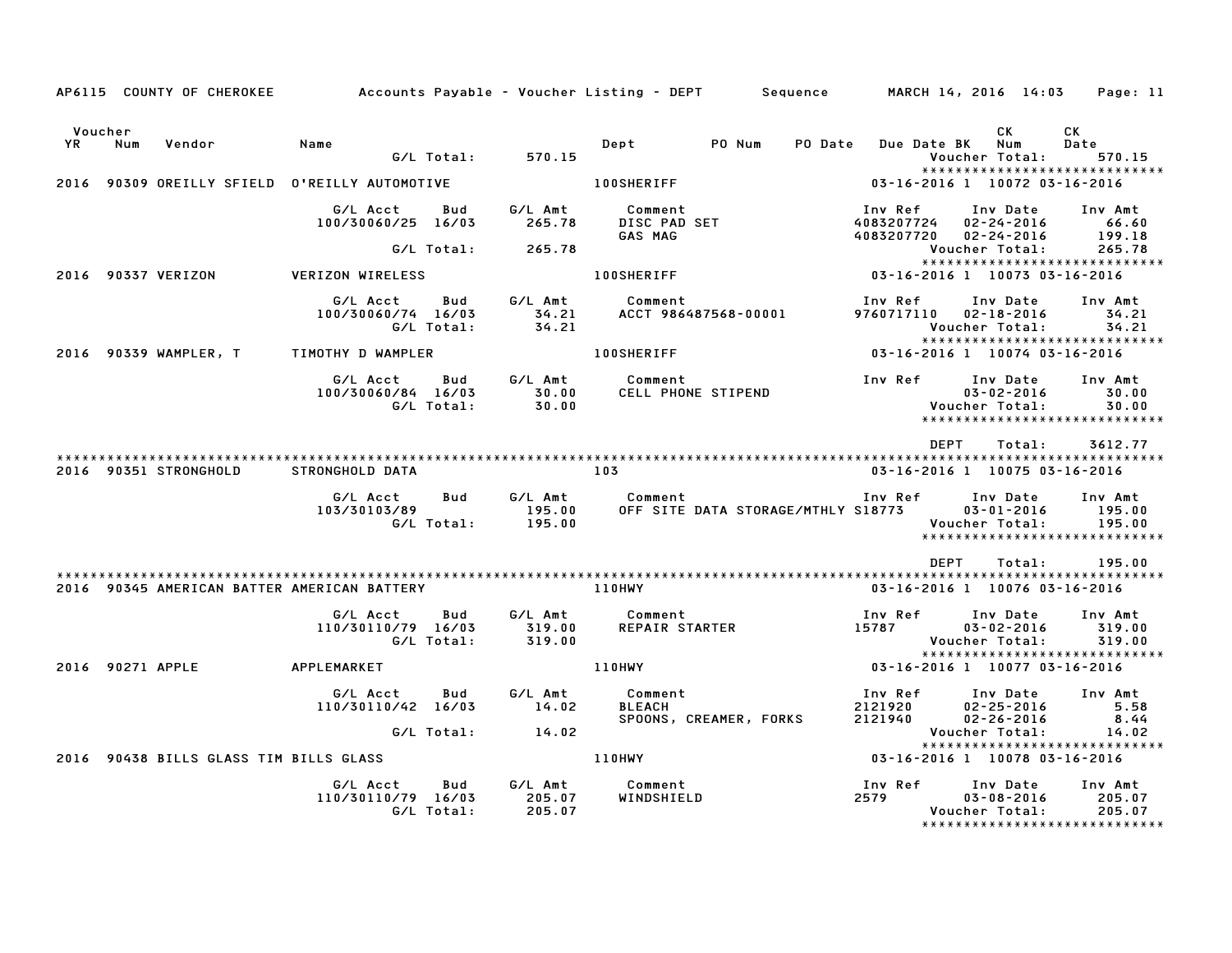|               |                  |                       |                                               |                   |                             | AP6115 COUNTY OF CHEROKEE Accounts Payable – Voucher Listing – DEPT Sequence MARCH 14, 2016 14:03 Page: 11 |                  |                                                                                       |                             |
|---------------|------------------|-----------------------|-----------------------------------------------|-------------------|-----------------------------|------------------------------------------------------------------------------------------------------------|------------------|---------------------------------------------------------------------------------------|-----------------------------|
| Voucher<br>YR | Num              | Vendor                | Name                                          | G/L Total:        | 570.15                      | Dept<br>PO Num                                                                                             | <b>PO Date</b>   | СK<br>Num<br><b>Due Date BK</b><br>Voucher Total:                                     | СK<br>Date<br>570.15        |
|               |                  |                       | 2016 90309 OREILLY SFIELD O'REILLY AUTOMOTIVE |                   |                             | <b>100SHERIFF</b>                                                                                          |                  | *****************************<br>03-16-2016 1 10072 03-16-2016                        |                             |
|               |                  |                       | G/L Acct<br>100/30060/25 16/03                | Bud               | G/L Amt<br>265.78           | Comment<br>Comment<br>DISC PAD SET<br>GAS MAG                                                              | Inv Ref          | Inv Date Inv Amt<br>4083207724 02-24-2016 66.60<br>4083207720 02-24-2016              | 199.18                      |
|               |                  |                       |                                               | G/L Total:        | 265.78                      |                                                                                                            |                  | Voucher Total:<br>*****************************                                       | 265.78                      |
|               |                  | 2016 90337 VERIZON    | <b>VERIZON WIRELESS</b>                       |                   |                             | <b>100SHERIFF</b>                                                                                          |                  | 03-16-2016 1 10073 03-16-2016                                                         |                             |
|               |                  |                       | G/L Acct<br>100/30060/74 16/03                | Bud<br>G/L Total: | G/L Amt<br>34.21<br>34.21   | Comment<br>ACCT 986487568-00001                                                                            | Inv Ref          | Inv Date<br>9760717110  02-18-2016<br>Voucher Total:<br>***************************** | Inv Amt<br>34.21<br>34.21   |
|               |                  |                       | 2016 90339 WAMPLER, T TIMOTHY D WAMPLER       |                   |                             | <b>100SHERIFF</b>                                                                                          |                  | 03-16-2016 1 10074 03-16-2016                                                         |                             |
|               |                  |                       | G/L Acct<br>100/30060/84 16/03                | Bud<br>G/L Total: | $\frac{30.00}{30.00}$       | G/L Amt Comment                                                                                            |                  | Inv Date<br>$03 - 02 - 2016$<br>Voucher Total:<br>*****************************       | Inv Amt<br>30.00<br>30.00   |
|               |                  | 2016 90351 STRONGHOLD | STRONGHOLD DATA                               |                   |                             | 103                                                                                                        |                  | <b>DEPT</b><br>Total:<br>03-16-2016 1 10075 03-16-2016                                | 3612.77                     |
|               |                  |                       | G/L Acct<br>103/30103/89                      | <b>Bud</b>        | 195.00<br>G/L Total: 195.00 | G/L Amt Comment<br>OFF SITE DATA STORAGE/MTHLY S18773 03-01-2016                                           |                  | Inv Ref      Inv Date<br>Voucher Total:<br>******************************             | Inv Amt<br>195.00<br>195.00 |
|               |                  |                       | 2016 90345 AMERICAN BATTER AMERICAN BATTERY   |                   |                             | <b>110HWY</b>                                                                                              |                  | DEPT<br>Total:<br>03-16-2016 1 10076 03-16-2016                                       | 195.00                      |
|               |                  |                       | G/L Acct<br>110/30110/79 16/03                | Bud<br>G/L Total: | 319.00<br>319.00            | G/L Amt Comment<br>REPAIR STARTER                                                                          | Inv Ref<br>15787 | Inv Date<br>$03 - 02 - 2016$<br>Voucher Total:<br>******************************      | Inv Amt<br>319.00<br>319.00 |
|               | 2016 90271 APPLE |                       | APPLEMARKET                                   |                   |                             | <b>110HWY</b>                                                                                              |                  | 03-16-2016 1 10077 03-16-2016                                                         |                             |
|               |                  |                       | G/L Acct<br>110/30110/42 16/03                | Bud               | G/L Amt<br>14.02            | Comment<br><b>BLEACH</b><br>SPOONS, CREAMER, FORKS                                                         | Inv Ref          | Inv Date<br>2121920 02-25-2016<br>2121940 02-26-2016<br>$02 - 25 - 2016$              | Inv Amt<br>5.58<br>8.44     |
|               |                  |                       |                                               | G/L Total:        | 14.02                       |                                                                                                            |                  | Voucher Total:                                                                        | 14.02                       |
|               |                  |                       | 2016 90438 BILLS GLASS TIM BILLS GLASS        |                   |                             | <b>110HWY</b>                                                                                              |                  | *****************************<br>03-16-2016 1 10078 03-16-2016                        |                             |
|               |                  |                       | G/L Acct<br>110/30110/79 16/03                | Bud<br>G/L Total: | G/L Amt<br>205.07<br>205.07 | Comment<br>WINDSHIELD                                                                                      | Inv Ref<br>2579  | Inv Date<br>$03 - 08 - 2016$<br>Voucher Total:                                        | Inv Amt<br>205.07<br>205.07 |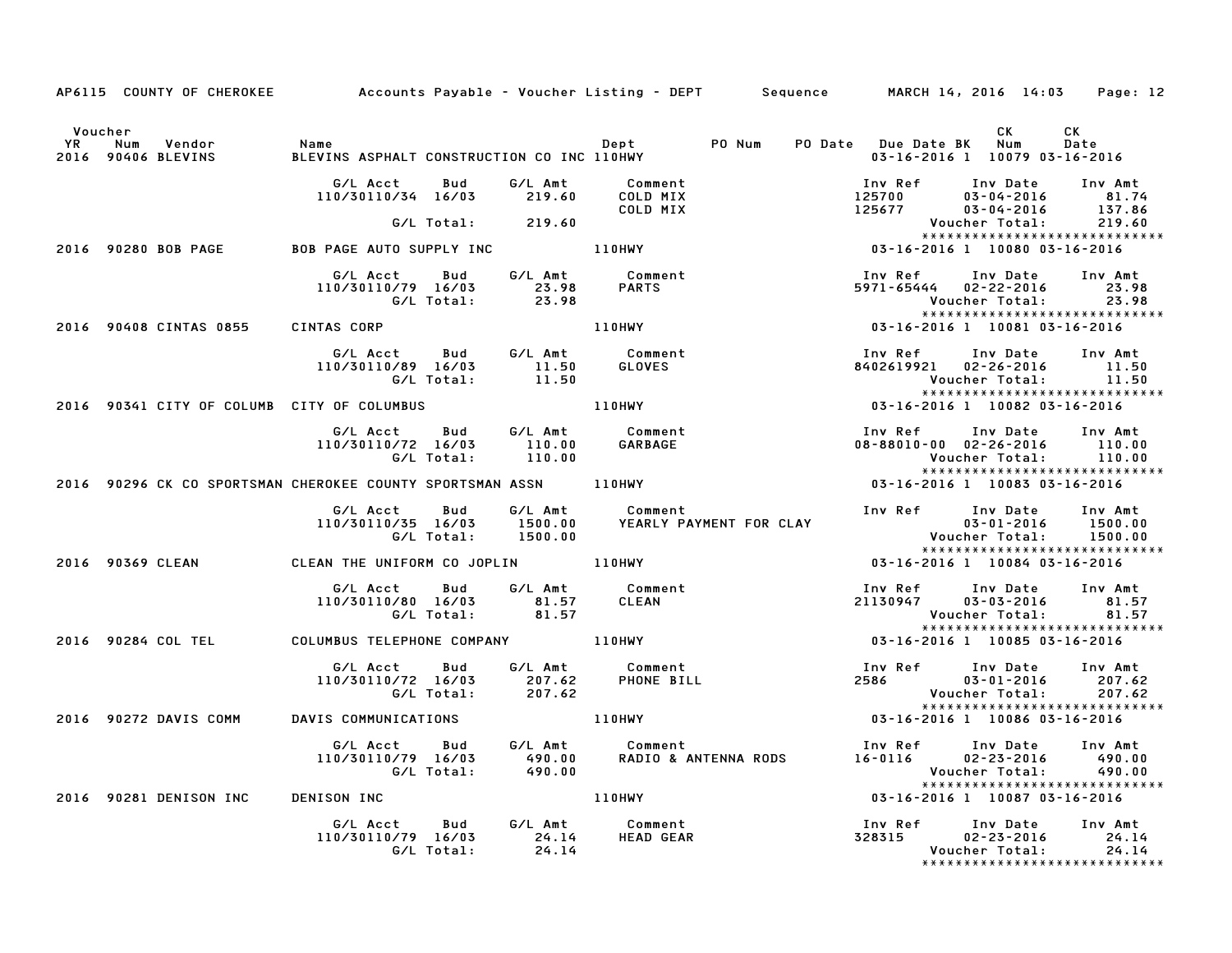|         |                                                     |                                                                                                 | AP6115 COUNTY OF CHEROKEE Accounts Payable - Voucher Listing - DEPT Sequence MARCH 14, 2016 14:03 Page: 12                                                                                                                             |                                                                                                                   |                       |                                |
|---------|-----------------------------------------------------|-------------------------------------------------------------------------------------------------|----------------------------------------------------------------------------------------------------------------------------------------------------------------------------------------------------------------------------------------|-------------------------------------------------------------------------------------------------------------------|-----------------------|--------------------------------|
| Voucher |                                                     |                                                                                                 |                                                                                                                                                                                                                                        | 03-16-2016 1 10079 03-16-2016                                                                                     | CK                    | CK<br>Date                     |
|         |                                                     | G/L Acct  Bud  G/L Amt  Comment<br>110/30110/34 16/03  219.60  COLD  MIX                        | COLD MIX                                                                                                                                                                                                                               | 100 Ref 100 Date 100 Amt<br>125700 03-04-2016 81.74<br>125677 03-04-2016 137.86<br>Voucher Total: 219.60          |                       |                                |
|         |                                                     | G/L Total: 219.60                                                                               |                                                                                                                                                                                                                                        |                                                                                                                   |                       |                                |
|         | 2016 90280 BOB PAGE BOB PAGE AUTO SUPPLY INC 110HWY |                                                                                                 |                                                                                                                                                                                                                                        |                                                                                                                   |                       |                                |
|         |                                                     |                                                                                                 | 6/L Acct Bud G/L Amt Comment Inv Ref Inv Date Inv Am<br>110/30110/79 16/03 23.98 PARTS 5971-65444 02-22-2016 23.<br>6/L Total: 23.98 110HWY 161. 23.98 23.98 Voucher Total: 23.98<br>NTAS CORP 110HWY 110HWY 13.16-2016 1              | Inv Ref Inv Date Inv Amt<br>5971-65444 02-22-2016 23.98<br>Voucher Total: 23.98                                   |                       | ****************************** |
|         | 2016 90408 CINTAS 0855 CINTAS CORP                  |                                                                                                 |                                                                                                                                                                                                                                        |                                                                                                                   |                       |                                |
|         |                                                     |                                                                                                 |                                                                                                                                                                                                                                        | Inv Ref      Inv Date    Inv Amt<br>8402619921    02–26–2016        11.50<br>Voucher Total:         11.50         |                       | *****************************  |
|         | 2016 90341 CITY OF COLUMB CITY OF COLUMBUS          |                                                                                                 | 110HWY                                                                                                                                                                                                                                 | 03-16-2016 1 10082 03-16-2016                                                                                     |                       |                                |
|         |                                                     | G/L Acct  Bud  G/L Amt  Comment<br>110/30110/72 16/03   110.00   GARBAGE<br>G/L Total:   110.00 |                                                                                                                                                                                                                                        | Inv Ref      Inv Date    Inv Amt<br>08–88010–00  02–26–2016        110.00                                         | Voucher Total: 110.00 | *****************************  |
|         |                                                     |                                                                                                 | G/L IOtal: 110.00<br>2016 90296 CK CO SPORTSMAN CHEROKEE COUNTY SPORTSMAN ASSN 110HWY                                                                                                                                                  | 03-16-2016 1 10083 03-16-2016                                                                                     |                       |                                |
|         |                                                     |                                                                                                 | G/L Acct Bud G/L Amt Comment<br>110/30110/35 16/03 1500.00 YEARLY PAYMENT FOR CLAY<br>G/L Total: 1500.00                                                                                                                               | Inv Ref Inv Date Inv Amt<br>03-01-2016 1500.00<br>Voucher Total: 1500.00<br>******************************        |                       |                                |
|         | 2016 90369 CLEAN CLEAN THE UNIFORM CO JOPLIN 110HWY |                                                                                                 |                                                                                                                                                                                                                                        | 03-16-2016 1 10084 03-16-2016                                                                                     |                       |                                |
|         |                                                     |                                                                                                 | G/L Acct Bud G/L Amt Comment Inv Ref Inv Date Inv Amt<br>110/30110/80 16/03 81.57 CLEAN 21130947 03-03-2016 81.5<br>1.57 Voucher Total: 81.57 Voucher Total: 81.57<br>2016 90284 COL TEL COLUMBUS TELEPHONE COMPANY 110HWY 193-16-2016 | Inv Ref Inv Date Inv Amt<br>21130947 03-03-2016 81.57<br>Voucher Total: 81.57<br>******************************** |                       |                                |
|         |                                                     |                                                                                                 |                                                                                                                                                                                                                                        |                                                                                                                   |                       |                                |
|         |                                                     |                                                                                                 | 6/L Acct Bud 6/L Amt Comment Inv Ref Inv Date Inv Amt<br>110/30110/72 16/03 207.62 PHONE BILL 2086 03-01-2016 207.62<br>6/L Total: 207.62 6/L Total: 207.62                                                                            |                                                                                                                   |                       | *****************************  |
|         | 2016 90272 DAVIS COMM DAVIS COMMUNICATIONS          |                                                                                                 | 110HWY                                                                                                                                                                                                                                 | $03 - 16 - 2016$ 1 10086 03-16-2016                                                                               |                       |                                |
|         |                                                     |                                                                                                 | G/L Acct Bud G/L Amt Comment Inv Ref Inv Date Inv Amt<br>110/30110/79 16/03 490.00 RADIO & ANTENNA RODS 16-0116 02-23-2016 490.00<br>G/L Total: 490.00 RADIO & ANTENNA RODS 16-0116 02-23-2016 490.00                                  |                                                                                                                   |                       |                                |
|         | 2016 90281 DENISON INC DENISON INC                  |                                                                                                 | 110HWY 03-16-2016 1 10087 03-16-2016                                                                                                                                                                                                   |                                                                                                                   |                       |                                |
|         |                                                     | G/L Acct Bud G/L Amt Comment<br>110/30110/79 16/03 24.14 HEAD GEAR<br>G/L Total: 24.14          |                                                                                                                                                                                                                                        | Inv Ref      Inv Date    Inv Amt<br>328315        02-23-2016        24.14<br>Voucher Total:        24.14          |                       | ****************************** |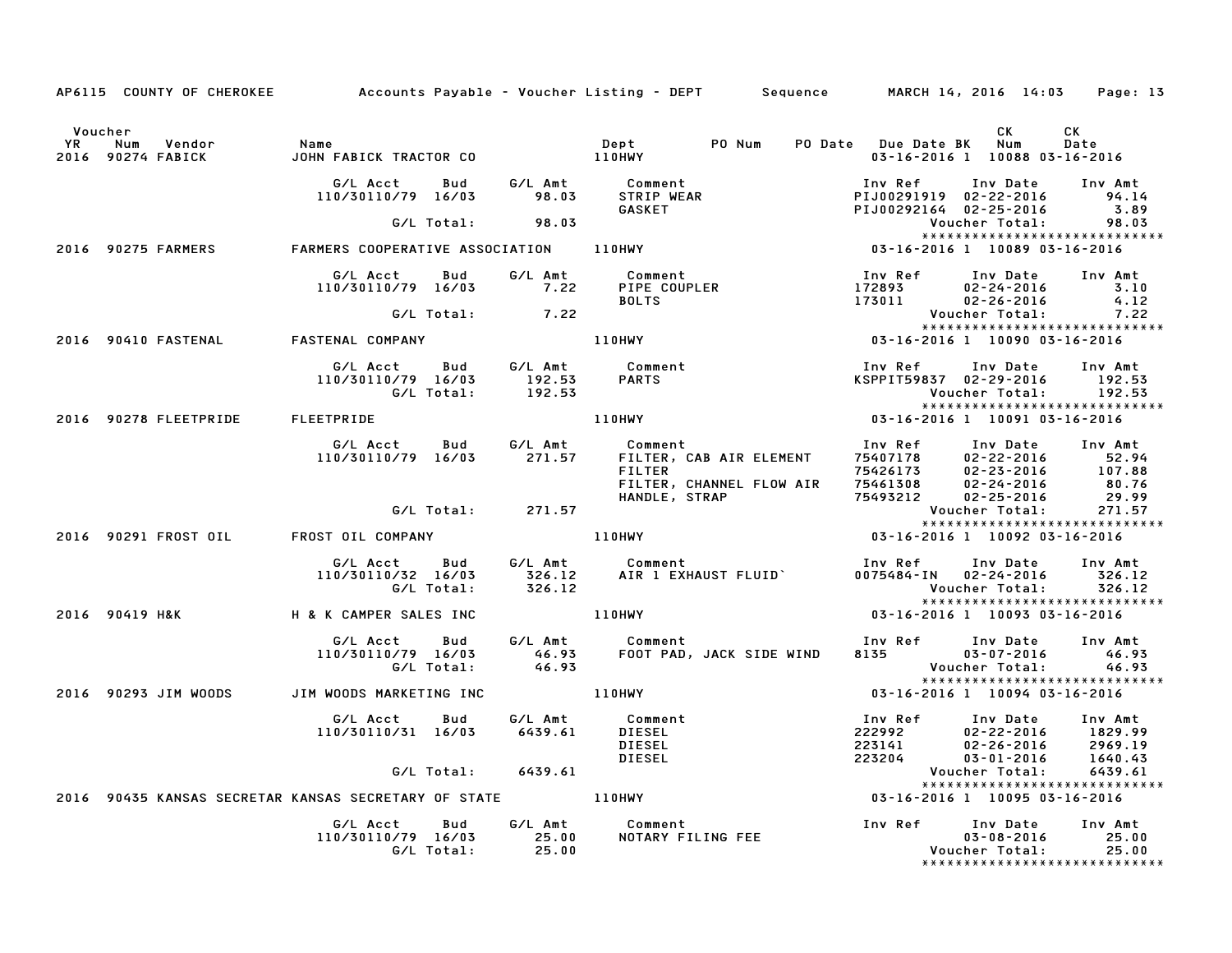|         |                                                                              | AP6115 COUNTY OF CHEROKEE Accounts Payable - Voucher Listing - DEPT Sequence MARCH 14, 2016 14:03 Page: 13                                                                                                                                                                                                                                                                                          |                                                                                                         |            |
|---------|------------------------------------------------------------------------------|-----------------------------------------------------------------------------------------------------------------------------------------------------------------------------------------------------------------------------------------------------------------------------------------------------------------------------------------------------------------------------------------------------|---------------------------------------------------------------------------------------------------------|------------|
| Voucher |                                                                              |                                                                                                                                                                                                                                                                                                                                                                                                     | CK<br>03-16-2016 1 10088 03-16-2016                                                                     | CK<br>Date |
|         |                                                                              | 6/L Acct Bud G/L Amt Comment Inv Ref Inv Date Inv Amt<br>110/30110/79 16/03 98.03 STRIP WEAR PIJ00291919 02-22-2016 94.1<br>6.8 GASKET PUD0291919 02-25-2016 3.8<br>2016 90275 FARMERS FARMERS COOPERATIVE ASSOCIATION 110HWY<br>2016 9027                                                                                                                                                          | Inv Date Inv Amt<br>PIJ00291919 02-22-2016 94.14<br>PIJ00292164 02-25-2016 3.89<br>Voucher Total: 98.03 |            |
|         |                                                                              |                                                                                                                                                                                                                                                                                                                                                                                                     | ******************************                                                                          |            |
|         |                                                                              |                                                                                                                                                                                                                                                                                                                                                                                                     |                                                                                                         |            |
|         |                                                                              | 6/L Acct Bud G/L Amt Comment Inv Ref Inv Date Inv Amt<br>110/30110/79 16/03 7.22 PIPE COUPLER 172893 02-24-2016 4.12<br>6/L Total: 7.22 BOLTS 173011 02-26-2016 4.12<br>2016 90410 FASTENAL FASTENAL COMPANY 110HWY 03-16-2016 1 10090                                                                                                                                                              |                                                                                                         |            |
|         |                                                                              |                                                                                                                                                                                                                                                                                                                                                                                                     |                                                                                                         |            |
|         |                                                                              |                                                                                                                                                                                                                                                                                                                                                                                                     | *****************************                                                                           |            |
|         |                                                                              | G/L Acct     Bud     G/L Amt     Comment<br>110/30110/79   16/03        192.53     PARTS<br>G/L Total:        192.53<br>192.53<br>192.53<br>192.53<br>192.53<br>192.53<br>110HWY<br>110HWY<br>2016<br>2016<br>2016<br>2016<br>2016<br>2016<br>2016<br>2016<br>2017<br>2016<br>2016<br>2017<br>2016<br>2016<br>2016<br>2016<br>2016<br>2019-2016<br>2019-2016<br>2019-2016<br>2019-2016<br>2019-2016 | Inv Ref      Inv Date     Inv Amt                                                                       |            |
|         | 2016 90278 FLEETPRIDE FLEETPRIDE                                             |                                                                                                                                                                                                                                                                                                                                                                                                     |                                                                                                         |            |
|         |                                                                              | 6/L Acct Bud 6/L Amt Comment<br>110/30110/79 16/03 271.57 FILTER, CAB AIR ELEMENT 75407178 02-22-2016 52.94<br>FILTER CAB AIR ELEMENT 75407178 02-22-2016 107.88<br>FILTER, CHANNEL FLOW AIR 75461308 02-24-2016 80.76<br>6/L Total: 271.5                                                                                                                                                          |                                                                                                         |            |
|         |                                                                              |                                                                                                                                                                                                                                                                                                                                                                                                     |                                                                                                         |            |
|         | 2016 90291 FROST OIL FROST OIL COMPANY THE RESIDENCY                         |                                                                                                                                                                                                                                                                                                                                                                                                     | ******************************<br>$03 - 16 - 2016$ 1 10092 03-16-2016                                   |            |
|         |                                                                              | G/L Acct Bud G/L Amt Comment Inv Ref Inv Date Inv Amt<br>110/30110/32 16/03 326.12 AIR 1 EXHAUST FLUID` 0075484-IN 02-24-2016 326.12<br>6/L Total: 326.12 4IR 1 EXHAUST FLUID` 0075484-IN 02-24-2016 326.12<br>8 K CAMPER SALES INC 110                                                                                                                                                             |                                                                                                         |            |
|         | 2016 90419 H&K H & K CAMPER SALES INC                                        |                                                                                                                                                                                                                                                                                                                                                                                                     | ******************************                                                                          |            |
|         |                                                                              | G/L Acct Bud G/L Amt Comment Inv Ref Inv Date Inv Amt<br>110/30110/79 16/03 46.93 FOOT PAD, JACK SIDE WIND 8135 03–07–2016 46.93<br>6/L Total: 46.93 (G/L Total: 46.93 )                                                                                                                                                                                                                            |                                                                                                         |            |
|         |                                                                              | 2016 90293 JIM WOODS 3 JIM WOODS MARKETING INC 3 2016 10094 110HWY 3 2016 1 2016 1 2016 1 2016 2016                                                                                                                                                                                                                                                                                                 | *****************************                                                                           |            |
|         |                                                                              | 6/L Acct Bud 6/L Amt Comment Inv Ref Inv Date Inv Amt<br>110/30110/31 16/03 6439.61 DIESEL 222992 02-22-2016 1829.99<br>1829.99 DIESEL 223141 02-26-2016 2969.19<br>6/L Total: 6439.61 DIESEL 223204 03-01-2016 1640.43<br>2016 90435 KANS                                                                                                                                                          |                                                                                                         |            |
|         |                                                                              |                                                                                                                                                                                                                                                                                                                                                                                                     |                                                                                                         |            |
|         |                                                                              |                                                                                                                                                                                                                                                                                                                                                                                                     | *****************************                                                                           |            |
|         | G/L Acct Bud G/L Amt Comment<br>110/30110/79 16/03 25.00<br>G/L Total: 25.00 |                                                                                                                                                                                                                                                                                                                                                                                                     |                                                                                                         |            |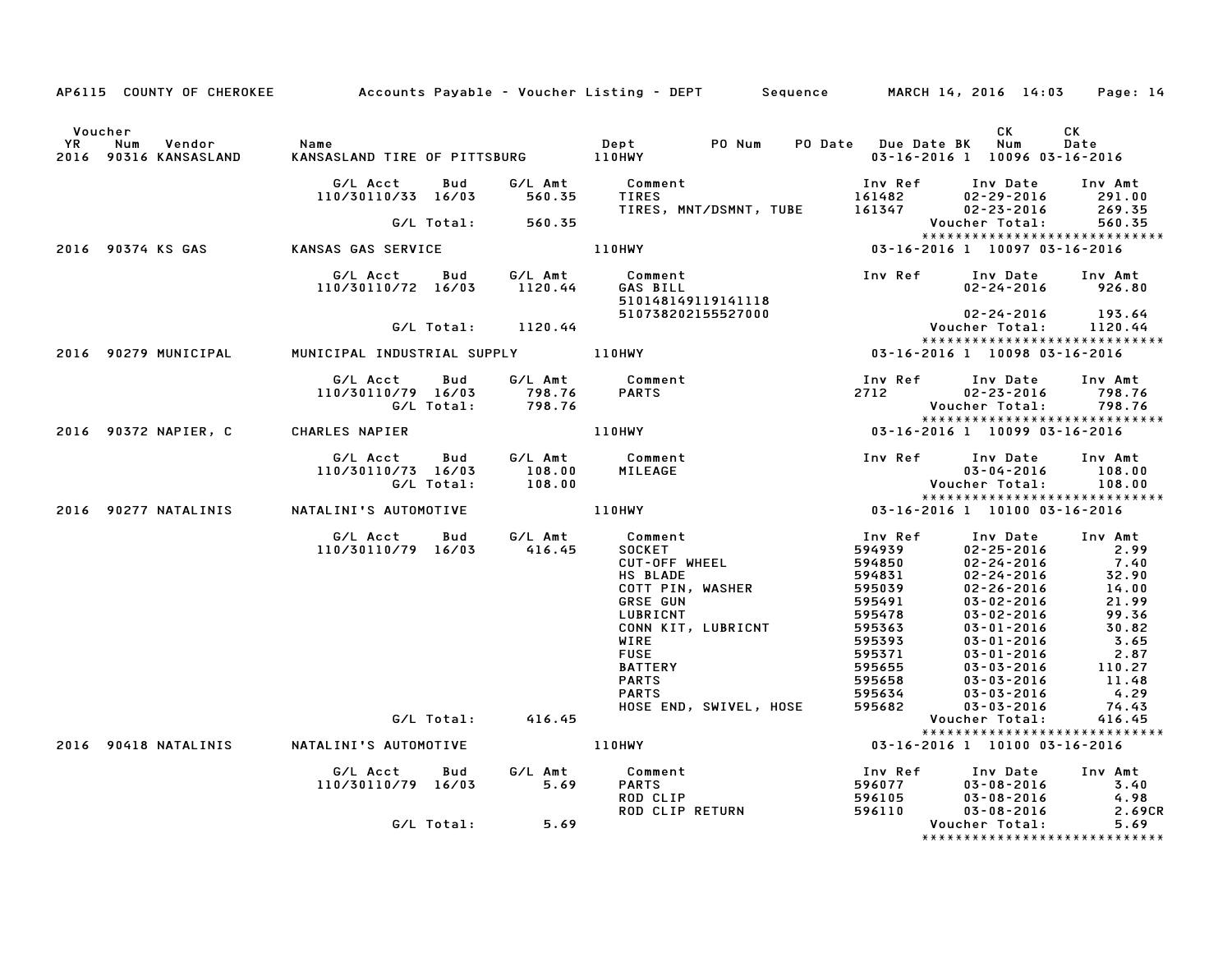|           |                                                | AP6115 COUNTY OF CHEROKEE Accounts Payable - Voucher Listing - DEPT Sequence MARCH 14, 2016 14:03 Page: 14                                                                                                               |        |                                                                                                                                                                                                                                                                                          |                                                                                      |                                                                                                                                                                                                                                                                                      |                   |
|-----------|------------------------------------------------|--------------------------------------------------------------------------------------------------------------------------------------------------------------------------------------------------------------------------|--------|------------------------------------------------------------------------------------------------------------------------------------------------------------------------------------------------------------------------------------------------------------------------------------------|--------------------------------------------------------------------------------------|--------------------------------------------------------------------------------------------------------------------------------------------------------------------------------------------------------------------------------------------------------------------------------------|-------------------|
| <b>YR</b> | Voucher<br>Num Vendor<br>2016 90316 KANSASLAND | Name                                                                                                                                                                                                                     |        |                                                                                                                                                                                                                                                                                          |                                                                                      | CK<br>03-16-2016 1 10096 03-16-2016                                                                                                                                                                                                                                                  | <b>CK</b><br>Date |
|           |                                                | G/L Acct<br>110/30110/33 16/03 560.35                                                                                                                                                                                    |        | Bud G/LAmt Comment<br>L6/03 560.35 TIRES<br>Comment<br>TIRES 161482 02–29–2016 291.00<br>TIRES, MNT/DSMNT, TUBE 161347 02–23–2016 269.35                                                                                                                                                 |                                                                                      | 02-29-2016 291.00<br>02-23-2016 269.35<br>cher Total: 560.35                                                                                                                                                                                                                         |                   |
|           |                                                | G/L Total: 560.35                                                                                                                                                                                                        |        |                                                                                                                                                                                                                                                                                          |                                                                                      | Voucher Total:                                                                                                                                                                                                                                                                       |                   |
|           |                                                | 2016 90374 KS GAS KANSAS GAS SERVICE                                                                                                                                                                                     |        | 110HWY                                                                                                                                                                                                                                                                                   |                                                                                      | :.Voucher Total: 560<br>:************************<br>16097 03-16-2016 1 10097 03-16-2016                                                                                                                                                                                             |                   |
|           |                                                |                                                                                                                                                                                                                          |        | G/L Acct Bud G/L Amt Comment 110/30110/72 16/03 1120.44 GAS BILL 110/30110/72 16/03 1120.44 510148149119141118                                                                                                                                                                           |                                                                                      |                                                                                                                                                                                                                                                                                      | Inv Amt<br>926.80 |
|           |                                                | G/L Total: 1120.44                                                                                                                                                                                                       |        |                                                                                                                                                                                                                                                                                          |                                                                                      |                                                                                                                                                                                                                                                                                      | 193.64<br>1120.44 |
|           |                                                | 2016 90279 MUNICIPAL     MUNICIPAL INDUSTRIAL SUPPLY         110HWY                                                                                                                                                      |        |                                                                                                                                                                                                                                                                                          |                                                                                      | *****************************                                                                                                                                                                                                                                                        |                   |
|           |                                                | G/L Acct<br>Bud<br>110/30110/79 16/03<br>G/L Total: 798.76                                                                                                                                                               | 798.76 | G/L Amt Comment 198.76 PARTS 2712 2712 2022                                                                                                                                                                                                                                              | 2712                                                                                 | Inv Date<br>$02 - 23 - 2016$<br>Voucher Total: 798.76<br>*****************************                                                                                                                                                                                               | Inv Amt<br>798.76 |
|           | 2016 90372 NAPIER, C CHARLES NAPIER            |                                                                                                                                                                                                                          |        |                                                                                                                                                                                                                                                                                          |                                                                                      |                                                                                                                                                                                                                                                                                      |                   |
|           |                                                | G/LAcct Bud G/LAmt Comment InvRef InvDate InvAm<br>!.10/30110/73 16/03 108.00 MILEAGE 03-04-2016 108<br>!477 NATALINIS NATALINI'S AUTOMOTIVE 108.00 110HWY 108-16-2016 128-04-2016 90277 NATALINIS NATALINI'S AUTOMOTIVE |        |                                                                                                                                                                                                                                                                                          |                                                                                      | Voucher Total:         108.00<br>******************************                                                                                                                                                                                                                      | Inv Amt<br>108.00 |
|           |                                                |                                                                                                                                                                                                                          |        |                                                                                                                                                                                                                                                                                          |                                                                                      |                                                                                                                                                                                                                                                                                      |                   |
|           |                                                | G/L Total:                                                                                                                                                                                                               | 416.45 | G/LAcct Bud G/LAmt Comment<br>110/30110/79 16/03 416.45 SOCKET<br>CUT-OFFWHEEL<br>HSRIADE<br><b>HS BLADE</b><br>COTT PIN, WASHER<br><b>GRSE GUN</b><br>LUBRICNT<br>CONN KIT, LUBRICNT<br>WIRE<br><b>FUSE</b><br><b>BATTERY</b><br><b>PARTS</b><br><b>PARTS</b><br>HOSE END, SWIVEL, HOSE | Inv Ref                                                                              | Inv Date Inv Amt<br>1 nv Ref Inv Date Inv Amt<br>594939 02-25-2016 2.99<br>594850 02-24-2016 7.40<br>595039 02-24-2016 32.90<br>595039 02-26-2016 14.00<br>595478 03-02-2016 99.36<br>595478 03-02-2016 99.36<br>595363 03-01-2016 30.82<br>595371 03-01-2016 2.87<br>Voucher Total: | 416.45            |
|           |                                                | 2016 90418 NATALINIS NATALINI'S AUTOMOTIVE                                                                                                                                                                               |        | 110HWY                                                                                                                                                                                                                                                                                   | ".416 -: Voucher Total<br>:***********************<br>15-16-2016 -: 10100 -: 16-2016 | ******************************                                                                                                                                                                                                                                                       |                   |
|           |                                                | G/L Acct<br>110/30110/79 16/03 5.69                                                                                                                                                                                      |        | Bud G/L Amt Comment<br><b>PARTS</b><br>ROD CLIP<br>ROD CLIP RETURN                                                                                                                                                                                                                       | 596110                                                                               | 1 nv Ref 1 nv Date 1 nv Amt<br>596077 03-08-2016 3.40<br>596105 03-08-2016 4.98<br>596110 03-08-2016 9.690<br>$03 - 08 - 2016$                                                                                                                                                       | 2.69CR            |
|           |                                                | G/L Total:                                                                                                                                                                                                               | 5.69   |                                                                                                                                                                                                                                                                                          |                                                                                      | Voucher Total:<br>*****************************                                                                                                                                                                                                                                      | 5.69              |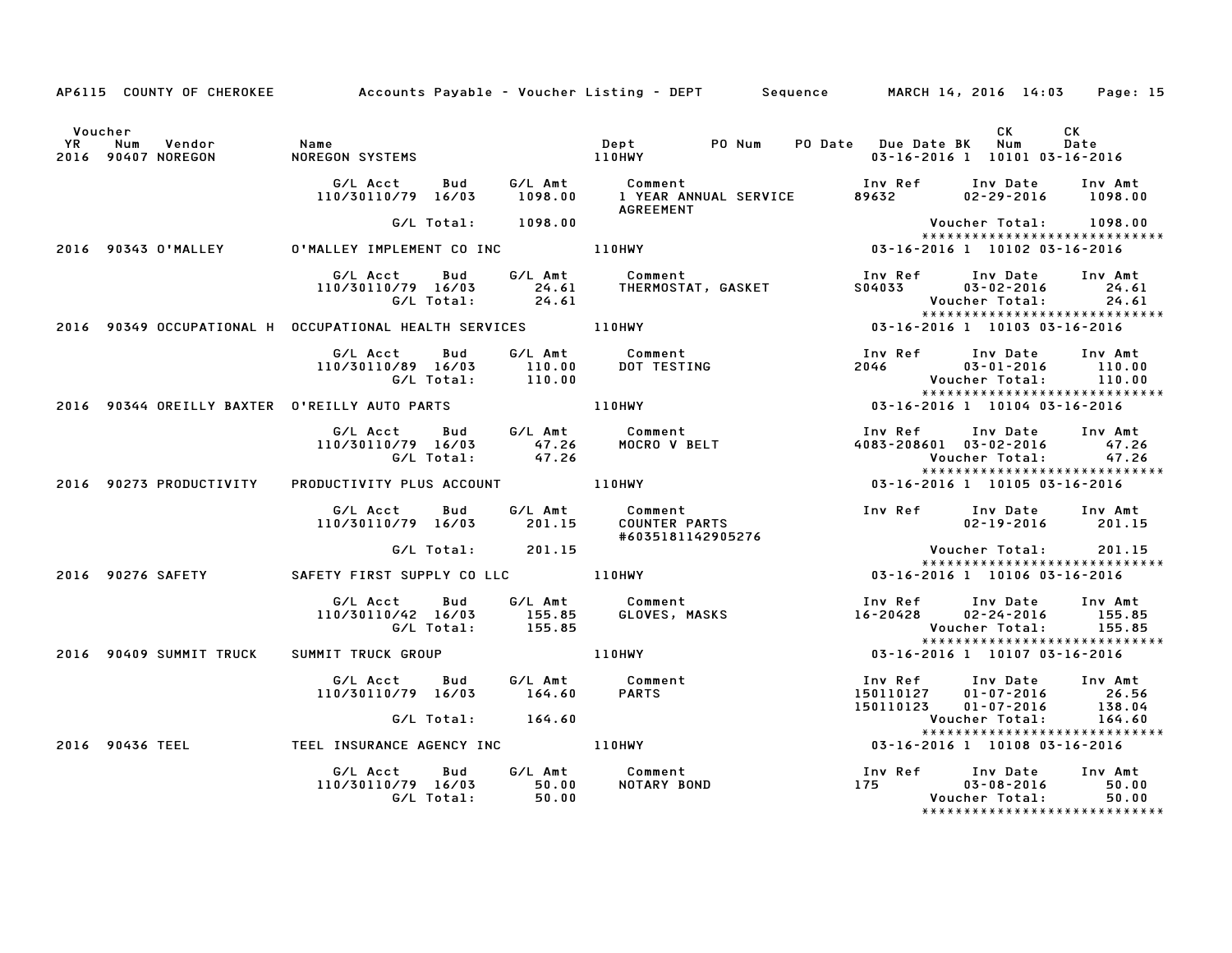|         |                         |                                                                                           |                   | AP6115 COUNTY OF CHEROKEE Accounts Payable - Voucher Listing - DEPT Sequence MARCH 14, 2016 14:03<br>Page: 15                                                                                                                                             |
|---------|-------------------------|-------------------------------------------------------------------------------------------|-------------------|-----------------------------------------------------------------------------------------------------------------------------------------------------------------------------------------------------------------------------------------------------------|
| Voucher |                         |                                                                                           |                   | CK<br>CK<br>Date<br>03-16-2016 1 10101 03-16-2016                                                                                                                                                                                                         |
|         |                         |                                                                                           |                   |                                                                                                                                                                                                                                                           |
|         |                         | G/L Total: 1098.00                                                                        |                   | Voucher Total: 1098.00<br>******************************                                                                                                                                                                                                  |
|         |                         |                                                                                           |                   | 9 - 1008.00 – 1090.00 – 1090.00 – 1090.00 – 1090.00 – 1090.00 – 1090.00 – 1090.00 – 1090.00 – 1090.00 – 1090.00<br>2016 - 03-16-2016 1 10102 03-16-2016 – 110HWY – 110HWY – 110HWY – 103-16-2016 1 10102 03-16-2016 – 1080 – 108                          |
|         |                         |                                                                                           |                   | G/L Acct Bud G/L Amt Comment Inv Ref Inv Date Inv Amt<br>110/30110/79 16/03 24.61 THERMOSTAT, GASKET S04033 03–02–2016 24.61<br>G/L Total: 24.61 24.61 Voucher Total: 24.61                                                                               |
|         |                         |                                                                                           |                   |                                                                                                                                                                                                                                                           |
|         |                         |                                                                                           |                   | Inv Ref Inv Date Inv Amt<br>2046 03-01-2016 110.00<br>Voucher Total: 110.00<br>.110<br>******************************<br>15-16-2016 1 10104 03-16-2016                                                                                                    |
|         |                         | 2016 90344 OREILLY BAXTER O'REILLY AUTO PARTS AND MANUTATION AT A LIONWY                  |                   |                                                                                                                                                                                                                                                           |
|         |                         |                                                                                           |                   | Inv Ref      Inv Date     Inv Amt<br>4083-208601 03-02-2016 4083-208601<br>Voucher Total: 47.26<br>******************************                                                                                                                         |
|         | 2016 90273 PRODUCTIVITY | PRODUCTIVITY PLUS ACCOUNT 110HWY                                                          |                   | ************************<br>03-16-2016 1 10105 03-16-2016                                                                                                                                                                                                 |
|         |                         |                                                                                           | #6035181142905276 | 02-19-2016 201.15                                                                                                                                                                                                                                         |
|         |                         | G/L Total: 201.15                                                                         |                   | Voucher Total:<br>201.15                                                                                                                                                                                                                                  |
|         |                         |                                                                                           |                   | *****************************<br>2016 90276 SAFETY SAFETY FIRST SUPPLY CO LLC 110HWY 100 100 100 116-2016 1 10106 03-16-2016                                                                                                                              |
|         |                         | G/L Acct Bud G/L Amt Comment<br>110/30110/42 16/03 155.85 GLOVES, MA<br>G/L Total: 155.85 |                   | Inv Ref      Inv Date     Inv Amt<br>المسيس المسترين المسير المسير المسير المسير المسير المسير المسير المسير المسير المسير المسير المسير المسير ال<br>16-20428 - 16-20428 16-2020<br>155.85<br>155.85<br>Voucher Total:<br>****************************** |
|         | 2016 90409 SUMMIT TRUCK |                                                                                           |                   | SUMMIT TRUCK GROUP 110HWY 110HWY 03-16-2016 1 10107 03-16-2016                                                                                                                                                                                            |
|         |                         |                                                                                           |                   | 6/L Acct Bud G/L Amt Comment Inv Ref Inv Date Inv Amt<br>110/30110/79 16/03 164.60 PARTS 150110127 01-07-2016 26.56<br>6/L Total: 164.60 150110123 01-07-2016 138.04<br>764.60 150110123 150110123 10-07-2016 138.04<br>764.60 1008 164.60                |
|         |                         |                                                                                           |                   | ******************************                                                                                                                                                                                                                            |
|         |                         |                                                                                           |                   |                                                                                                                                                                                                                                                           |
|         |                         | 07L ACCC but<br>110/30110/79 16/03 50.00<br>67L Total: 50.00                              |                   | Inv Ref Inv Date Inv Amt<br>175<br>$03 - 08 - 2016$<br>50.00<br>50.00<br>Voucher Total:<br>******************************                                                                                                                                 |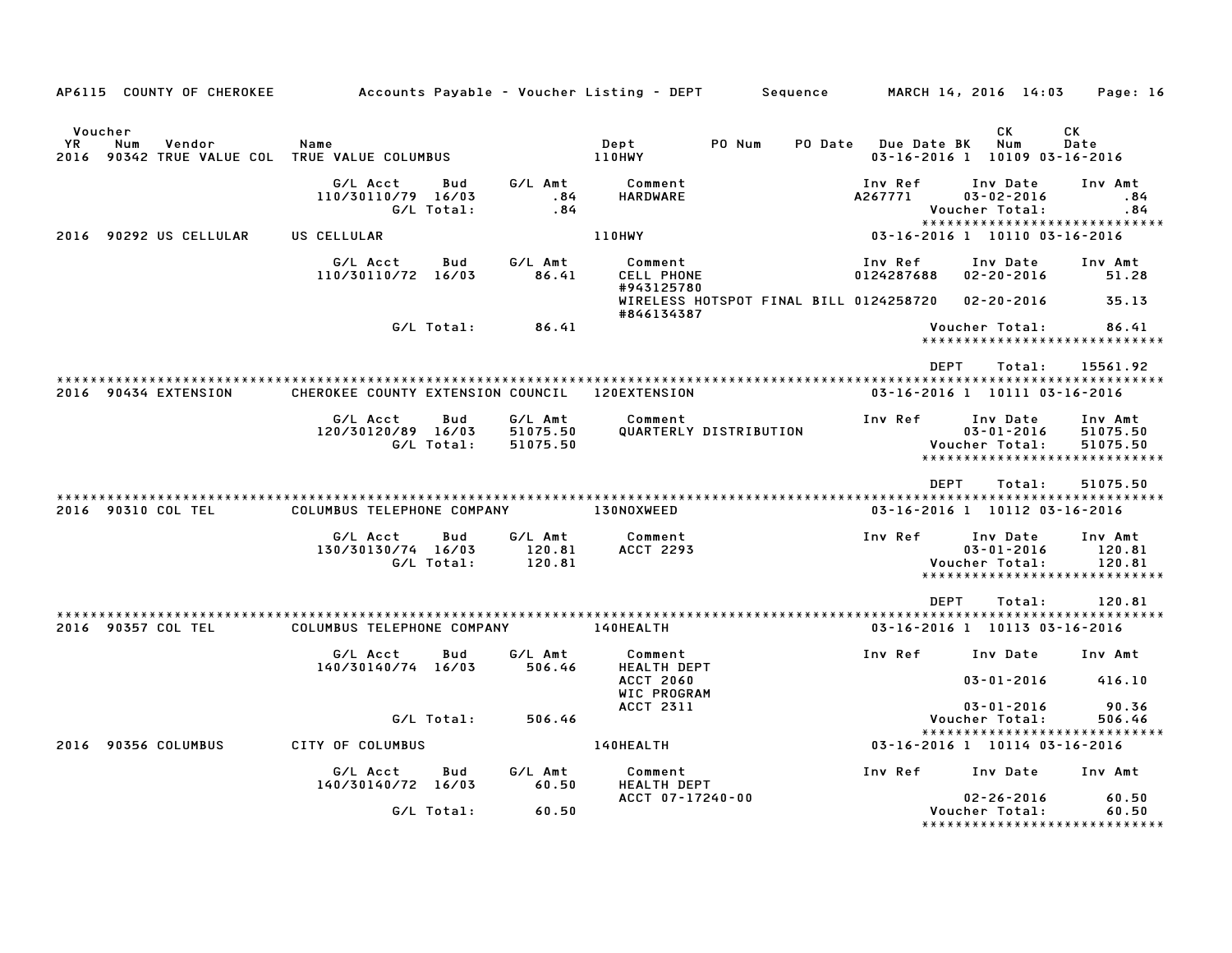| AP6115 COUNTY OF CHEROKEE                                                        |                                   |                   |                                 | Accounts Payable – Voucher Listing – DEPT            | Sequence |                       | MARCH 14, 2016 14:03                           | Page: 16                                                         |
|----------------------------------------------------------------------------------|-----------------------------------|-------------------|---------------------------------|------------------------------------------------------|----------|-----------------------|------------------------------------------------|------------------------------------------------------------------|
|                                                                                  |                                   |                   |                                 |                                                      |          |                       |                                                |                                                                  |
| Voucher<br>YR.<br>Num<br>Vendor<br>2016 90342 TRUE VALUE COL TRUE VALUE COLUMBUS | Name                              |                   |                                 | Dept<br>PO Num<br>110HWY                             | PO Date  | Due Date BK           | СK<br>Num<br>03-16-2016 1 10109 03-16-2016     | СK<br>Date                                                       |
|                                                                                  | G/L Acct<br>110/30110/79 16/03    | Bud<br>G/L Total: | G/L Amt<br>.84<br>.84           | Comment<br><b>HARDWARE</b>                           |          | Inv Ref<br>A267771    | Inv Date<br>$03 - 02 - 2016$<br>Voucher Total: | Inv Amt<br>.84<br>.84                                            |
| 2016 90292 US CELLULAR                                                           | US CELLULAR                       |                   |                                 | 110HWY                                               |          |                       | 03-16-2016 1 10110 03-16-2016                  | *****************************                                    |
|                                                                                  | G/L Acct<br>110/30110/72 16/03    | Bud               | G/L Amt<br>86.41                | Comment<br>CELL PHONE<br>#943125780                  |          | Inv Ref<br>0124287688 | Inv Date<br>$02 - 20 - 2016$                   | Inv Amt<br>51.28                                                 |
|                                                                                  |                                   |                   |                                 | WIRELESS HOTSPOT FINAL BILL 0124258720<br>#846134387 |          |                       | $02 - 20 - 2016$                               | 35.13                                                            |
|                                                                                  |                                   | G/L Total:        | 86.41                           |                                                      |          |                       | Voucher Total:                                 | 86.41<br>*****************************                           |
|                                                                                  |                                   |                   |                                 |                                                      |          | <b>DEPT</b>           | Total:                                         | 15561.92                                                         |
| 2016 90434 EXTENSION                                                             | CHEROKEE COUNTY EXTENSION COUNCIL |                   |                                 | <b>120EXTENSION</b>                                  |          |                       | 03-16-2016 1 10111 03-16-2016                  |                                                                  |
|                                                                                  | G/L Acct<br>120/30120/89 16/03    | Bud<br>G/L Total: | G/L Amt<br>51075.50<br>51075.50 | Comment<br>QUARTERLY DISTRIBUTION                    |          | Inv Ref               | Inv Date<br>$03 - 01 - 2016$<br>Voucher Total: | Inv Amt<br>51075.50<br>51075.50<br>***************************** |
|                                                                                  |                                   |                   |                                 |                                                      |          | <b>DEPT</b>           | Total:                                         | 51075.50                                                         |
| 2016 90310 COL TEL                                                               | COLUMBUS TELEPHONE COMPANY        |                   |                                 | 130NOXWEED                                           |          |                       | 03-16-2016 1 10112 03-16-2016                  |                                                                  |
|                                                                                  | G/L Acct<br>130/30130/74 16/03    | Bud<br>G/L Total: | G/L Amt<br>120.81<br>120.81     | Comment<br>ACCT 2293                                 |          | Inv Ref               | Inv Date<br>$03 - 01 - 2016$<br>Voucher Total: | Inv Amt<br>120.81<br>120.81<br>******************************    |
|                                                                                  |                                   |                   |                                 |                                                      |          | <b>DEPT</b>           | Total:                                         | 120.81                                                           |
| 2016 90357 COL TEL                                                               | COLUMBUS TELEPHONE COMPANY        |                   |                                 | <b>140HEALTH</b>                                     |          |                       | 03-16-2016 1 10113 03-16-2016                  |                                                                  |
|                                                                                  | G/L Acct<br>140/30140/74 16/03    | Bud               | G/L Amt<br>506.46               | Comment<br><b>HEALTH DEPT</b>                        |          | Inv Ref               | Inv Date                                       | Inv Amt                                                          |
|                                                                                  |                                   |                   |                                 | <b>ACCT 2060</b><br>WIC PROGRAM                      |          |                       | $03 - 01 - 2016$                               | 416.10                                                           |
|                                                                                  |                                   | G/L Total:        | 506.46                          | <b>ACCT 2311</b>                                     |          |                       | $03 - 01 - 2016$<br>Voucher Total:             | 90.36<br>506.46                                                  |
| 2016 90356 COLUMBUS                                                              | CITY OF COLUMBUS                  |                   |                                 | 140HEALTH                                            |          |                       | 03-16-2016 1 10114 03-16-2016                  | *****************************                                    |
|                                                                                  | G/L Acct<br>140/30140/72 16/03    | Bud               | G/L Amt                         | Comment<br>HEALTH DEPT                               |          | Inv Ref               | Inv Date                                       | Inv Amt                                                          |
|                                                                                  |                                   | G/L Total:        | 60.50<br>60.50                  | ACCT 07-17240-00                                     |          |                       | $02 - 26 - 2016$<br>Voucher Total:             | 60.50<br>60.50                                                   |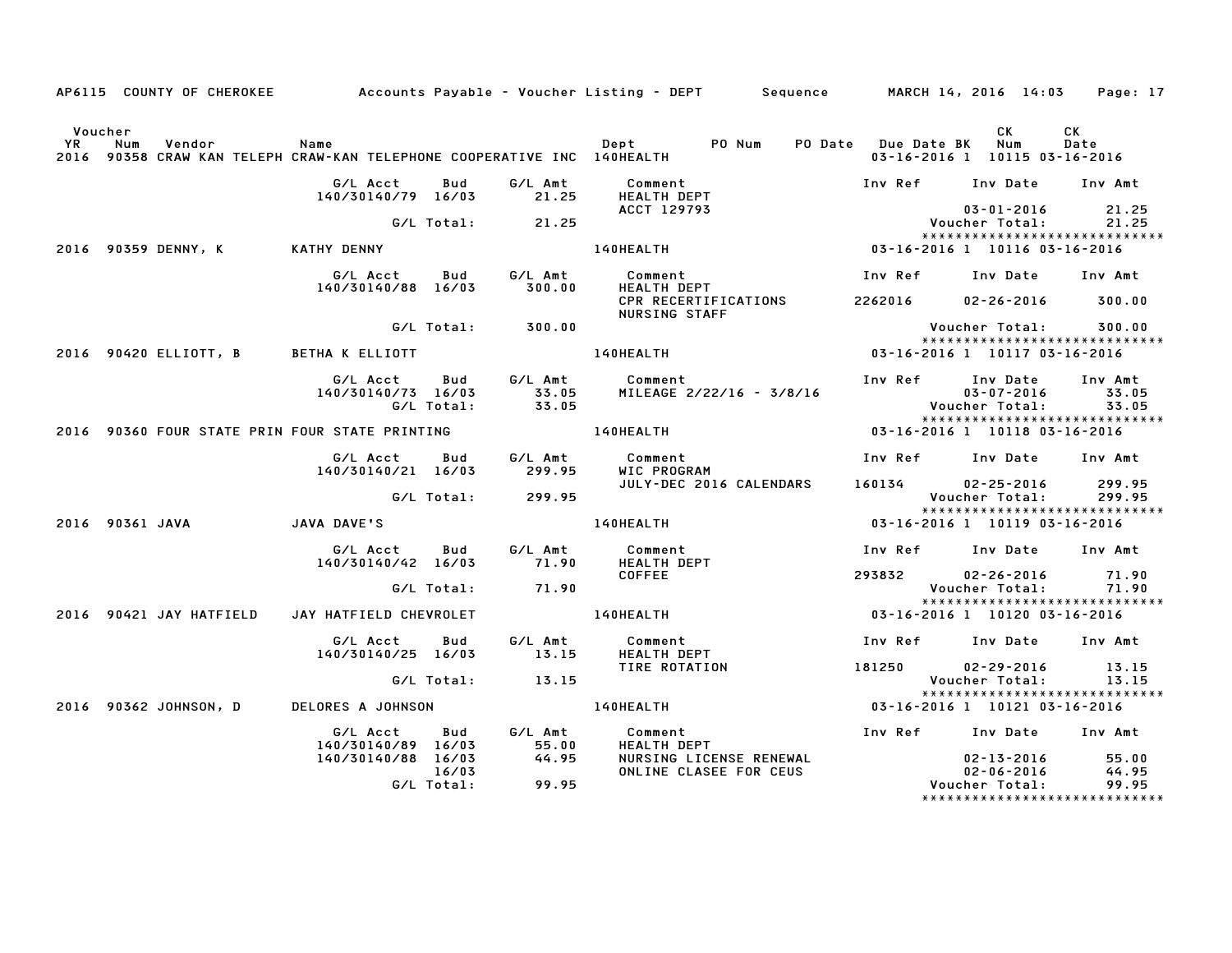|         |                 |                         |                                                |                     |                   | AP6115 COUNTY OF CHEROKEE Accounts Payable - Voucher Listing - DEPT Sequence MARCH 14, 2016 14:03 Page: 17                                                            |                                     |                                                                 |                           |
|---------|-----------------|-------------------------|------------------------------------------------|---------------------|-------------------|-----------------------------------------------------------------------------------------------------------------------------------------------------------------------|-------------------------------------|-----------------------------------------------------------------|---------------------------|
| Voucher |                 |                         |                                                |                     |                   | אי - Name - Dept - Dept PO Num - PO Date Due Date BK<br>2016 90358 CRAW KAN TELEPH CRAW–KAN TELEPHONE COOPERATIVE INC 140HEALTH - 2016 90358 CRAW KAN TELEPH CRAW–KAN |                                     | CK<br>03-16-2016 1 10115 03-16-2016                             | CK<br>Date                |
|         |                 |                         | G/L Acct Bud<br>140/30140/79 16/03             |                     | 21.25             | G/L Amt Comment<br><b>HEALTH DEPT</b>                                                                                                                                 |                                     | Inv Ref Inv Date Inv Amt                                        |                           |
|         |                 |                         |                                                |                     | G/L Total: 21.25  |                                                                                                                                                                       |                                     | 03-01-2016 21.25<br>Voucher Total: 21.25                        |                           |
|         |                 |                         |                                                |                     |                   | <b>ACCT 129793</b><br>140HEALTH                                                                                                                                       | $03 - 16 - 2016$ 1 10116 03-16-2016 | *****************************                                   |                           |
|         |                 |                         | 140/30140/88 16/03                             |                     |                   | G/L Acct        Bud          G/L Amt             Comment<br>140/30140/88    16/03           300.00         HEALTH  DEPT                                               | Inv Ref Inv Date Inv Amt            |                                                                 |                           |
|         |                 |                         |                                                |                     |                   | CPR RECERTIFICATIONS<br>NURSING STAFF                                                                                                                                 |                                     | 2262016 02-26-2016 300.00                                       |                           |
|         |                 |                         |                                                |                     | G/L Total: 300.00 |                                                                                                                                                                       |                                     | Voucher Total: 300.00<br>******************************         |                           |
|         |                 |                         | 2016 90420 ELLIOTT, B BETHA K ELLIOTT          |                     |                   | $03 - 16 - 2016$ 1 10117 03-16-2016<br><b>140HEALTH</b>                                                                                                               |                                     |                                                                 |                           |
|         |                 |                         | 140/30140/73 16/03                             |                     |                   | MILEAGE 2/22/16 - 3/8/16                                                                                                                                              |                                     | Inv Ref      Inv Date<br>03-07-2016<br><b>Voucher Total:</b>    | Inv Amt<br>33.05<br>33.05 |
|         |                 |                         | 2016 90360 FOUR STATE PRIN FOUR STATE PRINTING |                     |                   | 140HEALTH                                                                                                                                                             | 03-16-2016 1 10118 03-16-2016       |                                                                 |                           |
|         |                 |                         |                                                |                     |                   |                                                                                                                                                                       |                                     | Inv Ref      Inv Date     Inv Amt                               |                           |
|         |                 |                         | 140/30140/21 16/03                             |                     | 299.95            | WIC PROGRAM<br>JULY-DEC 2016 CALENDARS 160134 02-25-2016 299.95                                                                                                       |                                     |                                                                 |                           |
|         |                 |                         |                                                |                     | G/L Total: 299.95 |                                                                                                                                                                       |                                     | Voucher Total: 299.95                                           |                           |
|         | 2016 90361 JAVA |                         | JAVA DAVE'S                                    |                     |                   | 140HEALTH                                                                                                                                                             | 03-16-2016 1 10119 03-16-2016       | *****************************                                   |                           |
|         |                 |                         | G/L Acct Bud<br>140/30140/42 16/03             |                     |                   | G/L Amt Comment<br>71.90 HEALTH DEPT                                                                                                                                  |                                     | Inv Ref      Inv Date     Inv Amt                               |                           |
|         |                 |                         |                                                | G/L Total:          | 71.90             | <b>COFFEE</b>                                                                                                                                                         |                                     | 293832 02-26-2016 71.90<br>Voucher Total: 71.90                 |                           |
|         |                 | 2016 90421 JAY HATFIELD |                                                |                     |                   | JAY HATFIELD CHEVROLET 140HEALTH                                                                                                                                      |                                     | ******************************<br>03-16-2016 1 10120 03-16-2016 |                           |
|         |                 |                         | G/L Acct Bud<br>140/30140/25 16/03             |                     | 13.15             | G/L Amt Comment<br>HEALTH DEPT                                                                                                                                        |                                     | Inv Ref      Inv Date     Inv Amt                               |                           |
|         |                 |                         |                                                |                     | G/L Total: 13.15  | TIRE ROTATION                                                                                                                                                         | 181250                              | 13.15 02-29-2016<br>13.15 Voucher Total: 13.15                  |                           |
|         |                 | 2016 90362 JOHNSON, D   |                                                |                     |                   | DELORES A JOHNSON DELOREALTH                                                                                                                                          | 03-16-2016 1 10121 03-16-2016       | *****************************                                   |                           |
|         |                 |                         |                                                |                     |                   |                                                                                                                                                                       |                                     |                                                                 |                           |
|         |                 |                         | G/L Acct<br>140/30140/89 16/03                 |                     | 55.00<br>44.95    | Bud G/L Amt Comment<br><b>HEALTH DEPT</b>                                                                                                                             |                                     | Inv Ref Inv Date Inv Amt                                        |                           |
|         |                 |                         | 140/30140/88 16/03                             | 16/03<br>G/L Total: | 99.95             | NURSING LICENSE RENEWAL<br>ONLINE CLASEE FOR CEUS                                                                                                                     |                                     | $02 - 13 - 2016$ 55.00<br>02-06-2016 44.95<br>Voucher Total:    | 99.95                     |
|         |                 |                         |                                                |                     |                   |                                                                                                                                                                       |                                     | *****************************                                   |                           |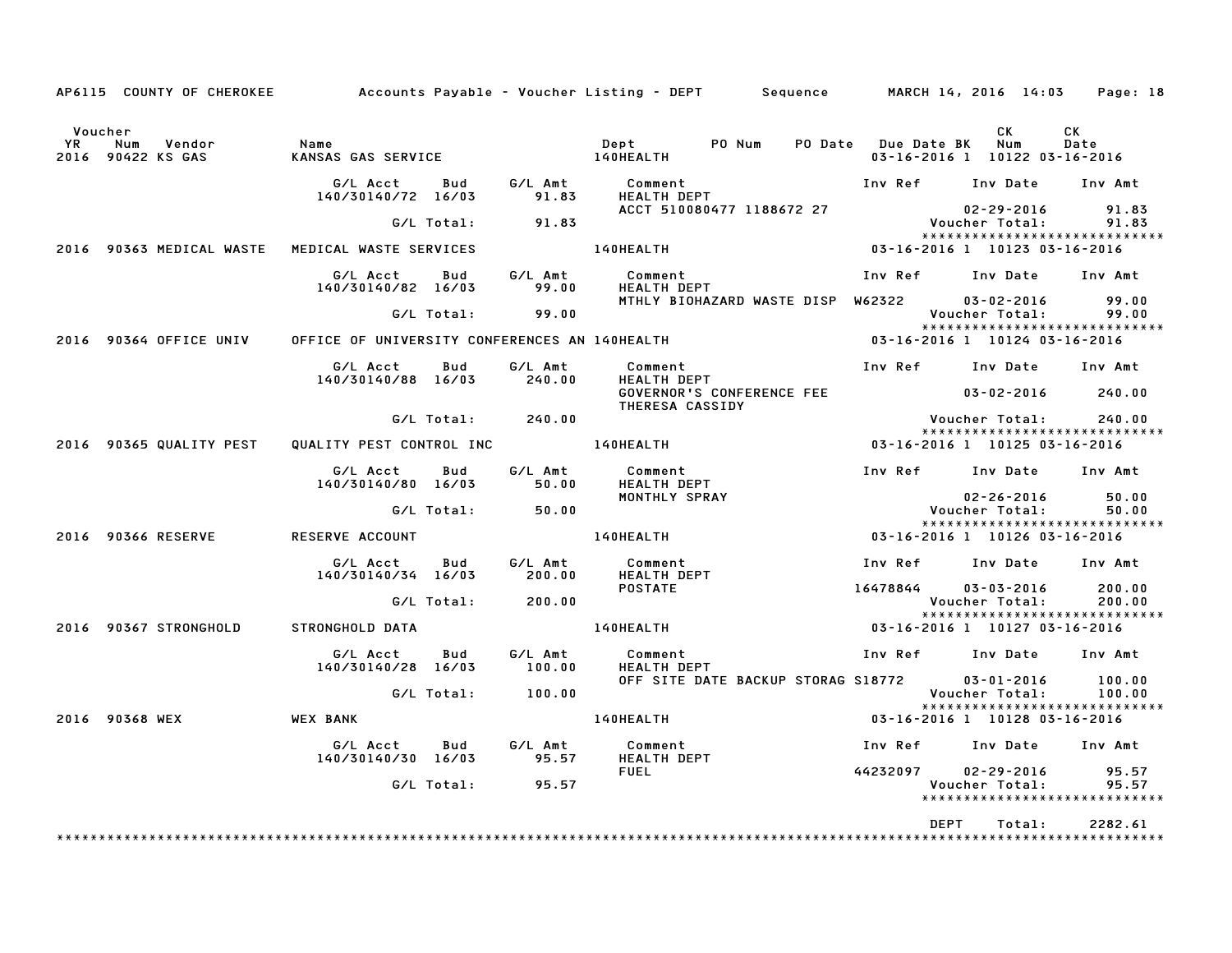|                                                            |                                                      |                           | AP6115 COUNTY OF CHEROKEE Accounts Payable - Voucher Listing - DEPT Sequence |                         | MARCH 14, 2016 14:03                                           | Page: 18         |
|------------------------------------------------------------|------------------------------------------------------|---------------------------|------------------------------------------------------------------------------|-------------------------|----------------------------------------------------------------|------------------|
| Voucher<br>Vendor<br><b>YR</b><br>Num<br>2016 90422 KS GAS | Name                                                 |                           |                                                                              | PO Date Due Date BK Num | CK<br>03-16-2016 1 10122 03-16-2016                            | CK<br>Date       |
|                                                            | G/L Acct<br>Bud<br>140/30140/72 16/03                | 91.83                     | G/L Amt Comment<br>HEALTH DEPT                                               |                         | Inv Ref Inv Date Inv Amt                                       |                  |
|                                                            | G/L Total:                                           | 91.83                     | ACCT 510080477 1188672 27                                                    |                         | 02-29-2016<br>Voucher Total:                                   | 91.83<br>91.83   |
| 2016 90363 MEDICAL WASTE MEDICAL WASTE SERVICES            |                                                      |                           | 140HEALTH                                                                    |                         | *****************************<br>03-16-2016 1 10123 03-16-2016 |                  |
|                                                            | G/L Acct Bud<br>140/30140/82 16/03                   | G/L Amt<br>99.00<br>99.00 | Comment<br>HEALTH DEPT                                                       |                         | Inv Ref Inv Date Inv Amt                                       |                  |
|                                                            | G/L Total: 99.00                                     |                           | MTHLY BIOHAZARD WASTE DISP W62322                                            |                         | 03-02-2016<br>Voucher Total:<br>*****************************  | 99.00<br>99.00   |
| 2016 90364 OFFICE UNIV                                     |                                                      |                           | OFFICE OF UNIVERSITY CONFERENCES AN 140HEALTH                                |                         | 03-16-2016 1 10124 03-16-2016                                  |                  |
|                                                            | G/L Acct<br>Bud<br>140/30140/88 16/03                | G/L Amt<br>240.00         | Comment<br>HEALTH DEPT                                                       |                         | Inv Ref Inv Date Inv Amt                                       |                  |
|                                                            |                                                      |                           | GOVERNOR'S CONFERENCE FEE<br>THERESA CASSIDY                                 |                         | $03 - 02 - 2016$ 240.00                                        |                  |
|                                                            | G/L Total: 240.00                                    |                           |                                                                              |                         | Voucher Total:<br>*****************************                | 240.00           |
| 2016 90365 QUALITY PEST                                    |                                                      |                           | QUALITY PEST CONTROL INC 140HEALTH                                           |                         | 03-16-2016 1 10125 03-16-2016                                  |                  |
|                                                            | G/L Acct<br>Bud<br>140/30140/80 16/03                |                           | <b>HEALTH DEPT</b>                                                           |                         | Inv Ref Inv Date Inv Amt                                       |                  |
|                                                            | G/L Total: 50.00                                     |                           | MONTHLY SPRAY                                                                |                         | 02-26-2016<br>Voucher Total:                                   | 50.00<br>50.00   |
| 2016 90366 RESERVE                                         | <b>RESERVE ACCOUNT</b>                               |                           | <b>140HEALTH</b>                                                             |                         | *****************************<br>03-16-2016 1 10126 03-16-2016 |                  |
|                                                            | G/L Acct Bud                                         |                           |                                                                              |                         | Inv Ref Inv Date Inv Amt                                       |                  |
|                                                            | 140/30140/34 16/03                                   |                           |                                                                              |                         |                                                                |                  |
|                                                            | G/L Total: 200.00                                    |                           | <b>POSTATE</b>                                                               | 16478844 03-03-2016     | Voucher Total:                                                 | 200.00<br>200.00 |
| 2016 90367 STRONGHOLD                                      | STRONGHOLD DATA                                      |                           |                                                                              |                         | *****************************                                  |                  |
|                                                            | G/L Acct<br>Bud<br>140/30140/28 16/03                | G∕L Amt<br>100.00         | Comment<br><b>HEALTH DEPT</b>                                                |                         | Inv Ref Inv Date Inv Amt                                       |                  |
|                                                            | G/L Total: 100.00                                    |                           | OFF SITE DATE BACKUP STORAG S18772 03-01-2016                                |                         | Voucher Total:                                                 | 100.00<br>100.00 |
| 2016 90368 WEX                                             | <b>WEX BANK</b>                                      |                           | 140HEALTH <b>Andrew Struck Struck Struck</b>                                 |                         | *****************************<br>03-16-2016 1 10128 03-16-2016 |                  |
|                                                            | G/L Acct Bud<br>140/30140/30 16/03 95.57 HEALTH DEPT | G/L Amt                   | Comment                                                                      |                         | Inv Ref Inv Date Inv Amt                                       |                  |
|                                                            | $G/L$ Total: $95.57$                                 |                           | <b>FUEL</b>                                                                  |                         | 44232097 02-29-2016 95.57<br>Voucher Total:                    | 95.57            |
|                                                            |                                                      |                           |                                                                              |                         | *****************************                                  |                  |
|                                                            |                                                      |                           |                                                                              | <b>DEPT</b>             | Total:                                                         | 2282.61          |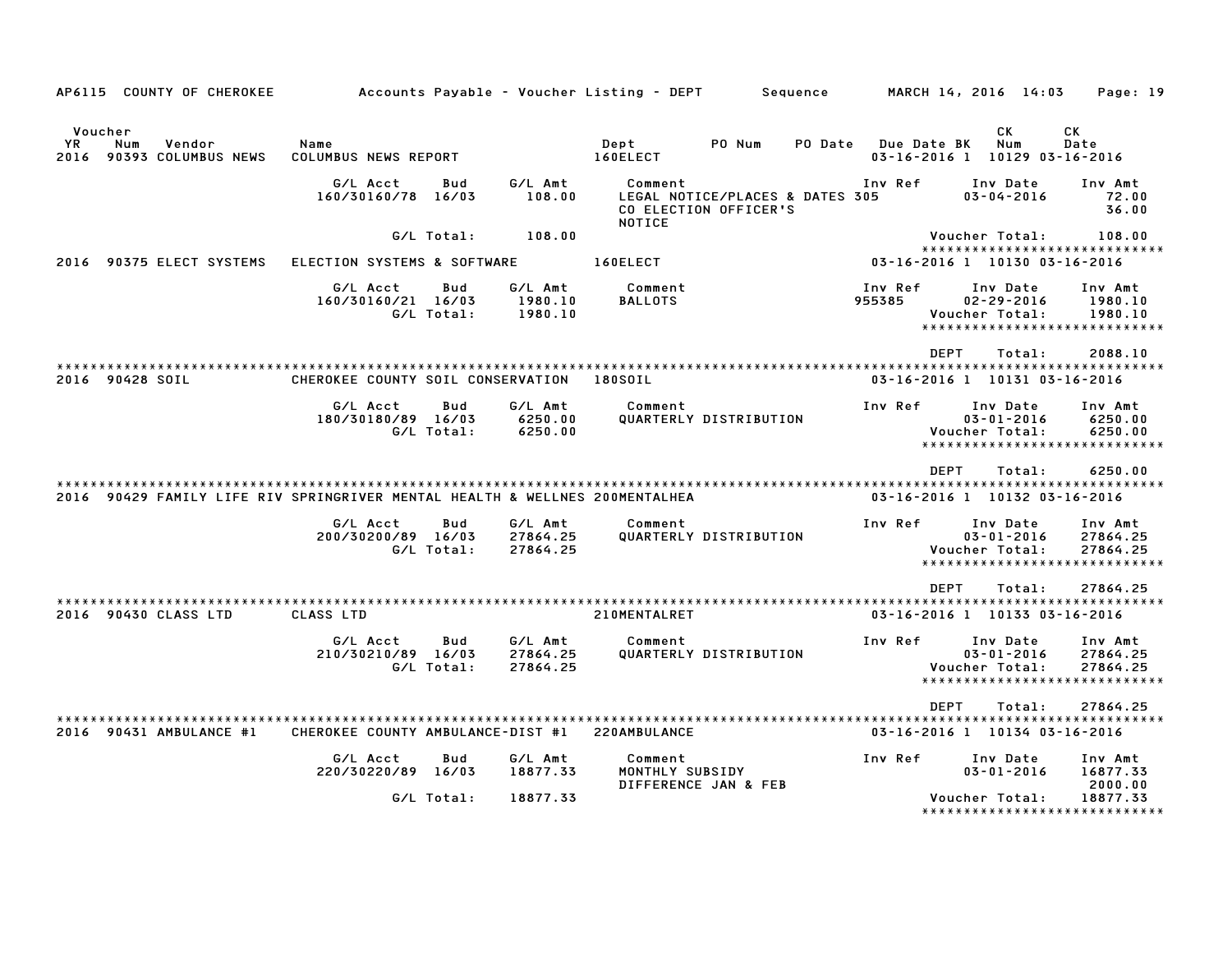|             | AP6115 COUNTY OF CHEROKEE                                                   |                                   |                          |                                 | Accounts Payable – Voucher Listing – DEPT |                                                          | Sequence |                   | MARCH 14, 2016 14:03                         |                              | Page: 19                                                         |
|-------------|-----------------------------------------------------------------------------|-----------------------------------|--------------------------|---------------------------------|-------------------------------------------|----------------------------------------------------------|----------|-------------------|----------------------------------------------|------------------------------|------------------------------------------------------------------|
| YR.<br>2016 | Voucher<br>Num<br>Vendor<br>90393 COLUMBUS NEWS                             | Name<br>COLUMBUS NEWS REPORT      |                          |                                 | Dept<br>160ELECT                          | PO Num                                                   | PO Date  |                   | Due Date BK<br>03-16-2016 1 10129 03-16-2016 | СK<br>Num                    | CK<br>Date                                                       |
|             |                                                                             | G/L Acct<br>160/30160/78 16/03    | Bud                      | G/L Amt<br>108.00               | Comment<br>NOTICE                         | LEGAL NOTICE/PLACES & DATES 305<br>CO ELECTION OFFICER'S |          | Inv Ref           |                                              | Inv Date<br>$03 - 04 - 2016$ | Inv Amt<br>72.00<br>36.00                                        |
|             |                                                                             |                                   | G/L Total:               | 108.00                          |                                           |                                                          |          |                   | Voucher Total:                               |                              | 108.00                                                           |
|             | 2016 90375 ELECT SYSTEMS                                                    | ELECTION SYSTEMS & SOFTWARE       |                          |                                 | 160ELECT                                  |                                                          |          |                   | 03-16-2016 1 10130 03-16-2016                |                              | *****************************                                    |
|             |                                                                             | G/L Acct<br>160/30160/21 16/03    | Bud<br>G/L Total:        | G/L Amt<br>1980.10<br>1980.10   | Comment<br><b>BALLOTS</b>                 |                                                          |          | Inv Ref<br>955385 | Voucher Total:                               | Inv Date<br>$02 - 29 - 2016$ | Inv Amt<br>1980.10<br>1980.10<br>*****************************   |
|             |                                                                             |                                   |                          |                                 |                                           |                                                          |          |                   | <b>DEPT</b>                                  | Total:                       | 2088.10                                                          |
|             | 2016 90428 SOIL                                                             | CHEROKEE COUNTY SOIL CONSERVATION |                          |                                 | 180S0IL                                   |                                                          |          |                   | 03-16-2016 1 10131 03-16-2016                |                              | **********************                                           |
|             |                                                                             | G/L Acct<br>180/30180/89 16/03    | <b>Bud</b><br>G/L Total: | G/L Amt<br>6250.00<br>6250.00   | Comment                                   | QUARTERLY DISTRIBUTION                                   |          | Inv Ref           | Voucher Total:                               | Inv Date<br>$03 - 01 - 2016$ | Inv Amt<br>6250.00<br>6250.00<br>*****************************   |
|             | 2016 90429 FAMILY LIFE RIV SPRINGRIVER MENTAL HEALTH & WELLNES 200MENTALHEA |                                   |                          |                                 |                                           |                                                          |          |                   | <b>DEPT</b><br>03-16-2016 1 10132 03-16-2016 | Total:                       | 6250.00                                                          |
|             |                                                                             | G/L Acct<br>200/30200/89 16/03    | Bud<br>G/L Total:        | G/L Amt<br>27864.25<br>27864.25 | Comment                                   | QUARTERLY DISTRIBUTION                                   |          | Inv Ref           | Voucher Total:                               | Inv Date<br>$03 - 01 - 2016$ | Inv Amt<br>27864.25<br>27864.25<br>***************************** |
|             |                                                                             |                                   |                          |                                 |                                           |                                                          |          |                   | <b>DEPT</b>                                  | Total:                       | 27864.25                                                         |
|             | 2016 90430 CLASS LTD                                                        | CLASS LTD                         |                          |                                 | 210MENTALRET                              |                                                          |          |                   | 03-16-2016 1 10133 03-16-2016                |                              |                                                                  |
|             |                                                                             | G/L Acct<br>210/30210/89 16/03    | Bud<br>G/L Total:        | G/L Amt<br>27864.25<br>27864.25 | Comment                                   | QUARTERLY DISTRIBUTION                                   |          | Inv Ref           | Voucher Total:<br>*******************        | Inv Date<br>$03 - 01 - 2016$ | Inv Amt<br>27864.25<br>27864.25                                  |
|             |                                                                             |                                   |                          |                                 |                                           |                                                          |          |                   | <b>DEPT</b>                                  | Total:                       | 27864.25                                                         |
|             | 2016 90431 AMBULANCE #1                                                     | CHEROKEE COUNTY AMBULANCE-DIST #1 |                          |                                 | 220AMBULANCE                              |                                                          |          |                   | 03-16-2016 1 10134 03-16-2016                |                              |                                                                  |
|             |                                                                             | G/L Acct<br>220/30220/89 16/03    | Bud                      | G/L Amt<br>18877.33             | Comment<br>MONTHLY SUBSIDY                | DIFFERENCE JAN & FEB                                     |          | Inv Ref           |                                              | Inv Date<br>$03 - 01 - 2016$ | Inv Amt<br>16877.33<br>2000.00                                   |
|             |                                                                             |                                   | G/L Total:               | 18877.33                        |                                           |                                                          |          |                   | Voucher Total:                               |                              | 18877.33<br>*******************************                      |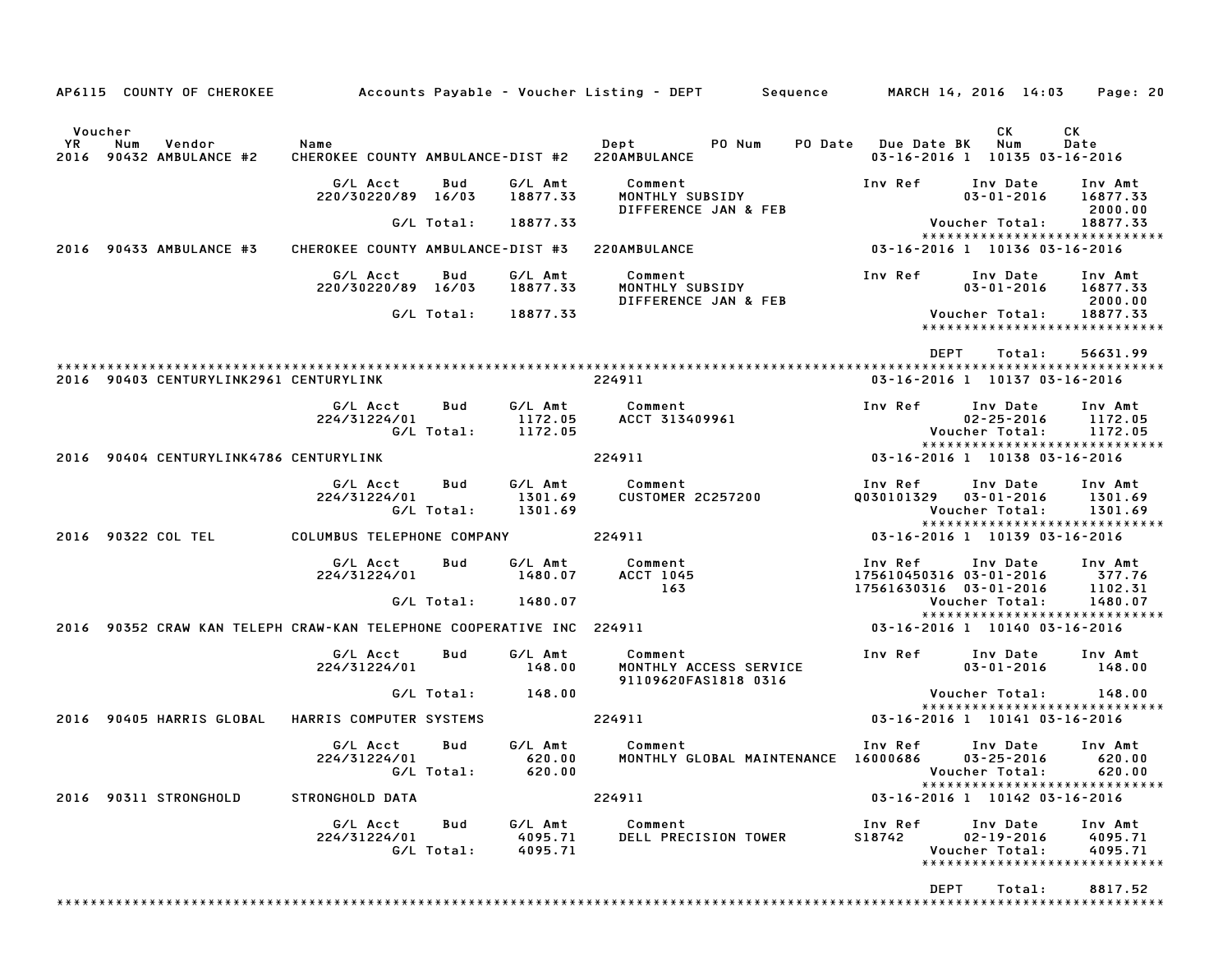|                                                 | AP6115 COUNTY OF CHEROKEE              |                                                                      |                   |                               | Accounts Payable – Voucher Listing – DEPT         Sequence |                                                              | MARCH 14, 2016 14:03                                                            | Page: 20                       |
|-------------------------------------------------|----------------------------------------|----------------------------------------------------------------------|-------------------|-------------------------------|------------------------------------------------------------|--------------------------------------------------------------|---------------------------------------------------------------------------------|--------------------------------|
| Voucher<br>YR<br>Num<br>2016 90432 AMBULANCE #2 | Vendor                                 | Name<br>CHEROKEE COUNTY AMBULANCE-DIST #2 220AMBULANCE               |                   |                               | Dept<br>PO Num<br>PO Date                                  | <b>Due Date BK</b>                                           | CK<br>Num<br>03-16-2016 1 10135 03-16-2016                                      | CK<br>Date                     |
|                                                 |                                        | G/L Acct<br>220/30220/89 16/03                                       | Bud               | G/L Amt<br>18877.33           | Comment<br>MONTHLY SUBSIDY<br>DIFFERENCE JAN & FEB         | Inv Ref                                                      | Inv Date<br>$03 - 01 - 2016$                                                    | Inv Amt<br>16877.33<br>2000.00 |
|                                                 |                                        |                                                                      | G/L Total:        | 18877.33                      |                                                            |                                                              | Voucher Total:<br>*****************************                                 | 18877.33                       |
| 2016 90433 AMBULANCE #3                         |                                        | CHEROKEE COUNTY AMBULANCE-DIST #3                                    |                   |                               | 220AMBULANCE                                               |                                                              | 03-16-2016 1 10136 03-16-2016                                                   |                                |
|                                                 |                                        | G/L Acct<br>220/30220/89 16/03                                       | Bud               | G/L Amt<br>18877.33           | Comment<br>MONTHLY SUBSIDY<br>DIFFERENCE JAN & FEB         | Inv Ref                                                      | Inv Date<br>$03 - 01 - 2016$                                                    | Inv Amt<br>16877.33<br>2000.00 |
|                                                 |                                        |                                                                      | G/L Total:        | 18877.33                      |                                                            |                                                              | Voucher Total:<br>*****************************                                 | 18877.33                       |
|                                                 | 2016 90403 CENTURYLINK2961 CENTURYLINK |                                                                      |                   |                               | 224911                                                     | <b>DEPT</b>                                                  | Total:<br>03-16-2016 1 10137 03-16-2016                                         | 56631.99                       |
|                                                 |                                        | G/L Acct<br>224/31224/01                                             | Bud<br>G/L Total: | G/L Amt<br>1172.05            | Comment<br>ACCT 313409961                                  | Inv Ref                                                      | Inv Date<br>$02 - 25 - 2016$                                                    | Inv Amt<br>1172.05<br>1172.05  |
|                                                 |                                        |                                                                      |                   | 1172.05                       |                                                            |                                                              | Voucher Total:<br>*****************************                                 |                                |
|                                                 | 2016 90404 CENTURYLINK4786 CENTURYLINK |                                                                      |                   |                               | 224911                                                     |                                                              | 03-16-2016 1 10138 03-16-2016                                                   |                                |
|                                                 |                                        | G/L Acct<br>224/31224/01                                             | Bud<br>G/L Total: | G/L Amt<br>1301.69<br>1301.69 | Comment<br><b>CUSTOMER 2C257200</b>                        | Inv Ref<br>0030101329                                        | Inv Date<br>$03 - 01 - 2016$<br>Voucher Total:                                  | Inv Amt<br>1301.69<br>1301.69  |
| 2016 90322 COL TEL                              |                                        | COLUMBUS TELEPHONE COMPANY                                           |                   |                               | 224911                                                     |                                                              | *****************************<br>03-16-2016 1 10139 03-16-2016                  |                                |
|                                                 |                                        | G/L Acct<br>224/31224/01                                             | Bud               | G/L Amt<br>1480.07            | Comment<br>ACCT 1045<br>163                                | Inv Ref<br>175610450316 03-01-2016<br>17561630316 03-01-2016 | Inv Date                                                                        | Inv Amt<br>377.76<br>1102.31   |
|                                                 |                                        |                                                                      | G/L Total:        | 1480.07                       |                                                            |                                                              | Voucher Total:<br>*****************************                                 | 1480.07                        |
|                                                 |                                        | 2016 90352 CRAW KAN TELEPH CRAW-KAN TELEPHONE COOPERATIVE INC 224911 |                   |                               |                                                            |                                                              | 03-16-2016 1 10140 03-16-2016                                                   |                                |
|                                                 |                                        | G/L Acct<br>224/31224/01                                             | Bud               | G/L Amt<br>148.00             | Comment<br>MONTHLY ACCESS SERVICE<br>91109620FAS1818 0316  | Inv Ref                                                      | Inv Date<br>$03 - 01 - 2016$                                                    | Inv Amt<br>148.00              |
|                                                 |                                        |                                                                      | G/L Total:        | 148.00                        |                                                            |                                                              | Voucher Total:<br>******************************                                | 148.00                         |
| 2016                                            | 90405 HARRIS GLOBAL                    | HARRIS COMPUTER SYSTEMS                                              |                   |                               | 224911                                                     |                                                              | 03-16-2016 1 10141 03-16-2016                                                   |                                |
|                                                 |                                        | G/L Acct<br>224/31224/01                                             | Bud<br>G/L Total: | G/L Amt<br>620.00<br>620.00   | Comment<br>MONTHLY GLOBAL MAINTENANCE 16000686             | Inv Ref                                                      | Inv Date<br>$03 - 25 - 2016$ 620.00<br>Voucher Total: 620.00                    | Inv Amt                        |
| 2016 90311 STRONGHOLD                           |                                        | STRONGHOLD DATA                                                      |                   |                               | 224911                                                     |                                                              | ******************************<br>03-16-2016 1 10142 03-16-2016                 |                                |
|                                                 |                                        | G/L Acct<br>224/31224/01                                             | Bud<br>G/L Total: | G/L Amt<br>4095.71<br>4095.71 | Comment<br>DELL PRECISION TOWER                            | Inv Ref<br>S18742                                            | Inv Date<br>$02 - 19 - 2016$<br>Voucher Total:<br>***************************** | Inv Amt<br>4095.71<br>4095.71  |
|                                                 |                                        |                                                                      |                   |                               |                                                            | <b>DEPT</b>                                                  | Total:                                                                          | 8817.52                        |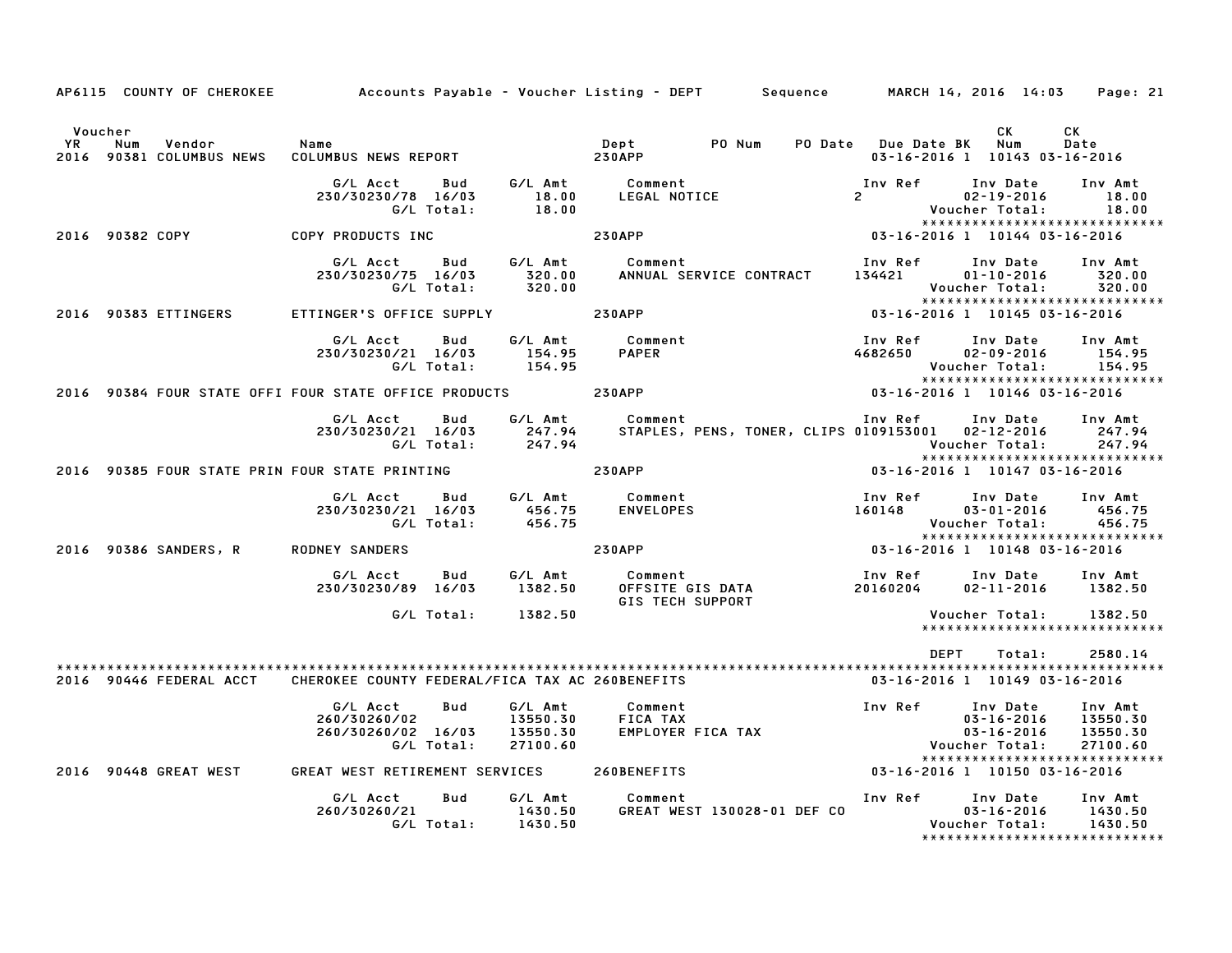|                 |     |                         | AP6115 COUNTY OF CHEROKEE Accounts Payable - Voucher Listing - DEPT Sequence MARCH 14, 2016 14:03 Page: 21 |                          |                                             |                                          |                                                |                                           |                                                                                                                           |                                             |
|-----------------|-----|-------------------------|------------------------------------------------------------------------------------------------------------|--------------------------|---------------------------------------------|------------------------------------------|------------------------------------------------|-------------------------------------------|---------------------------------------------------------------------------------------------------------------------------|---------------------------------------------|
| Voucher<br>YR   | Num | Vendor                  | Name<br>2016 90381 COLUMBUS NEWS COLUMBUS NEWS REPORT                                                      |                          |                                             | Dept PO Num<br><b>230APP</b>             |                                                | PO Date Due Date BK                       | CK.<br>Num<br>03-16-2016 1 10143 03-16-2016                                                                               | CK<br>Date                                  |
|                 |     |                         | G/L Acct<br>230/30230/78 16/03<br>G/L Total:                                                               | Bud                      | G∕L Amt<br>18.00<br>18.00                   | Comment<br>LEGAL NOTICE                  |                                                | Inv Ref<br>$2 \left( \frac{1}{2} \right)$ | Inv Date<br>02-19-2016<br>Voucher Total:                                                                                  | Inv Amt<br>18.00<br>18.00                   |
| 2016 90382 COPY |     |                         | COPY PRODUCTS INC                                                                                          |                          |                                             | <b>230APP</b>                            |                                                |                                           | *****************************<br>$03 - 16 - 2016$ 1 10144 03-16-2016                                                      |                                             |
|                 |     |                         | G/L Acct<br>230/30230/75 16/03                                                                             | <b>Bud</b><br>G/L Total: | G∕L Amt<br>320.00<br>320.00                 | Comment                                  | ANNUAL SERVICE CONTRACT                        | Inv Ref<br>134421                         | Inv Date<br>$01 - 10 - 2016$<br>Voucher Total:<br>*****************************                                           | Inv Amt<br>320.00<br>320.00                 |
|                 |     | 2016 90383 ETTINGERS    | ETTINGER'S OFFICE SUPPLY 230APP                                                                            |                          |                                             |                                          |                                                |                                           | 03-16-2016 1 10145 03-16-2016                                                                                             |                                             |
|                 |     |                         | G/L Acct Bud<br>230/30230/21 16/03<br>G/L Total:                                                           |                          | G/L Amt<br>154.95<br>154.95                 | Comment<br><b>PAPER</b>                  |                                                | Inv Ref<br>4682650                        | Inv Date Inv Amt<br>02-09-2016<br>Voucher Total: 154.95<br>******************************                                 | 154.95                                      |
|                 |     |                         | 2016 90384 FOUR STATE OFFI FOUR STATE OFFICE PRODUCTS 230APP                                               |                          |                                             |                                          |                                                |                                           | 03-16-2016 1 10146 03-16-2016                                                                                             |                                             |
|                 |     |                         | G/L Acct<br>230/30230/21 16/03<br>G/L Total:                                                               | Bud                      | G/L Amt<br>247.94<br>247.94                 | Comment                                  |                                                |                                           | Inv Ref Inv Date<br>STAPLES, PENS, TONER, CLIPS 0109153001  02-12-2016<br>Voucher Total:<br>***************************** | Inv Amt<br>247.94<br>247.94                 |
|                 |     |                         | 2016 90385 FOUR STATE PRIN FOUR STATE PRINTING                                                             |                          |                                             | <b>230APP</b>                            |                                                |                                           | 03-16-2016 1 10147 03-16-2016                                                                                             |                                             |
|                 |     |                         | G/L Acct<br>230/30230/21 16/03<br>G/L Total:                                                               |                          | 456.75                                      |                                          |                                                | Inv Ref<br>160148                         | Inv Date<br>$03 - 01 - 2016$<br>Voucher Total:                                                                            | Inv Amt<br>456.75<br>456.75                 |
|                 |     | 2016 90386 SANDERS, R   | <b>RODNEY SANDERS</b>                                                                                      |                          |                                             | <b>230APP</b>                            |                                                |                                           | *****************************<br>03-16-2016 1 10148 03-16-2016                                                            |                                             |
|                 |     |                         | G/L Acct<br>230/30230/89 16/03                                                                             | Bud                      | 1382.50                                     | G/L Amt Comment                          | Comment<br>OFFSITE GIS DATA<br>-- Trou Support | Inv Ref<br>20160204                       | Inv Date<br>$02 - 11 - 2016$                                                                                              | Inv Amt<br>1382.50                          |
|                 |     |                         | G/L Total:                                                                                                 |                          | 1382.50                                     |                                          |                                                |                                           | Voucher Total:<br>******************************                                                                          | 1382.50                                     |
|                 |     | 2016 90446 FEDERAL ACCT | CHEROKEE COUNTY FEDERAL/FICA TAX AC 260BENEFITS                                                            |                          |                                             |                                          |                                                |                                           | DEPT<br>Total:<br>03-16-2016 1 10149 03-16-2016                                                                           | 2580.14                                     |
|                 |     |                         | G/L Acct<br>260/30260/02<br>260/30260/02 16/03<br>G/L Total:                                               | Bud                      | G/L Amt<br>13550.30<br>13550.30<br>27100.60 | Comment<br>FICA TAX<br>EMPLOYER FICA TAX |                                                |                                           | Inv Ref Inv Date<br>$03 - 16 - 2016$<br>$03 - 16 - 2016$<br>Voucher Total:<br>*****************************               | Inv Amt<br>13550.30<br>13550.30<br>27100.60 |
|                 |     | 2016 90448 GREAT WEST   | GREAT WEST RETIREMENT SERVICES 260BENEFITS                                                                 |                          |                                             |                                          |                                                |                                           | 03-16-2016 1 10150 03-16-2016                                                                                             |                                             |
|                 |     |                         | G/L Acct<br>260/30260/21                                                                                   | Bud                      | G/L Amt<br>1430.50<br>G/L Total: 1430.50    | Comment                                  | GREAT WEST 130028-01 DEF CO                    | Inv Ref                                   | Inv Date<br>$03 - 16 - 2016$<br>Voucher Total:<br>*****************************                                           | Inv Amt<br>1430.50<br>1430.50               |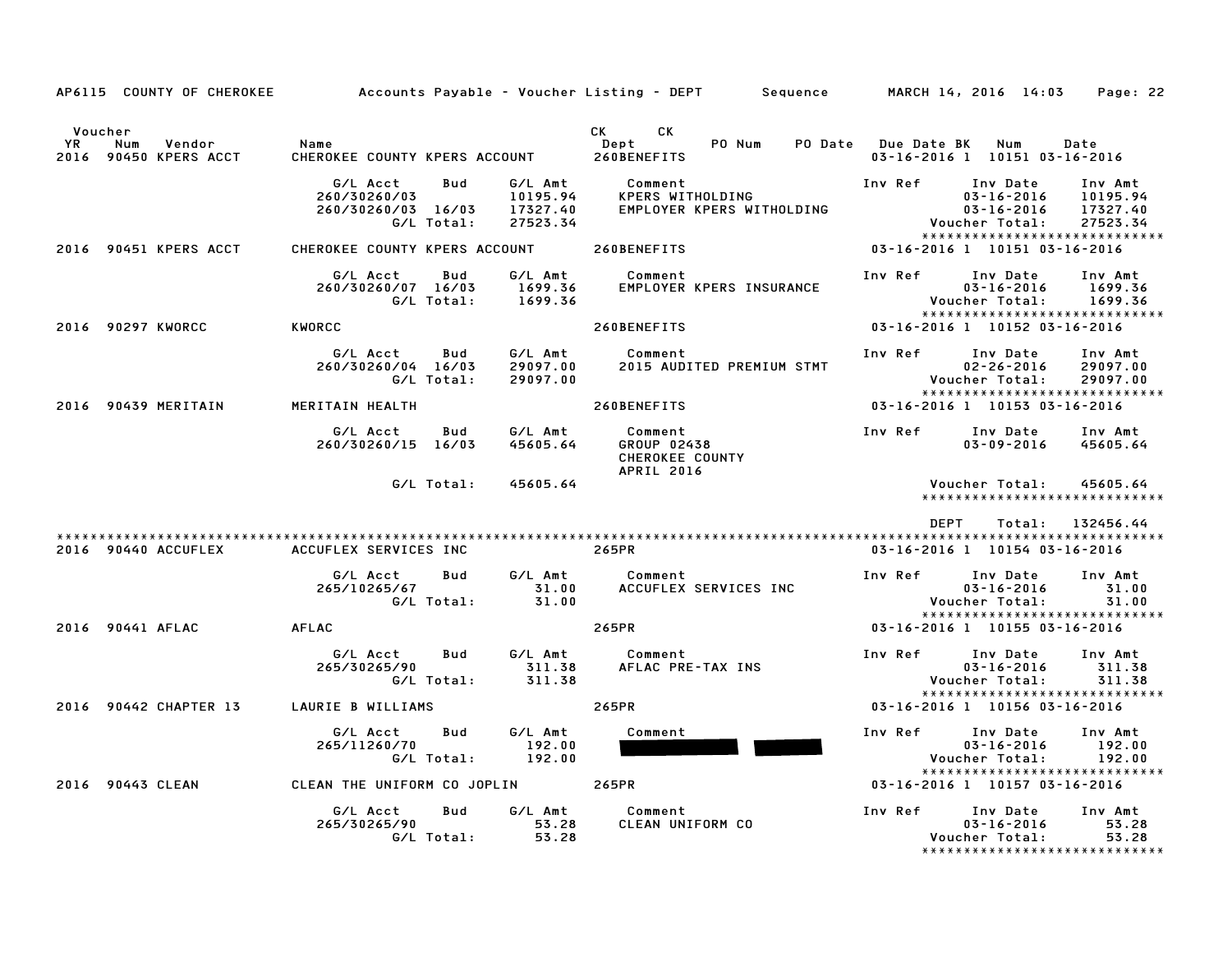|               | AP6115 COUNTY OF CHEROKEE              |                                                                     |                                             | Accounts Payable – Voucher Listing – DEPT         Sequence            | MARCH 14, 2016 14:03<br>Page: 22                                                                                                                         |
|---------------|----------------------------------------|---------------------------------------------------------------------|---------------------------------------------|-----------------------------------------------------------------------|----------------------------------------------------------------------------------------------------------------------------------------------------------|
| Voucher<br>YR | Vendor<br>Num<br>2016 90450 KPERS ACCT | Name<br>CHEROKEE COUNTY KPERS ACCOUNT                               |                                             | CK<br><b>CK</b><br>PO Num<br>PO Date<br>Dept<br>260BENEFITS           | <b>Due Date BK</b><br>Num<br>Date<br>03-16-2016 1 10151 03-16-2016                                                                                       |
|               |                                        | G/L Acct<br>Bud<br>260/30260/03<br>260/30260/03 16/03<br>G/L Total: | G/L Amt<br>10195.94<br>17327.40<br>27523.34 | Comment<br>KPERS WITHOLDING<br>EMPLOYER KPERS WITHOLDING              | Inv Ref<br>Inv Date<br>Inv Amt<br>$03 - 16 - 2016$<br>10195.94<br>03-16-2016<br>17327.40<br>Voucher Total:<br>27523.34<br>****************************** |
|               | 2016 90451 KPERS ACCT                  | CHEROKEE COUNTY KPERS ACCOUNT                                       |                                             | 260BENEFITS                                                           | 03-16-2016 1 10151 03-16-2016                                                                                                                            |
|               |                                        | G/L Acct<br>Bud<br>260/30260/07 16/03<br>G/L Total:                 | G/L Amt<br>1699.36<br>1699.36               | Comment<br>EMPLOYER KPERS INSURANCE                                   | Inv Ref<br>Inv Date<br>Inv Amt<br>$03 - 16 - 2016$<br>1699.36<br>Voucher Total:<br>1699.36<br>*****************************                              |
|               | 2016 90297 KWORCC                      | KWORCC                                                              |                                             | 260BENEFITS                                                           | 03-16-2016 1 10152 03-16-2016                                                                                                                            |
|               |                                        | G/L Acct<br>Bud<br>260/30260/04 16/03<br>G/L Total:                 | G/L Amt<br>29097.00<br>29097.00             | Comment<br>2015 AUDITED PREMIUM STMT                                  | Inv Ref<br>Inv Date<br>Inv Amt<br>$02 - 26 - 2016$<br>29097.00<br>Voucher Total:<br>29097.00<br>*****************************                            |
|               | 2016 90439 MERITAIN                    | MERITAIN HEALTH                                                     |                                             | 260BENEFITS                                                           | 03-16-2016 1 10153 03-16-2016                                                                                                                            |
|               |                                        | G/L Acct<br>Bud<br>260/30260/15 16/03                               | G/L Amt<br>45605.64                         | Comment<br>GROUP 02438<br><b>CHEROKEE COUNTY</b><br><b>APRIL 2016</b> | Inv Ref<br>Inv Date<br>Inv Amt<br>$03 - 09 - 2016$<br>45605.64                                                                                           |
|               |                                        | G/L Total:                                                          | 45605.64                                    |                                                                       | 45605.64<br>Voucher Total:<br>******************************                                                                                             |
|               |                                        |                                                                     |                                             |                                                                       | <b>DEPT</b><br>Total: 132456.44                                                                                                                          |
|               | 2016 90440 ACCUFLEX                    | ACCUFLEX SERVICES INC                                               |                                             | 265PR                                                                 | 03-16-2016 1 10154 03-16-2016                                                                                                                            |
|               |                                        | G/L Acct<br>Bud<br>265/10265/67<br>G/L Total:                       | G/L Amt<br>31.00<br>31.00                   | Comment<br>ACCUFLEX SERVICES INC                                      | Inv Ref<br>Inv Date<br>Inv Amt<br>$03 - 16 - 2016$<br>31.00<br>Voucher Total:<br>31.00<br>******************************                                 |
|               | 2016 90441 AFLAC                       | <b>AFLAC</b>                                                        |                                             | 265PR                                                                 | 03-16-2016 1 10155 03-16-2016                                                                                                                            |
|               |                                        | G/L Acct<br>Bud<br>265/30265/90<br>G/L Total:                       | G/L Amt<br>311.38<br>311.38                 | Comment<br>AFLAC PRE-TAX INS                                          | Inv Ref<br>Inv Date<br>Inv Amt<br>$03 - 16 - 2016$<br>311.38<br>Voucher Total:<br>311.38<br>*****************************                                |
|               | 2016 90442 CHAPTER 13                  | LAURIE B WILLIAMS                                                   |                                             | 265PR                                                                 | 03-16-2016 1 10156 03-16-2016                                                                                                                            |
|               |                                        | G/L Acct<br>Bud<br>265/11260/70<br>G/L Total:                       | G/L Amt<br>192.00<br>192.00                 | Comment                                                               | Inv Ref<br>Inv Date<br>Inv Amt<br>$03 - 16 - 2016$<br>192.00<br>192.00<br>Voucher Total:<br>*****************************                                |
|               | 2016 90443 CLEAN                       | CLEAN THE UNIFORM CO JOPLIN                                         |                                             | 265PR                                                                 | 03-16-2016 1 10157 03-16-2016                                                                                                                            |
|               |                                        | G/L Acct<br>Bud<br>265/30265/90<br>G/L Total:                       | G/L Amt<br>53.28<br>53.28                   | Comment<br>CLEAN UNIFORM CO                                           | Inv Ref<br>Inv Date<br>Inv Amt<br>53.28<br>$03 - 16 - 2016$<br>53.28<br>Voucher Total:<br>*****************************                                  |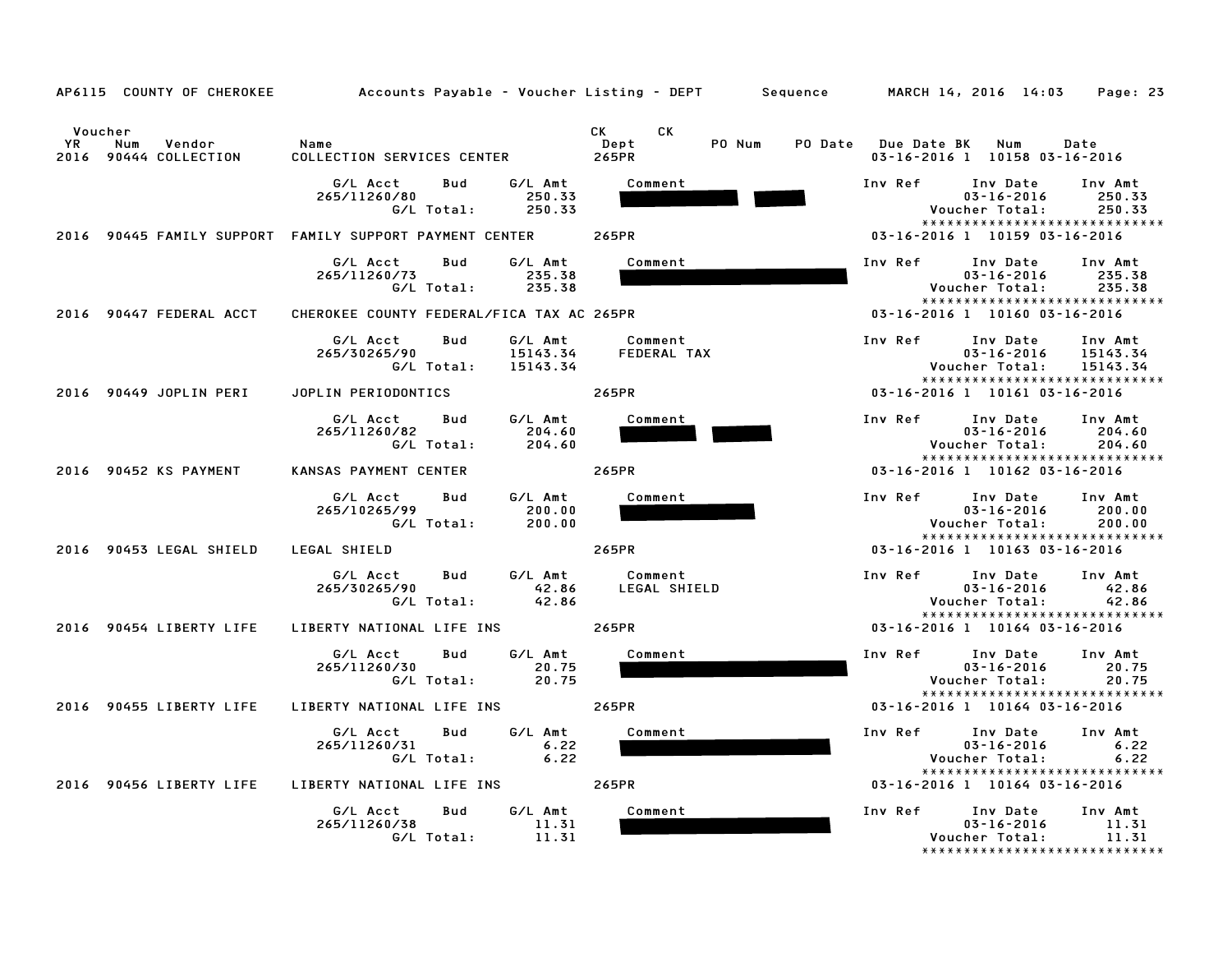|                                                                   | AP6115 COUNTY OF CHEROKEE Accounts Payable – Voucher Listing – DEPT Sequence MARCH 14, 2016 14:03 |                                                                                                                                                                                                                                                                 | Page: 23                                                                                                                      |
|-------------------------------------------------------------------|---------------------------------------------------------------------------------------------------|-----------------------------------------------------------------------------------------------------------------------------------------------------------------------------------------------------------------------------------------------------------------|-------------------------------------------------------------------------------------------------------------------------------|
| Voucher<br><b>YR</b><br>Num<br>Vendor<br>2016<br>90444 COLLECTION | Name<br>COLLECTION SERVICES CENTER                                                                | CK and the set of the set of the set of the set of the set of the set of the set of the set of the set of the set of the set of the set of the set of the set of the set of the set of the set of the set of the set of the se<br>CK<br>PO Num<br>Dept<br>265PR | PO Date Due Date BK Num<br>Date<br>03-16-2016 1 10158 03-16-2016                                                              |
|                                                                   | G/L Acct<br>Bud<br>G/L Amt<br>265/11260/80<br>250.33<br>G/L Total:<br>250.33                      | Comment                                                                                                                                                                                                                                                         | Inv Ref<br>Inv Date<br>Inv Amt<br>$03 - 16 - 2016$<br>250.33<br>Voucher Total:<br>250.33<br>*****************************     |
|                                                                   | 2016 90445 FAMILY SUPPORT FAMILY SUPPORT PAYMENT CENTER                                           | 265PR                                                                                                                                                                                                                                                           | 03-16-2016 1 10159 03-16-2016                                                                                                 |
|                                                                   | G/L Acct<br>G/L Amt<br>Bud<br>265/11260/73<br>235.38<br>G/L Total:<br>235.38                      | Comment                                                                                                                                                                                                                                                         | Inv Ref<br>Inv Date<br>Inv Amt<br>$03 - 16 - 2016$<br>235.38<br>Voucher Total:<br>235.38<br>*****************************     |
| 2016 90447 FEDERAL ACCT                                           | CHEROKEE COUNTY FEDERAL/FICA TAX AC 265PR                                                         |                                                                                                                                                                                                                                                                 | 03-16-2016 1 10160 03-16-2016                                                                                                 |
|                                                                   | G/L Amt<br>G/L Acct<br>Bud<br>265/30265/90<br>15143.34<br>G/L Total:<br>15143.34                  | Comment<br>FEDERAL TAX                                                                                                                                                                                                                                          | Inv Ref<br>Inv Date<br>Inv Amt<br>$03 - 16 - 2016$<br>15143.34<br>15143.34<br>Voucher Total:<br>***************************** |
| 2016 90449 JOPLIN PERI                                            | JOPLIN PERIODONTICS                                                                               | 265PR                                                                                                                                                                                                                                                           | 03-16-2016 1 10161 03-16-2016                                                                                                 |
|                                                                   | G/L Acct<br>Bud<br>G/L Amt<br>265/11260/82<br>204.60<br>204.60<br>G/L Total:                      | Comment                                                                                                                                                                                                                                                         | Inv Ref<br>Inv Date<br>Inv Amt<br>$03 - 16 - 2016$<br>204.60<br>Voucher Total:<br>204.60<br>*****************************     |
| 2016 90452 KS PAYMENT                                             | KANSAS PAYMENT CENTER                                                                             | 265PR                                                                                                                                                                                                                                                           | 03-16-2016 1 10162 03-16-2016                                                                                                 |
|                                                                   | G/L Acct<br>G/L Amt<br>Bud<br>265/10265/99<br>200.00<br>G/L Total:<br>200.00                      | Comment                                                                                                                                                                                                                                                         | Inv Ref<br>Inv Date<br>Inv Amt<br>$03 - 16 - 2016$<br>200.00<br>Voucher Total:<br>200.00<br>*****************************     |
| 2016 90453 LEGAL SHIELD                                           | LEGAL SHIELD                                                                                      | 265PR                                                                                                                                                                                                                                                           | 03-16-2016 1 10163 03-16-2016                                                                                                 |
|                                                                   | G/L Amt<br>G/L Acct<br>Bud<br>42.86<br>265/30265/90<br>42.86<br>G/L Total:                        | Comment<br>LEGAL SHIELD                                                                                                                                                                                                                                         | Inv Ref<br>Inv Date<br>Inv Amt<br>$03 - 16 - 2016$<br>42.86<br>Voucher Total:<br>42.86<br>*****************************       |
| 2016 90454 LIBERTY LIFE                                           | LIBERTY NATIONAL LIFE INS                                                                         | 265PR                                                                                                                                                                                                                                                           | 03-16-2016 1 10164 03-16-2016                                                                                                 |
|                                                                   | G/L Acct<br>G/L Amt<br>Bud<br>265/11260/30<br>20.75<br>G/L Total:<br>20.75                        | Comment                                                                                                                                                                                                                                                         | Inv Ref<br>Inv Date<br>Inv Amt<br>$03 - 16 - 2016$<br>20.75<br>Voucher Total:<br>20.75<br>*****************************       |
| 2016 90455 LIBERTY LIFE                                           | LIBERTY NATIONAL LIFE INS                                                                         | 265PR                                                                                                                                                                                                                                                           | 03-16-2016 1 10164 03-16-2016                                                                                                 |
|                                                                   | G/L Acct<br>G/L Amt<br>Bud<br>265/11260/31<br>6.22<br>6.22<br>G/L Total:                          | Comment                                                                                                                                                                                                                                                         | Inv Ref<br>Inv Date<br>Inv Amt<br>$03 - 16 - 2016$<br>6.22<br>Voucher Total:<br>6.22<br>*****************************         |
| 90456 LIBERTY LIFE<br>2016                                        | LIBERTY NATIONAL LIFE INS                                                                         | 265PR                                                                                                                                                                                                                                                           | 03-16-2016 1 10164 03-16-2016                                                                                                 |
|                                                                   | G/L Acct<br>G/L Amt<br>Bud<br>265/11260/38<br>11.31<br>G/L Total:<br>11.31                        | Comment                                                                                                                                                                                                                                                         | Inv Ref<br>Inv Date<br>Inv Amt<br>$03 - 16 - 2016$<br>11.31<br>Voucher Total:<br>11.31<br>*****************************       |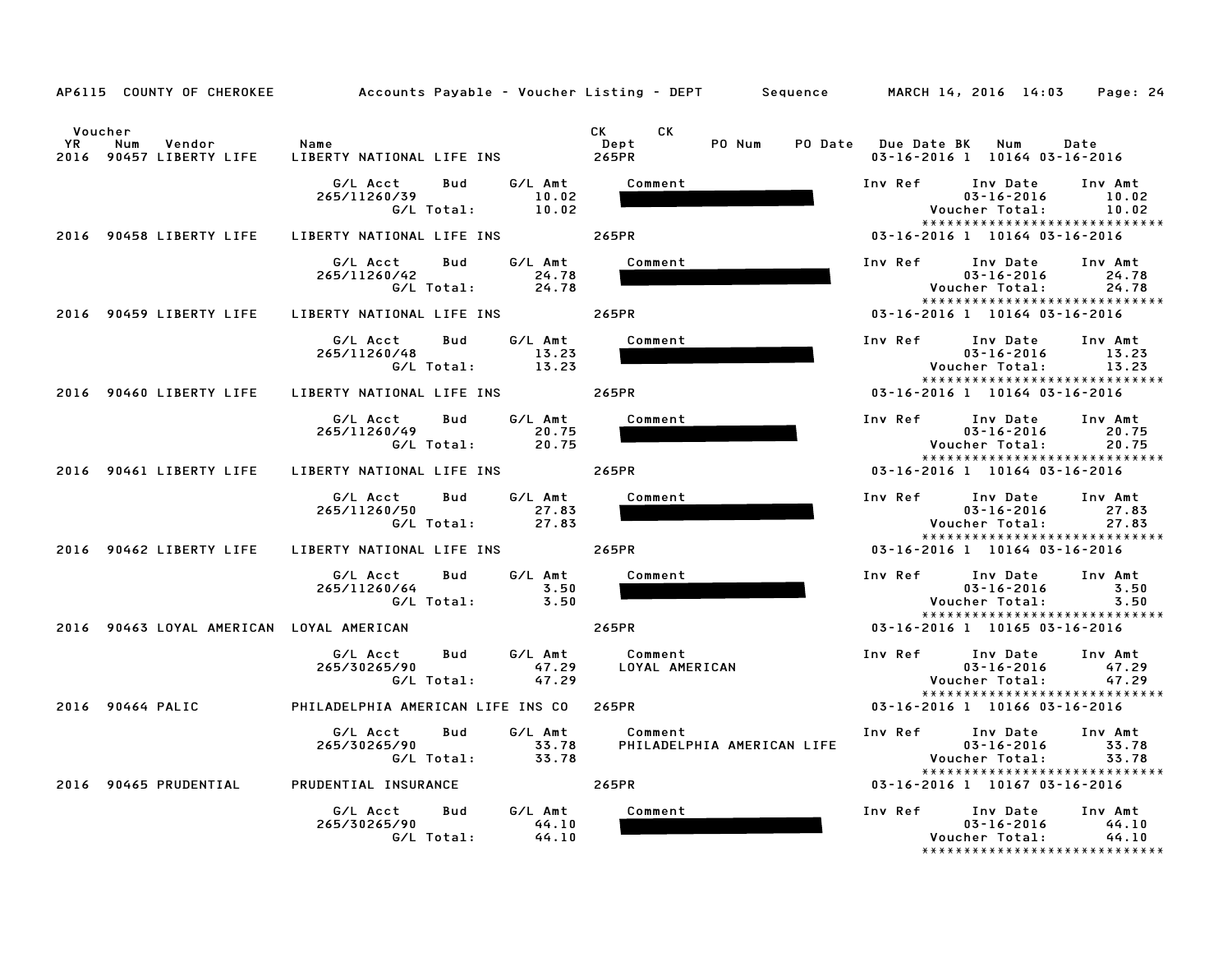|                                                           | AP6115 COUNTY OF CHEROKEE         Accounts Payable – Voucher Listing – DEPT     Sequence     MARCH 14, 2016 14:03 |                                       | Page: 24                                                                                                                 |
|-----------------------------------------------------------|-------------------------------------------------------------------------------------------------------------------|---------------------------------------|--------------------------------------------------------------------------------------------------------------------------|
| Voucher<br>YR<br>Num<br>Vendor<br>2016 90457 LIBERTY LIFE | Name<br>LIBERTY NATIONAL LIFE INS                                                                                 | CK C<br>CK<br>PO Num<br>Dept<br>265PR | PO Date Due Date BK Num<br>Date<br>03-16-2016 1 10164 03-16-2016                                                         |
|                                                           | G/L Amt<br>G/L Acct<br>Bud<br>10.02<br>265/11260/39<br>G/L Total:<br>10.02                                        | Comment                               | Inv Ref<br>Inv Date<br>Inv Amt<br>10.02<br>03-16-2016<br>Voucher Total:<br>10.02<br>*****************************        |
| 2016 90458 LIBERTY LIFE                                   | LIBERTY NATIONAL LIFE INS                                                                                         | 265PR                                 | 03-16-2016 1 10164 03-16-2016                                                                                            |
|                                                           | G/L Acct<br>G/L Amt<br>Bud<br>265/11260/42<br>24.78<br>G/L Total:<br>24.78                                        | Comment                               | Inv Ref<br>Inv Date<br>Inv Amt<br>$03 - 16 - 2016$<br>24.78<br>Voucher Total:<br>24.78<br>*****************************  |
| 2016 90459 LIBERTY LIFE                                   | LIBERTY NATIONAL LIFE INS 265PR                                                                                   |                                       | 03-16-2016 1 10164 03-16-2016                                                                                            |
|                                                           | G/L Acct<br>G/L Amt<br>Bud<br>13.23<br>265/11260/48<br>G/L Total:<br>13.23                                        | Comment                               | Inv Ref<br>Inv Date Inv Amt<br>$03 - 16 - 2016$<br>13.23<br>13.23<br>Voucher Total:<br>*****************************     |
| 2016 90460 LIBERTY LIFE                                   | LIBERTY NATIONAL LIFE INS                                                                                         | 265PR                                 | 03-16-2016 1 10164 03-16-2016                                                                                            |
|                                                           | G/L Amt<br>G/L Acct<br>Bud<br>265/11260/49<br>20.75<br>G/L Total:<br>20.75                                        | Comment                               | Inv Ref<br>Inv Date<br>Inv Amt<br>$03 - 16 - 2016$<br>20.75<br>Voucher Total:<br>20.75<br>*****************************  |
| 2016 90461 LIBERTY LIFE                                   | LIBERTY NATIONAL LIFE INS                                                                                         | 265PR                                 | 03-16-2016 1 10164 03-16-2016                                                                                            |
|                                                           | G/L Acct<br>G/L Amt<br>Bud<br>27.83<br>265/11260/50<br>G/L Total:<br>27.83                                        | Comment                               | Inv Ref<br>Inv Date<br>Inv Amt<br>$03 - 16 - 2016$<br>27.83<br>Voucher Total:<br>27.83<br>*****************************  |
| 2016 90462 LIBERTY LIFE                                   | LIBERTY NATIONAL LIFE INS                                                                                         | 265PR                                 | 03-16-2016 1 10164 03-16-2016                                                                                            |
|                                                           | G/L Acct<br>G/L Amt<br>Bud<br>265/11260/64<br>3.50<br>G/L Total:<br>3.50                                          | Comment                               | Inv Ref<br>Inv Date<br>Inv Amt<br>$03 - 16 - 2016$<br>3.50<br>Voucher Total:<br>3.50                                     |
| 2016 90463 LOYAL AMERICAN LOYAL AMERICAN                  |                                                                                                                   | 265PR                                 | *****************************<br>03-16-2016 1 10165 03-16-2016                                                           |
|                                                           | G/L Acct<br>G/L Amt<br>Bud<br>265/30265/90<br>47.29<br>G/L Total:<br>47.29                                        | Comment<br>LOYAL AMERICAN             | Inv Ref<br>Inv Amt<br>Inv Date<br>47.29<br>$03 - 16 - 2016$<br>Voucher Total:<br>47.29                                   |
| 2016 90464 PALIC                                          | PHILADELPHIA AMERICAN LIFE INS CO 265PR                                                                           |                                       | *****************************<br>03-16-2016 1 10166 03-16-2016                                                           |
|                                                           | G/L Acct<br>G/L Amt<br>Bud<br>265/30265/90<br>33.78<br>33.78<br>G/L Total:                                        | Comment<br>PHILADELPHIA AMERICAN LIFE | Inv Ref<br>Inv Amt<br>Inv Date<br>$03 - 16 - 2016$<br>33.78<br>33.78<br>Voucher Total:<br>****************************** |
| 2016 90465 PRUDENTIAL                                     | PRUDENTIAL INSURANCE                                                                                              | 265PR                                 | 03-16-2016 1 10167 03-16-2016                                                                                            |
|                                                           | G/L Amt<br>G/L Acct<br>Bud<br>44.10<br>265/30265/90<br>G/L Total:<br>44.10                                        | Comment                               | Inv Ref<br>Inv Date<br>Inv Amt<br>$03 - 16 - 2016$<br>44.10<br>Voucher Total:<br>44.10                                   |

\*\*\*\*\*\*\*\*\*\*\*\*\*\*\*\*\*\*\*\*\*\*\*\*\*\*\*\*\*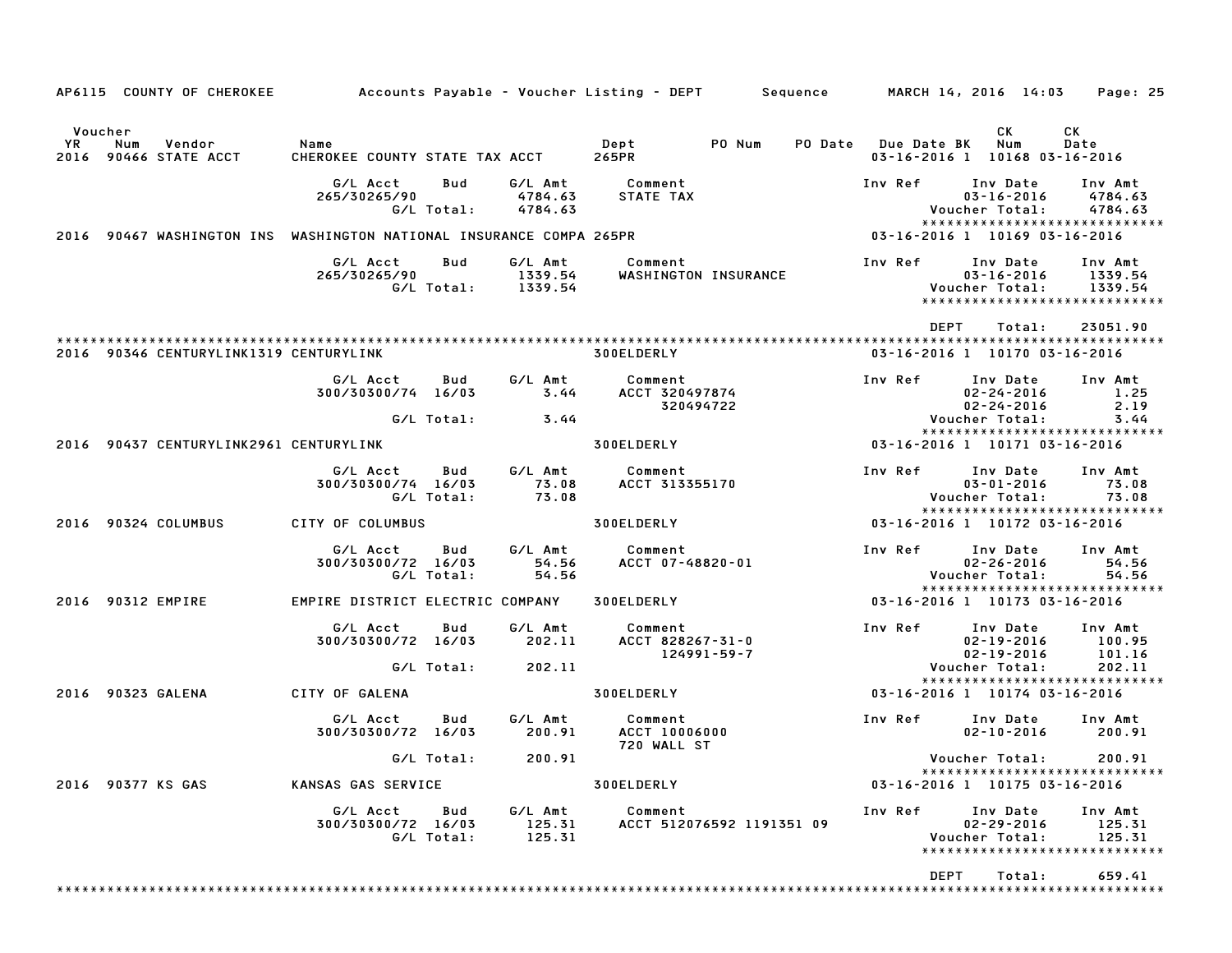| AP6115 COUNTY OF CHEROKEE                                      | Accounts Payable – Voucher Listing – DEPT        Sequence           |                   |                               |                                                |                           |                |                               | MARCH 14, 2016 14:03                                                             | Page: 25                      |
|----------------------------------------------------------------|---------------------------------------------------------------------|-------------------|-------------------------------|------------------------------------------------|---------------------------|----------------|-------------------------------|----------------------------------------------------------------------------------|-------------------------------|
| Voucher<br><b>YR</b><br>Vendor<br>Num<br>2016 90466 STATE ACCT | Name<br>CHEROKEE COUNTY STATE TAX ACCT                              |                   |                               | Dept<br>265PR                                  | PO Num                    | <b>PO Date</b> | Due Date BK                   | СK<br>Num<br>03-16-2016 1 10168 03-16-2016                                       | CK<br>Date                    |
|                                                                | G/L Acct<br>265/30265/90                                            | Bud<br>G/L Total: | G/L Amt<br>4784.63<br>4784.63 | Comment<br>STATE TAX                           |                           |                | Inv Ref                       | Inv Date<br>$03 - 16 - 2016$<br>Voucher Total:<br>****************************** | Inv Amt<br>4784.63<br>4784.63 |
|                                                                | 2016 90467 WASHINGTON INS WASHINGTON NATIONAL INSURANCE COMPA 265PR |                   |                               |                                                |                           |                | 03-16-2016 1 10169 03-16-2016 |                                                                                  |                               |
|                                                                | G/L Acct<br>265/30265/90                                            | Bud<br>G/L Total: | G/L Amt<br>1339.54<br>1339.54 | Comment                                        | WASHINGTON INSURANCE      |                | Inv Ref                       | Inv Date<br>$03 - 16 - 2016$<br>Voucher Total:<br>*****************************  | Inv Amt<br>1339.54<br>1339.54 |
| 2016 90346 CENTURYLINK1319 CENTURYLINK                         |                                                                     |                   |                               | 300ELDERLY                                     |                           |                | <b>DEPT</b>                   | Total:<br>03-16-2016 1 10170 03-16-2016                                          | 23051.90                      |
|                                                                | G/L Acct<br>300/30300/74 16/03                                      | Bud<br>G/L Total: | G/L Amt<br>3.44               | Comment<br>ACCT 320497874<br>320494722         |                           |                | Inv Ref                       | Inv Date<br>$02 - 24 - 2016$<br>$02 - 24 - 2016$<br>Voucher Total:               | Inv Amt<br>1.25<br>2.19       |
| 2016 90437 CENTURYLINK2961 CENTURYLINK                         |                                                                     |                   | 3.44                          | 300ELDERLY                                     |                           |                |                               | *****************************<br>03-16-2016 1 10171 03-16-2016                   | 3.44                          |
|                                                                | G/L Acct<br>300/30300/74 16/03                                      | Bud<br>G/L Total: | G/L Amt<br>73.08<br>73.08     | Comment<br>ACCT 313355170                      |                           |                | Inv Ref                       | Inv Date<br>$03 - 01 - 2016$<br>Voucher Total:<br>*****************************  | Inv Amt<br>73.08<br>73.08     |
| 2016 90324 COLUMBUS                                            | CITY OF COLUMBUS                                                    |                   |                               | 300ELDERLY                                     |                           |                |                               | 03-16-2016 1 10172 03-16-2016                                                    |                               |
|                                                                | G/L Acct<br>300/30300/72 16/03                                      | Bud<br>G/L Total: | G/L Amt<br>54.56<br>54.56     | Comment<br>ACCT 07-48820-01                    |                           |                | Inv Ref                       | Inv Date<br>$02 - 26 - 2016$<br>Voucher Total:<br>*****************************  | Inv Amt<br>54.56<br>54.56     |
| 2016 90312 EMPIRE                                              | EMPIRE DISTRICT ELECTRIC COMPANY                                    |                   |                               | 300ELDERLY                                     |                           |                | 03-16-2016 1 10173 03-16-2016 |                                                                                  |                               |
|                                                                | G/L Acct<br>300/30300/72 16/03                                      | Bud               | G/L Amt<br>202.11             | Comment<br>ACCT 828267-31-0                    | 124991-59-7               |                | Inv Ref                       | Inv Date<br>$02 - 19 - 2016$<br>$02 - 19 - 2016$                                 | Inv Amt<br>100.95<br>101.16   |
|                                                                |                                                                     | G/L Total:        | 202.11                        |                                                |                           |                |                               | Voucher Total:<br>*****************************                                  | 202.11                        |
| 2016 90323 GALENA                                              | CITY OF GALENA                                                      |                   |                               | 300ELDERLY                                     |                           |                |                               | 03-16-2016 1 10174 03-16-2016                                                    |                               |
|                                                                | G/L Acct<br>300/30300/72 16/03                                      | Bud               | G/L Amt<br>200.91             | Comment<br><b>ACCT 10006000</b><br>720 WALL ST |                           |                | Inv Ref                       | Inv Date<br>$02 - 10 - 2016$                                                     | Inv Amt<br>200.91             |
| 2016 90377 KS GAS                                              | KANSAS GAS SERVICE                                                  | G/L Total:        | 200.91                        | <b>300ELDERLY</b>                              |                           |                |                               | Voucher Total:<br>*****************************<br>03-16-2016 1 10175 03-16-2016 | 200.91                        |
|                                                                | G/L Acct<br>300/30300/72 16/03                                      | Bud<br>G/L Total: | G/L Amt<br>125.31<br>125.31   | Comment                                        | ACCT 512076592 1191351 09 |                | Inv Ref                       | Inv Date<br>$02 - 29 - 2016$<br>Voucher Total:<br>*****************************  | Inv Amt<br>125.31<br>125.31   |
|                                                                |                                                                     |                   |                               |                                                |                           |                | DEPT                          | Total:                                                                           | 659.41                        |